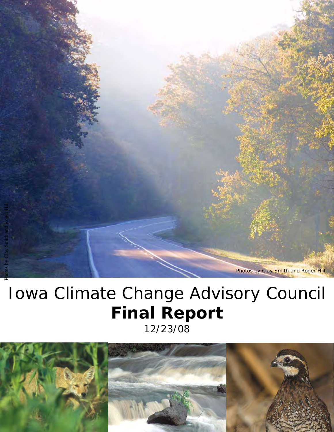

# Iowa Climate Change Advisory Council **Final Report** 12/23/08

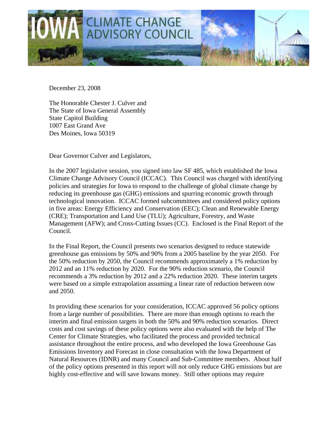

December 23, 2008

The Honorable Chester J. Culver and The State of Iowa General Assembly State Capitol Building 1007 East Grand Ave Des Moines, Iowa 50319

Dear Governor Culver and Legislators,

In the 2007 legislative session, you signed into law SF 485, which established the Iowa Climate Change Advisory Council (ICCAC). This Council was charged with identifying policies and strategies for Iowa to respond to the challenge of global climate change by reducing its greenhouse gas (GHG) emissions and spurring economic growth through technological innovation. ICCAC formed subcommittees and considered policy options in five areas: Energy Efficiency and Conservation (EEC); Clean and Renewable Energy (CRE); Transportation and Land Use (TLU); Agriculture, Forestry, and Waste Management (AFW); and Cross-Cutting Issues (CC). Enclosed is the Final Report of the Council.

In the Final Report, the Council presents two scenarios designed to reduce statewide greenhouse gas emissions by 50% and 90% from a 2005 baseline by the year 2050. For the 50% reduction by 2050, the Council recommends approximately a 1% reduction by 2012 and an 11% reduction by 2020. For the 90% reduction scenario, the Council recommends a 3% reduction by 2012 and a 22% reduction 2020. These interim targets were based on a simple extrapolation assuming a linear rate of reduction between now and 2050.

In providing these scenarios for your consideration, ICCAC approved 56 policy options from a large number of possibilities. There are more than enough options to reach the interim and final emission targets in both the 50% and 90% reduction scenarios. Direct costs and cost savings of these policy options were also evaluated with the help of The Center for Climate Strategies, who facilitated the process and provided technical assistance throughout the entire process, and who developed the Iowa Greenhouse Gas Emissions Inventory and Forecast in close consultation with the Iowa Department of Natural Resources (IDNR) and many Council and Sub-Committee members. About half of the policy options presented in this report will not only reduce GHG emissions but are highly cost-effective and will save Iowans money. Still other options may require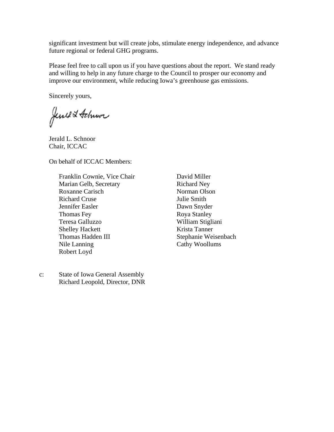significant investment but will create jobs, stimulate energy independence, and advance future regional or federal GHG programs.

Please feel free to call upon us if you have questions about the report. We stand ready and willing to help in any future charge to the Council to prosper our economy and improve our environment, while reducing Iowa's greenhouse gas emissions.

Sincerely yours,

Jeweld Schwor

Jerald L. Schnoor Chair, ICCAC

On behalf of ICCAC Members:

Franklin Cownie, Vice Chair Marian Gelb, Secretary Roxanne Carisch Richard Cruse Jennifer Easler Thomas Fey Teresa Galluzzo Shelley Hackett Thomas Hadden III Nile Lanning Robert Loyd

c: State of Iowa General Assembly Richard Leopold, Director, DNR David Miller Richard Ney Norman Olson Julie Smith Dawn Snyder Roya Stanley William Stigliani Krista Tanner Stephanie Weisenbach Cathy Woollums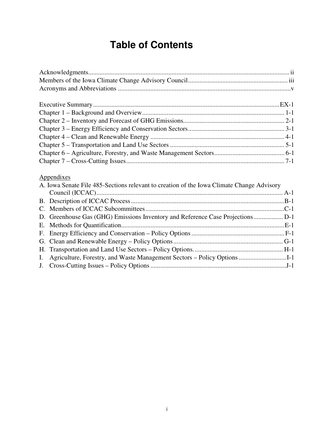## **Table of Contents**

| Appendixes                                                                                |  |
|-------------------------------------------------------------------------------------------|--|
| A. Iowa Senate File 485-Sections relevant to creation of the Iowa Climate Change Advisory |  |
|                                                                                           |  |
|                                                                                           |  |
|                                                                                           |  |
|                                                                                           |  |
|                                                                                           |  |
| $\blacksquare$                                                                            |  |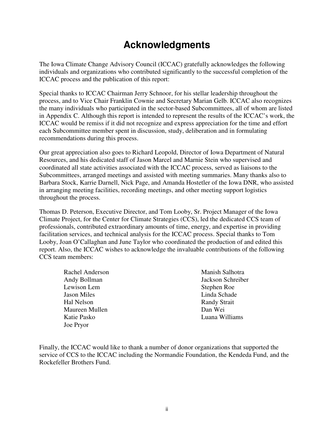## **Acknowledgments**

The Iowa Climate Change Advisory Council (ICCAC) gratefully acknowledges the following individuals and organizations who contributed significantly to the successful completion of the ICCAC process and the publication of this report:

Special thanks to ICCAC Chairman Jerry Schnoor, for his stellar leadership throughout the process, and to Vice Chair Franklin Cownie and Secretary Marian Gelb. ICCAC also recognizes the many individuals who participated in the sector-based Subcommittees, all of whom are listed in Appendix C. Although this report is intended to represent the results of the ICCAC's work, the ICCAC would be remiss if it did not recognize and express appreciation for the time and effort each Subcommittee member spent in discussion, study, deliberation and in formulating recommendations during this process.

Our great appreciation also goes to Richard Leopold, Director of Iowa Department of Natural Resources, and his dedicated staff of Jason Marcel and Marnie Stein who supervised and coordinated all state activities associated with the ICCAC process, served as liaisons to the Subcommittees, arranged meetings and assisted with meeting summaries. Many thanks also to Barbara Stock, Karrie Darnell, Nick Page, and Amanda Hostetler of the Iowa DNR, who assisted in arranging meeting facilities, recording meetings, and other meeting support logistics throughout the process.

Thomas D. Peterson, Executive Director, and Tom Looby, Sr. Project Manager of the Iowa Climate Project, for the Center for Climate Strategies (CCS), led the dedicated CCS team of professionals, contributed extraordinary amounts of time, energy, and expertise in providing facilitation services, and technical analysis for the ICCAC process. Special thanks to Tom Looby, Joan O'Callaghan and June Taylor who coordinated the production of and edited this report. Also, the ICCAC wishes to acknowledge the invaluable contributions of the following CCS team members:

Rachel Anderson Andy Bollman Lewison Lem Jason Miles Hal Nelson Maureen Mullen Katie Pasko Joe Pryor

Manish Salhotra Jackson Schreiber Stephen Roe Linda Schade Randy Strait Dan Wei Luana Williams

Finally, the ICCAC would like to thank a number of donor organizations that supported the service of CCS to the ICCAC including the Normandie Foundation, the Kendeda Fund, and the Rockefeller Brothers Fund.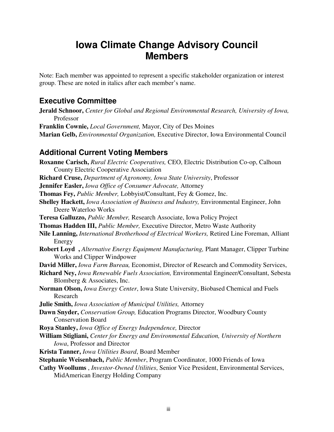## **Iowa Climate Change Advisory Council Members**

Note: Each member was appointed to represent a specific stakeholder organization or interest group. These are noted in italics after each member's name.

### **Executive Committee**

- **Jerald Schnoor,** *Center for Global and Regional Environmental Research, University of Iowa,*  Professor
- **Franklin Cownie,** *Local Government,* Mayor, City of Des Moines
- **Marian Gelb,** *Environmental Organization,* Executive Director, Iowa Environmental Council

### **Additional Current Voting Members**

**Roxanne Carisch,** *Rural Electric Cooperatives,* CEO, Electric Distribution Co-op, Calhoun County Electric Cooperative Association **Richard Cruse,** *Department of Agronomy, Iowa State University*, Professor **Jennifer Easler,** *Iowa Office of Consumer Advocate,* Attorney **Thomas Fey,** *Public Member,* Lobbyist/Consultant, Fey & Gomez, Inc. **Shelley Hackett,** *Iowa Association of Business and Industry,* Environmental Engineer, John Deere Waterloo Works **Teresa Galluzzo,** *Public Member,* Research Associate, Iowa Policy Project **Thomas Hadden III,** *Public Member,* Executive Director, Metro Waste Authority **Nile Lanning,** *International Brotherhood of Electrical Workers,* Retired Line Foreman, Alliant Energy **Robert Loyd ,** *Alternative Energy Equipment Manufacturing,* Plant Manager, Clipper Turbine Works and Clipper Windpower **David Miller,** *Iowa Farm Bureau,* Economist, Director of Research and Commodity Services, **Richard Ney,** *Iowa Renewable Fuels Association,* Environmental Engineer/Consultant, Sebesta Blomberg & Associates, Inc. **Norman Olson,** *Iowa Energy Center*, Iowa State University, Biobased Chemical and Fuels Research **Julie Smith,** *Iowa Association of Municipal Utilities,* Attorney **Dawn Snyder,** *Conservation Group,* Education Programs Director, Woodbury County Conservation Board **Roya Stanley,** *Iowa Office of Energy Independence,* Director **William Stigliani,** *Center for Energy and Environmental Education, University of Northern Iowa*, Professor and Director **Krista Tanner,** *Iowa Utilities Board*, Board Member **Stephanie Weisenbach,** *Public Member*, Program Coordinator, 1000 Friends of Iowa **Cathy Woollums** , *Investor-Owned Utilities*, Senior Vice President, Environmental Services, MidAmerican Energy Holding Company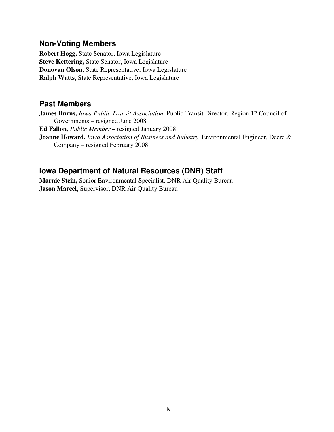### **Non-Voting Members**

**Robert Hogg,** State Senator, Iowa Legislature **Steve Kettering,** State Senator, Iowa Legislature **Donovan Olson,** State Representative, Iowa Legislature **Ralph Watts,** State Representative, Iowa Legislature

### **Past Members**

**James Burns,** *Iowa Public Transit Association,* Public Transit Director, Region 12 Council of Governments – resigned June 2008 **Ed Fallon,** *Public Member* **–** resigned January 2008 **Joanne Howard,** *Iowa Association of Business and Industry,* Environmental Engineer, Deere & Company – resigned February 2008

### **Iowa Department of Natural Resources (DNR) Staff**

**Marnie Stein,** Senior Environmental Specialist, DNR Air Quality Bureau **Jason Marcel,** Supervisor, DNR Air Quality Bureau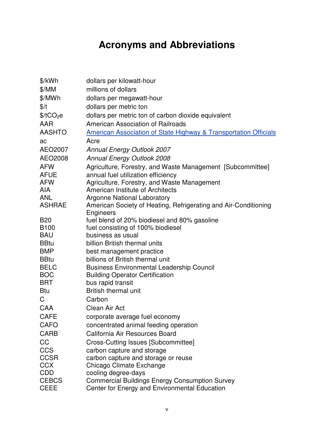## **Acronyms and Abbreviations**

| \$/kWh                | dollars per kilowatt-hour                                                   |
|-----------------------|-----------------------------------------------------------------------------|
| \$/MM                 | millions of dollars                                                         |
| \$/MWh                | dollars per megawatt-hour                                                   |
| \$/t                  | dollars per metric ton                                                      |
| \$/tCO <sub>2</sub> e | dollars per metric ton of carbon dioxide equivalent                         |
| AAR                   | American Association of Railroads                                           |
| <b>AASHTO</b>         | <b>American Association of State Highway &amp; Transportation Officials</b> |
| ac                    | Acre                                                                        |
| AEO2007               | <b>Annual Energy Outlook 2007</b>                                           |
| AEO2008               | <b>Annual Energy Outlook 2008</b>                                           |
| <b>AFW</b>            | Agriculture, Forestry, and Waste Management [Subcommittee]                  |
| <b>AFUE</b>           | annual fuel utilization efficiency                                          |
| <b>AFW</b>            | Agriculture, Forestry, and Waste Management                                 |
| <b>AIA</b>            | American Institute of Architects                                            |
| <b>ANL</b>            | <b>Argonne National Laboratory</b>                                          |
| <b>ASHRAE</b>         | American Society of Heating, Refrigerating and Air-Conditioning             |
| <b>B20</b>            | Engineers<br>fuel blend of 20% biodiesel and 80% gasoline                   |
| B <sub>100</sub>      | fuel consisting of 100% biodiesel                                           |
| <b>BAU</b>            | business as usual                                                           |
| <b>BBtu</b>           | billion British thermal units                                               |
| <b>BMP</b>            | best management practice                                                    |
| <b>BBtu</b>           | billions of British thermal unit                                            |
| <b>BELC</b>           | <b>Business Environmental Leadership Council</b>                            |
| <b>BOC</b>            | <b>Building Operator Certification</b>                                      |
| BRT                   | bus rapid transit                                                           |
| <b>Btu</b>            | <b>British thermal unit</b>                                                 |
| C                     | Carbon                                                                      |
| CAA                   | Clean Air Act                                                               |
| <b>CAFE</b>           | corporate average fuel economy                                              |
| <b>CAFO</b>           | concentrated animal feeding operation                                       |
| <b>CARB</b>           | California Air Resources Board                                              |
| CC                    | Cross-Cutting Issues [Subcommittee]                                         |
| <b>CCS</b>            | carbon capture and storage                                                  |
| <b>CCSR</b>           | carbon capture and storage or reuse                                         |
| <b>CCX</b>            | Chicago Climate Exchange                                                    |
| <b>CDD</b>            | cooling degree-days                                                         |
| <b>CEBCS</b>          | <b>Commercial Buildings Energy Consumption Survey</b>                       |
| <b>CEEE</b>           | Center for Energy and Environmental Education                               |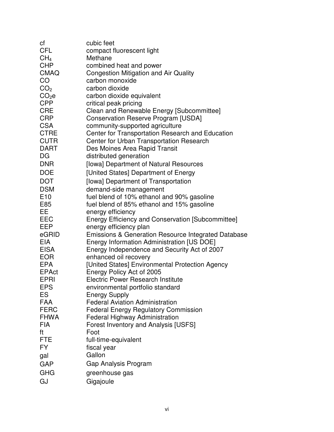| сf              | cubic feet                                                     |
|-----------------|----------------------------------------------------------------|
| <b>CFL</b>      | compact fluorescent light                                      |
| CH <sub>4</sub> | Methane                                                        |
| <b>CHP</b>      | combined heat and power                                        |
| <b>CMAQ</b>     | Congestion Mitigation and Air Quality                          |
| CO              | carbon monoxide                                                |
| CO <sub>2</sub> | carbon dioxide                                                 |
| $CO2$ e         | carbon dioxide equivalent                                      |
| <b>CPP</b>      | critical peak pricing                                          |
| <b>CRE</b>      | Clean and Renewable Energy [Subcommittee]                      |
| <b>CRP</b>      | <b>Conservation Reserve Program [USDA]</b>                     |
| <b>CSA</b>      | community-supported agriculture                                |
| <b>CTRE</b>     | Center for Transportation Research and Education               |
| <b>CUTR</b>     | <b>Center for Urban Transportation Research</b>                |
| <b>DART</b>     | Des Moines Area Rapid Transit                                  |
| DG              | distributed generation                                         |
| <b>DNR</b>      | [lowa] Department of Natural Resources                         |
| <b>DOE</b>      | [United States] Department of Energy                           |
| <b>DOT</b>      | [lowa] Department of Transportation                            |
| <b>DSM</b>      | demand-side management                                         |
| E <sub>10</sub> | fuel blend of 10% ethanol and 90% gasoline                     |
| E85             | fuel blend of 85% ethanol and 15% gasoline                     |
| EE              | energy efficiency                                              |
| EEC             | Energy Efficiency and Conservation [Subcommittee]              |
| <b>EEP</b>      | energy efficiency plan                                         |
| eGRID           | <b>Emissions &amp; Generation Resource Integrated Database</b> |
| <b>EIA</b>      | Energy Information Administration [US DOE]                     |
| <b>EISA</b>     | Energy Independence and Security Act of 2007                   |
| <b>EOR</b>      | enhanced oil recovery                                          |
| <b>EPA</b>      | [United States] Environmental Protection Agency                |
| <b>EPAct</b>    | Energy Policy Act of 2005                                      |
| EPRI            | <b>Electric Power Research Institute</b>                       |
| <b>EPS</b>      | environmental portfolio standard                               |
| ES              | <b>Energy Supply</b>                                           |
| <b>FAA</b>      | <b>Federal Aviation Administration</b>                         |
| <b>FERC</b>     | <b>Federal Energy Regulatory Commission</b>                    |
| <b>FHWA</b>     | <b>Federal Highway Administration</b>                          |
| <b>FIA</b>      | Forest Inventory and Analysis [USFS]                           |
| ft              | Foot                                                           |
| <b>FTE</b>      | full-time-equivalent                                           |
| FY.             | fiscal year                                                    |
| gal             | Gallon                                                         |
| <b>GAP</b>      | Gap Analysis Program                                           |
| <b>GHG</b>      | greenhouse gas                                                 |
| GJ              | Gigajoule                                                      |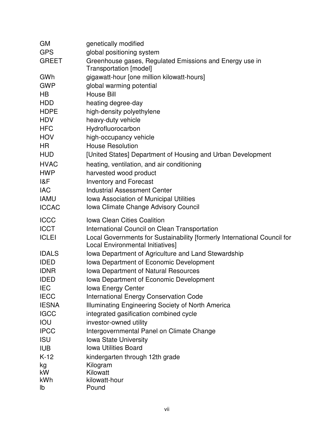| <b>GM</b>    | genetically modified                                                     |
|--------------|--------------------------------------------------------------------------|
| <b>GPS</b>   | global positioning system                                                |
| <b>GREET</b> | Greenhouse gases, Regulated Emissions and Energy use in                  |
|              | Transportation [model]                                                   |
| GWh          | gigawatt-hour [one million kilowatt-hours]                               |
| <b>GWP</b>   | global warming potential                                                 |
| HB           | <b>House Bill</b>                                                        |
| <b>HDD</b>   | heating degree-day                                                       |
| <b>HDPE</b>  | high-density polyethylene                                                |
| <b>HDV</b>   | heavy-duty vehicle                                                       |
| <b>HFC</b>   | Hydrofluorocarbon                                                        |
| <b>HOV</b>   | high-occupancy vehicle                                                   |
| HR           | <b>House Resolution</b>                                                  |
| <b>HUD</b>   | [United States] Department of Housing and Urban Development              |
| <b>HVAC</b>  | heating, ventilation, and air conditioning                               |
| <b>HWP</b>   | harvested wood product                                                   |
| 18F          | <b>Inventory and Forecast</b>                                            |
| <b>IAC</b>   | <b>Industrial Assessment Center</b>                                      |
| <b>IAMU</b>  | Iowa Association of Municipal Utilities                                  |
| <b>ICCAC</b> | Iowa Climate Change Advisory Council                                     |
| <b>ICCC</b>  | <b>Iowa Clean Cities Coalition</b>                                       |
| <b>ICCT</b>  | International Council on Clean Transportation                            |
| <b>ICLEI</b> | Local Governments for Sustainability [formerly International Council for |
|              | Local Environmental Initiatives]                                         |
| <b>IDALS</b> | Iowa Department of Agriculture and Land Stewardship                      |
| <b>IDED</b>  | Iowa Department of Economic Development                                  |
| <b>IDNR</b>  | <b>Iowa Department of Natural Resources</b>                              |
| <b>IDED</b>  | Iowa Department of Economic Development                                  |
| <b>IEC</b>   | <b>Iowa Energy Center</b>                                                |
| <b>IECC</b>  | <b>International Energy Conservation Code</b>                            |
| <b>IESNA</b> | Illuminating Engineering Society of North America                        |
| <b>IGCC</b>  | integrated gasification combined cycle                                   |
| IOU          | investor-owned utility                                                   |
| <b>IPCC</b>  | Intergovernmental Panel on Climate Change                                |
| <b>ISU</b>   | <b>Iowa State University</b>                                             |
| <b>IUB</b>   | <b>Iowa Utilities Board</b>                                              |
| $K-12$       | kindergarten through 12th grade                                          |
| kg           | Kilogram                                                                 |
| kW           | Kilowatt                                                                 |
| kWh          | kilowatt-hour                                                            |
| lb           | Pound                                                                    |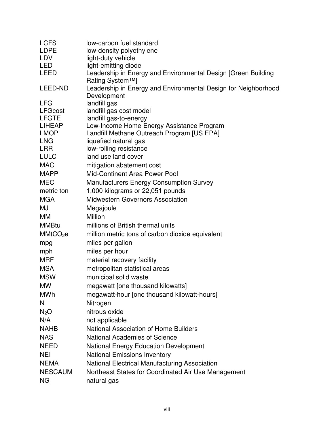| <b>LCFS</b>          | low-carbon fuel standard                                                         |
|----------------------|----------------------------------------------------------------------------------|
| <b>LDPE</b>          | low-density polyethylene                                                         |
| LDV                  | light-duty vehicle                                                               |
| <b>LED</b>           | light-emitting diode                                                             |
| <b>LEED</b>          | Leadership in Energy and Environmental Design [Green Building<br>Rating System™] |
| LEED-ND              | Leadership in Energy and Environmental Design for Neighborhood<br>Development    |
| <b>LFG</b>           | landfill gas                                                                     |
| <b>LFGcost</b>       | landfill gas cost model                                                          |
| <b>LFGTE</b>         | landfill gas-to-energy                                                           |
| <b>LIHEAP</b>        | Low-Income Home Energy Assistance Program                                        |
| <b>LMOP</b>          | Landfill Methane Outreach Program [US EPA]                                       |
| <b>LNG</b>           | liquefied natural gas                                                            |
| <b>LRR</b>           | low-rolling resistance                                                           |
| <b>LULC</b>          | land use land cover                                                              |
| <b>MAC</b>           | mitigation abatement cost                                                        |
| <b>MAPP</b>          | Mid-Continent Area Power Pool                                                    |
| <b>MEC</b>           | <b>Manufacturers Energy Consumption Survey</b>                                   |
| metric ton           | 1,000 kilograms or 22,051 pounds                                                 |
| <b>MGA</b>           | <b>Midwestern Governors Association</b>                                          |
| MJ                   | Megajoule                                                                        |
| MM                   | Million                                                                          |
| <b>MMBtu</b>         | millions of British thermal units                                                |
| MMtCO <sub>2</sub> e | million metric tons of carbon dioxide equivalent                                 |
| mpg                  | miles per gallon                                                                 |
| mph                  | miles per hour                                                                   |
| <b>MRF</b>           | material recovery facility                                                       |
| <b>MSA</b>           | metropolitan statistical areas                                                   |
| <b>MSW</b>           | municipal solid waste                                                            |
| <b>MW</b>            | megawatt [one thousand kilowatts]                                                |
| <b>MWh</b>           | megawatt-hour [one thousand kilowatt-hours]                                      |
| N                    | Nitrogen                                                                         |
| N <sub>2</sub> O     | nitrous oxide                                                                    |
| N/A                  | not applicable                                                                   |
| <b>NAHB</b>          | <b>National Association of Home Builders</b>                                     |
| <b>NAS</b>           | <b>National Academies of Science</b>                                             |
| <b>NEED</b>          | <b>National Energy Education Development</b>                                     |
| <b>NEI</b>           | <b>National Emissions Inventory</b>                                              |
| <b>NEMA</b>          | National Electrical Manufacturing Association                                    |
| <b>NESCAUM</b>       | Northeast States for Coordinated Air Use Management                              |
| <b>NG</b>            | natural gas                                                                      |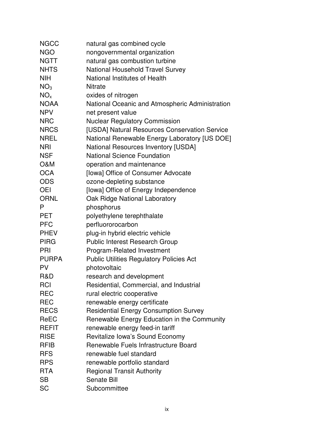| <b>NGCC</b>     | natural gas combined cycle                      |
|-----------------|-------------------------------------------------|
| <b>NGO</b>      | nongovernmental organization                    |
| <b>NGTT</b>     | natural gas combustion turbine                  |
| <b>NHTS</b>     | <b>National Household Travel Survey</b>         |
| <b>NIH</b>      | National Institutes of Health                   |
| NO <sub>3</sub> | <b>Nitrate</b>                                  |
| NO <sub>x</sub> | oxides of nitrogen                              |
| <b>NOAA</b>     | National Oceanic and Atmospheric Administration |
| <b>NPV</b>      | net present value                               |
| <b>NRC</b>      | <b>Nuclear Regulatory Commission</b>            |
| <b>NRCS</b>     | [USDA] Natural Resources Conservation Service   |
| <b>NREL</b>     | National Renewable Energy Laboratory [US DOE]   |
| <b>NRI</b>      | <b>National Resources Inventory [USDA]</b>      |
| <b>NSF</b>      | <b>National Science Foundation</b>              |
| O&M             | operation and maintenance                       |
| <b>OCA</b>      | [lowa] Office of Consumer Advocate              |
| <b>ODS</b>      | ozone-depleting substance                       |
| <b>OEI</b>      | [lowa] Office of Energy Independence            |
| <b>ORNL</b>     | Oak Ridge National Laboratory                   |
| P               | phosphorus                                      |
| <b>PET</b>      | polyethylene terephthalate                      |
| <b>PFC</b>      | perfluororocarbon                               |
| <b>PHEV</b>     | plug-in hybrid electric vehicle                 |
| <b>PIRG</b>     | <b>Public Interest Research Group</b>           |
| PRI             | <b>Program-Related Investment</b>               |
| <b>PURPA</b>    | <b>Public Utilities Regulatory Policies Act</b> |
| <b>PV</b>       | photovoltaic                                    |
| R&D             | research and development                        |
| <b>RCI</b>      | Residential, Commercial, and Industrial         |
| <b>REC</b>      | rural electric cooperative                      |
| <b>REC</b>      | renewable energy certificate                    |
| <b>RECS</b>     | <b>Residential Energy Consumption Survey</b>    |
| <b>ReEC</b>     | Renewable Energy Education in the Community     |
| <b>REFIT</b>    | renewable energy feed-in tariff                 |
| <b>RISE</b>     | Revitalize Iowa's Sound Economy                 |
| <b>RFIB</b>     | Renewable Fuels Infrastructure Board            |
| <b>RFS</b>      | renewable fuel standard                         |
| <b>RPS</b>      | renewable portfolio standard                    |
| <b>RTA</b>      | <b>Regional Transit Authority</b>               |
| <b>SB</b>       | Senate Bill                                     |
| <b>SC</b>       | Subcommittee                                    |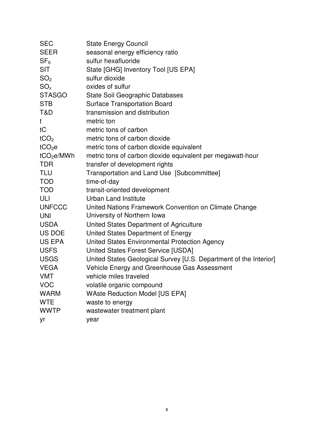| <b>SEC</b>             | <b>State Energy Council</b>                                       |
|------------------------|-------------------------------------------------------------------|
| <b>SEER</b>            | seasonal energy efficiency ratio                                  |
| SF <sub>6</sub>        | sulfur hexafluoride                                               |
| <b>SIT</b>             | State [GHG] Inventory Tool [US EPA]                               |
| SO <sub>2</sub>        | sulfur dioxide                                                    |
| $SO_{x}$               | oxides of sulfur                                                  |
| <b>STASGO</b>          | State Soil Geographic Databases                                   |
| <b>STB</b>             | <b>Surface Transportation Board</b>                               |
| T&D                    | transmission and distribution                                     |
| t                      | metric ton                                                        |
| tC                     | metric tons of carbon                                             |
| tCO <sub>2</sub>       | metric tons of carbon dioxide                                     |
| tCO <sub>2</sub> e     | metric tons of carbon dioxide equivalent                          |
| tCO <sub>2</sub> e/MWh | metric tons of carbon dioxide equivalent per megawatt-hour        |
| <b>TDR</b>             | transfer of development rights                                    |
| <b>TLU</b>             | Transportation and Land Use [Subcommittee]                        |
| <b>TOD</b>             | time-of-day                                                       |
| <b>TOD</b>             | transit-oriented development                                      |
| ULI                    | <b>Urban Land Institute</b>                                       |
| <b>UNFCCC</b>          | United Nations Framework Convention on Climate Change             |
| <b>UNI</b>             | University of Northern Iowa                                       |
| <b>USDA</b>            | United States Department of Agriculture                           |
| US DOE                 | United States Department of Energy                                |
| US EPA                 | United States Environmental Protection Agency                     |
| <b>USFS</b>            | United States Forest Service [USDA]                               |
| <b>USGS</b>            | United States Geological Survey [U.S. Department of the Interior] |
| <b>VEGA</b>            | Vehicle Energy and Greenhouse Gas Assessment                      |
| <b>VMT</b>             | vehicle miles traveled                                            |
| <b>VOC</b>             | volatile organic compound                                         |
| <b>WARM</b>            | <b>WAste Reduction Model [US EPA]</b>                             |
| <b>WTE</b>             | waste to energy                                                   |
| <b>WWTP</b>            | wastewater treatment plant                                        |
| yr                     | year                                                              |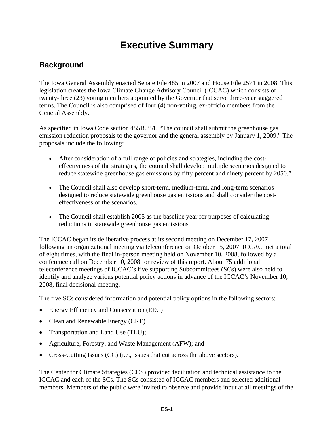## **Executive Summary**

## **Background**

The Iowa General Assembly enacted Senate File 485 in 2007 and House File 2571 in 2008. This legislation creates the Iowa Climate Change Advisory Council (ICCAC) which consists of twenty-three (23) voting members appointed by the Governor that serve three-year staggered terms. The Council is also comprised of four (4) non-voting, ex-officio members from the General Assembly.

As specified in Iowa Code section 455B.851, "The council shall submit the greenhouse gas emission reduction proposals to the governor and the general assembly by January 1, 2009." The proposals include the following:

- After consideration of a full range of policies and strategies, including the costeffectiveness of the strategies, the council shall develop multiple scenarios designed to reduce statewide greenhouse gas emissions by fifty percent and ninety percent by 2050."
- The Council shall also develop short-term, medium-term, and long-term scenarios designed to reduce statewide greenhouse gas emissions and shall consider the costeffectiveness of the scenarios.
- The Council shall establish 2005 as the baseline year for purposes of calculating reductions in statewide greenhouse gas emissions.

The ICCAC began its deliberative process at its second meeting on December 17, 2007 following an organizational meeting via teleconference on October 15, 2007. ICCAC met a total of eight times, with the final in-person meeting held on November 10, 2008, followed by a conference call on December 10, 2008 for review of this report. About 75 additional teleconference meetings of ICCAC's five supporting Subcommittees (SCs) were also held to identify and analyze various potential policy actions in advance of the ICCAC's November 10, 2008, final decisional meeting.

The five SCs considered information and potential policy options in the following sectors:

- Energy Efficiency and Conservation (EEC)
- Clean and Renewable Energy (CRE)
- Transportation and Land Use (TLU);
- Agriculture, Forestry, and Waste Management (AFW); and
- Cross-Cutting Issues (CC) (i.e., issues that cut across the above sectors).

The Center for Climate Strategies (CCS) provided facilitation and technical assistance to the ICCAC and each of the SCs. The SCs consisted of ICCAC members and selected additional members. Members of the public were invited to observe and provide input at all meetings of the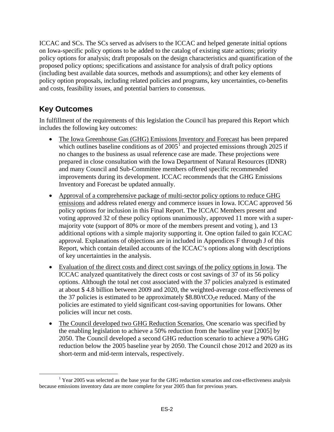ICCAC and SCs. The SCs served as advisers to the ICCAC and helped generate initial options on Iowa-specific policy options to be added to the catalog of existing state actions; priority policy options for analysis; draft proposals on the design characteristics and quantification of the proposed policy options; specifications and assistance for analysis of draft policy options (including best available data sources, methods and assumptions); and other key elements of policy option proposals, including related policies and programs, key uncertainties, co-benefits and costs, feasibility issues, and potential barriers to consensus.

## **Key Outcomes**

In fulfillment of the requirements of this legislation the Council has prepared this Report which includes the following key outcomes:

- The Iowa Greenhouse Gas (GHG) Emissions Inventory and Forecast has been prepared which outlines baseline conditions as of  $2005<sup>1</sup>$  $2005<sup>1</sup>$  $2005<sup>1</sup>$  and projected emissions through 2025 if no changes to the business as usual reference case are made. These projections were prepared in close consultation with the Iowa Department of Natural Resources (IDNR) and many Council and Sub-Committee members offered specific recommended improvements during its development. ICCAC recommends that the GHG Emissions Inventory and Forecast be updated annually.
- Approval of a comprehensive package of multi-sector policy options to reduce GHG emissions and address related energy and commerce issues in Iowa. ICCAC approved 56 policy options for inclusion in this Final Report. The ICCAC Members present and voting approved 32 of these policy options unanimously, approved 11 more with a supermajority vote (support of 80% or more of the members present and voting ), and 13 additional options with a simple majority supporting it. One option failed to gain ICCAC approval. Explanations of objections are in included in Appendices F through J of this Report, which contain detailed accounts of the ICCAC's options along with descriptions of key uncertainties in the analysis.
- Evaluation of the direct costs and direct cost savings of the policy options in Iowa. The ICCAC analyzed quantitatively the direct costs or cost savings of 37 of its 56 policy options. Although the total net cost associated with the 37 policies analyzed is estimated at about \$ 4.8 billion between 2009 and 2020, the weighted-average cost-effectiveness of the 37 policies is estimated to be approximately  $$8.80/tCO<sub>2</sub>e$  reduced. Many of the policies are estimated to yield significant cost-saving opportunities for Iowans. Other policies will incur net costs.
- The Council developed two GHG Reduction Scenarios. One scenario was specified by the enabling legislation to achieve a 50% reduction from the baseline year [2005] by 2050. The Council developed a second GHG reduction scenario to achieve a 90% GHG reduction below the 2005 baseline year by 2050. The Council chose 2012 and 2020 as its short-term and mid-term intervals, respectively.

<span id="page-14-0"></span><sup>&</sup>lt;sup>1</sup> Year 2005 was selected as the base year for the GHG reduction scenarios and cost-effectiveness analysis because emissions inventory data are more complete for year 2005 than for previous years.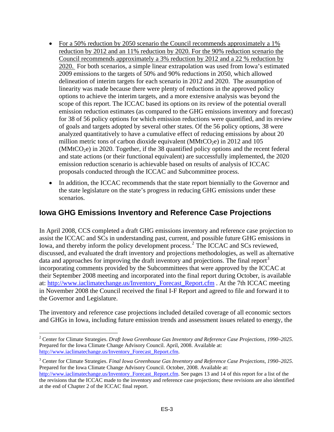- For a 50% reduction by 2050 scenario the Council recommends approximately a 1% reduction by 2012 and an 11% reduction by 2020. For the 90% reduction scenario the Council recommends approximately a 3% reduction by 2012 and a 22 % reduction by 2020. For both scenarios, a simple linear extrapolation was used from Iowa's estimated 2009 emissions to the targets of 50% and 90% reductions in 2050, which allowed delineation of interim targets for each scenario in 2012 and 2020. The assumption of linearity was made because there were plenty of reductions in the approved policy options to achieve the interim targets, and a more extensive analysis was beyond the scope of this report. The ICCAC based its options on its review of the potential overall emission reduction estimates (as compared to the GHG emissions inventory and forecast) for 38 of 56 policy options for which emission reductions were quantified, and its review of goals and targets adopted by several other states. Of the 56 policy options, 38 were analyzed quantitatively to have a cumulative effect of reducing emissions by about 20 million metric tons of carbon dioxide equivalent (MMtCO<sub>2</sub>e) in 2012 and 105  $(MMtCO<sub>2</sub>e)$  in 2020. Together, if the 38 quantified policy options and the recent federal and state actions (or their functional equivalent) are successfully implemented, the 2020 emission reduction scenario is achievable based on results of analysis of ICCAC proposals conducted through the ICCAC and Subcommittee process.
- In addition, the ICCAC recommends that the state report biennially to the Governor and the state legislature on the state's progress in reducing GHG emissions under these scenarios.

## **Iowa GHG Emissions Inventory and Reference Case Projections**

In April 2008, CCS completed a draft GHG emissions inventory and reference case projection to assist the ICCAC and SCs in understanding past, current, and possible future GHG emissions in Iowa, and thereby inform the policy development process.<sup>[2](#page-15-0)</sup> The ICCAC and SCs reviewed, discussed, and evaluated the draft inventory and projections methodologies, as well as alternative data and approaches for improving the draft inventory and projections. The final report<sup>[3](#page-15-1)</sup> incorporating comments provided by the Subcommittees that were approved by the ICCAC at their September 2008 meeting and incorporated into the final report during October, is available at: [http://www.iaclimatechange.us/Inventory\\_Forecast\\_Report.cfm](http://www.iaclimatechange.us/Inventory_Forecast_Report.cfm) . At the 7th ICCAC meeting in November 2008 the Council received the final I-F Report and agreed to file and forward it to the Governor and Legislature.

The inventory and reference case projections included detailed coverage of all economic sectors and GHGs in Iowa, including future emission trends and assessment issues related to energy, the

 $\overline{a}$ 

<span id="page-15-0"></span><sup>2</sup> Center for Climate Strategies. *Draft Iowa Greenhouse Gas Inventory and Reference Case Projections, 1990–2025*. Prepared for the Iowa Climate Change Advisory Council. April, 2008. Available at: [http://www.iaclimatechange.us/Inventory\\_Forecast\\_Report.cfm](http://www.iaclimatechange.us/Inventory_Forecast_Report.cfm).

<span id="page-15-1"></span><sup>3</sup> Center for Climate Strategies. *Final Iowa Greenhouse Gas Inventory and Reference Case Projections, 1990–2025*. Prepared for the Iowa Climate Change Advisory Council. October, 2008. Available at:

[http://www.iaclimatechange.us/Inventory\\_Forecast\\_Report.cfm](http://www.iaclimatechange.us/Inventory_Forecast_Report.cfm). See pages 13 and 14 of this report for a list of the the revisions that the ICCAC made to the inventory and reference case projections; these revisions are also identified at the end of Chapter 2 of the ICCAC final report.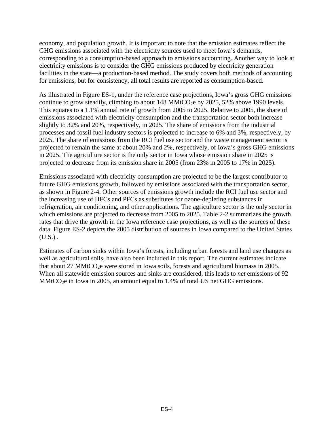economy, and population growth. It is important to note that the emission estimates reflect the GHG emissions associated with the electricity sources used to meet Iowa's demands, corresponding to a consumption-based approach to emissions accounting. Another way to look at electricity emissions is to consider the GHG emissions produced by electricity generation facilities in the state—a production-based method. The study covers both methods of accounting for emissions, but for consistency, all total results are reported as consumption-based.

As illustrated in Figure ES-1, under the reference case projections, Iowa's gross GHG emissions continue to grow steadily, climbing to about  $148 \text{ MMtCO}_2$ e by  $2025, 52\%$  above 1990 levels. This equates to a 1.1% annual rate of growth from 2005 to 2025. Relative to 2005, the share of emissions associated with electricity consumption and the transportation sector both increase slightly to 32% and 20%, respectively, in 2025. The share of emissions from the industrial processes and fossil fuel industry sectors is projected to increase to 6% and 3%, respectively, by 2025. The share of emissions from the RCI fuel use sector and the waste management sector is projected to remain the same at about 20% and 2%, respectively, of Iowa's gross GHG emissions in 2025. The agriculture sector is the only sector in Iowa whose emission share in 2025 is projected to decrease from its emission share in 2005 (from 23% in 2005 to 17% in 2025).

Emissions associated with electricity consumption are projected to be the largest contributor to future GHG emissions growth, followed by emissions associated with the transportation sector, as shown in Figure 2-4. Other sources of emissions growth include the RCI fuel use sector and the increasing use of HFCs and PFCs as substitutes for ozone-depleting substances in refrigeration, air conditioning, and other applications. The agriculture sector is the only sector in which emissions are projected to decrease from 2005 to 2025. Table 2-2 summarizes the growth rates that drive the growth in the Iowa reference case projections, as well as the sources of these data. Figure ES-2 depicts the 2005 distribution of sources in Iowa compared to the United States  $(U.S.)$ .

Estimates of carbon sinks within Iowa's forests, including urban forests and land use changes as well as agricultural soils, have also been included in this report. The current estimates indicate that about 27 MMtCO<sub>2</sub>e were stored in Iowa soils, forests and agricultural biomass in 2005. When all statewide emission sources and sinks are considered, this leads to *net* emissions of 92  $MMtCO<sub>2</sub>e$  in Iowa in 2005, an amount equal to 1.4% of total US net GHG emissions.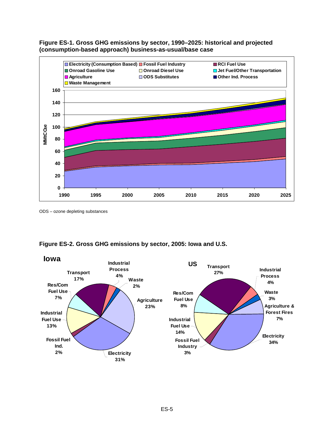



ODS – ozone depleting substances



#### **Figure ES-2. Gross GHG emissions by sector, 2005: Iowa and U.S.**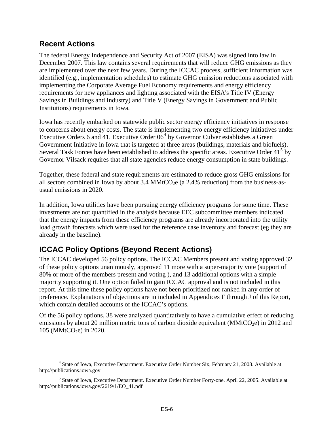## **Recent Actions**

The federal Energy Independence and Security Act of 2007 (EISA) was signed into law in December 2007. This law contains several requirements that will reduce GHG emissions as they are implemented over the next few years. During the ICCAC process, sufficient information was identified (e.g., implementation schedules) to estimate GHG emission reductions associated with implementing the Corporate Average Fuel Economy requirements and energy efficiency requirements for new appliances and lighting associated with the EISA's Title IV (Energy Savings in Buildings and Industry) and Title V (Energy Savings in Government and Public Institutions) requirements in Iowa.

Iowa has recently embarked on statewide public sector energy efficiency initiatives in response to concerns about energy costs. The state is implementing two energy efficiency initiatives under Executive Orders 6 and [4](#page-18-0)1. Executive Order  $06<sup>4</sup>$  by Governor Culver establishes a Green Government Initiative in Iowa that is targeted at three areas (buildings, materials and biofuels). Several Task Forces have been established to address the specific areas. Executive Order  $41<sup>5</sup>$  $41<sup>5</sup>$  $41<sup>5</sup>$  by Governor Vilsack requires that all state agencies reduce energy consumption in state buildings.

Together, these federal and state requirements are estimated to reduce gross GHG emissions for all sectors combined in Iowa by about  $3.4 \text{ MMtCO}_2$ e (a  $2.4\%$  reduction) from the business-asusual emissions in 2020.

In addition, Iowa utilities have been pursuing energy efficiency programs for some time. These investments are not quantified in the analysis because EEC subcommittee members indicated that the energy impacts from these efficiency programs are already incorporated into the utility load growth forecasts which were used for the reference case inventory and forecast (eg they are already in the baseline).

## **ICCAC Policy Options (Beyond Recent Actions)**

The ICCAC developed 56 policy options. The ICCAC Members present and voting approved 32 of these policy options unanimously, approved 11 more with a super-majority vote (support of 80% or more of the members present and voting ), and 13 additional options with a simple majority supporting it. One option failed to gain ICCAC approval and is not included in this report. At this time these policy options have not been prioritized nor ranked in any order of preference. Explanations of objections are in included in Appendices F through J of this Report, which contain detailed accounts of the ICCAC's options.

Of the 56 policy options, 38 were analyzed quantitatively to have a cumulative effect of reducing emissions by about 20 million metric tons of carbon dioxide equivalent ( $MMLCO<sub>2</sub>e$ ) in 2012 and 105 (MMtCO<sub>2</sub>e) in 2020.

<span id="page-18-0"></span> $\frac{1}{4}$ <sup>4</sup> State of Iowa, Executive Department. Executive Order Number Six, February 21, 2008. Available at [http://publications.iowa.gov](http://publications.iowa.gov/)

<span id="page-18-1"></span><sup>&</sup>lt;sup>5</sup> State of Iowa, Executive Department. Executive Order Number Forty-one. April 22, 2005. Available at [http://publications.iowa.gov/2619/1/EO\\_41.pdf](http://publications.iowa.gov/2619/1/EO_41.pdf)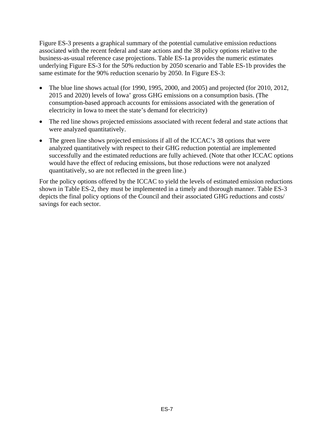Figure ES-3 presents a graphical summary of the potential cumulative emission reductions associated with the recent federal and state actions and the 38 policy options relative to the business-as-usual reference case projections. Table ES-1a provides the numeric estimates underlying Figure ES-3 for the 50% reduction by 2050 scenario and Table ES-1b provides the same estimate for the 90% reduction scenario by 2050. In Figure ES-3:

- The blue line shows actual (for 1990, 1995, 2000, and 2005) and projected (for 2010, 2012, 2015 and 2020) levels of Iowa' gross GHG emissions on a consumption basis. (The consumption-based approach accounts for emissions associated with the generation of electricity in Iowa to meet the state's demand for electricity)
- The red line shows projected emissions associated with recent federal and state actions that were analyzed quantitatively.
- The green line shows projected emissions if all of the ICCAC's 38 options that were analyzed quantitatively with respect to their GHG reduction potential are implemented successfully and the estimated reductions are fully achieved. (Note that other ICCAC options would have the effect of reducing emissions, but those reductions were not analyzed quantitatively, so are not reflected in the green line.)

For the policy options offered by the ICCAC to yield the levels of estimated emission reductions shown in Table ES-2, they must be implemented in a timely and thorough manner. Table ES-3 depicts the final policy options of the Council and their associated GHG reductions and costs/ savings for each sector.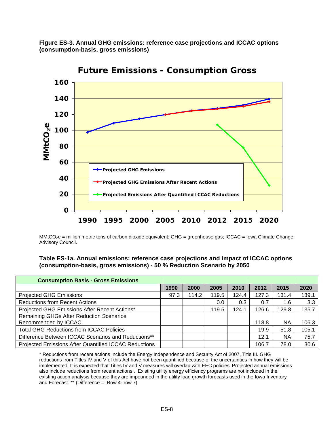**Figure ES-3. Annual GHG emissions: reference case projections and ICCAC options (consumption-basis, gross emissions)** 



**Future Emissions - Consumption Gross**

MMtCO<sub>2</sub>e = million metric tons of carbon dioxide equivalent; GHG = greenhouse gas; ICCAC = Iowa Climate Change Advisory Council.

**Table ES-1a. Annual emissions: reference case projections and impact of ICCAC options (consumption-basis, gross emissions) - 50 % Reduction Scenario by 2050** 

| <b>Consumption Basis - Gross Emissions</b>                   |      |       |       |       |       |       |       |
|--------------------------------------------------------------|------|-------|-------|-------|-------|-------|-------|
|                                                              | 1990 | 2000  | 2005  | 2010  | 2012  | 2015  | 2020  |
| <b>Projected GHG Emissions</b>                               | 97.3 | 114.2 | 119.5 | 124.4 | 127.3 | 131.4 | 139.1 |
| <b>Reductions from Recent Actions</b>                        |      |       | 0.0   | 0.3   | 0.7   | 1.6   | 3.3   |
| Projected GHG Emissions After Recent Actions*                |      |       | 119.5 | 124.1 | 126.6 | 129.8 | 135.7 |
| Remaining GHGs After Reduction Scenarios                     |      |       |       |       |       |       |       |
| Recommended by ICCAC                                         |      |       |       |       | 118.8 | ΝA    | 106.3 |
| <b>Total GHG Reductions from ICCAC Policies</b>              |      |       |       |       | 19.9  | 51.8  | 105.1 |
| Difference Between ICCAC Scenarios and Reductions**          |      |       |       |       | 12.1  | ΝA    | 75.7  |
| <b>Projected Emissions After Quantified ICCAC Reductions</b> |      |       |       |       | 106.7 | 78.0  | 30.6  |

\* Reductions from recent actions include the Energy Independence and Security Act of 2007, Title III. GHG reductions from Titles IV and V of this Act have not been quantified because of the uncertainties in how they will be implemented. It is expected that Titles IV and V measures will overlap with EEC policies Projected annual emissions also include reductions from recent actions.. Existing utility energy efficiency programs are not included in the existing action analysis because they are impounded in the utility load growth forecasts used in the Iowa Inventory and Forecast. \*\* (Difference =  $Row 4$ - row 7)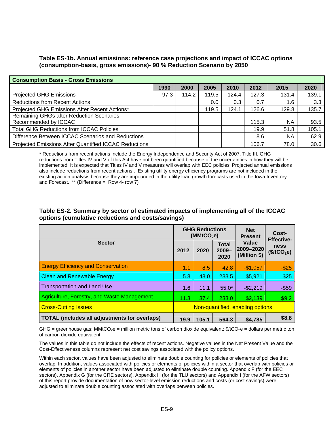#### **Table ES-1b. Annual emissions: reference case projections and impact of ICCAC options (consumption-basis, gross emissions)- 90 % Reduction Scenario by 2050**

| <b>Consumption Basis - Gross Emissions</b>                       |      |       |       |       |       |           |       |  |
|------------------------------------------------------------------|------|-------|-------|-------|-------|-----------|-------|--|
|                                                                  | 1990 | 2000  | 2005  | 2010  | 2012  | 2015      | 2020  |  |
| <b>Projected GHG Emissions</b>                                   | 97.3 | 114.2 | 119.5 | 124.4 | 127.3 | 131.4     | 139.1 |  |
| <b>Reductions from Recent Actions</b>                            |      |       | 0.0   | 0.3   | 0.7   | $1.6\,$   | 3.3   |  |
| Projected GHG Emissions After Recent Actions*                    |      |       | 119.5 | 124.1 | 126.6 | 129.8     | 135.7 |  |
| Remaining GHGs after Reduction Scenarios<br>Recommended by ICCAC |      |       |       |       | 115.3 | <b>NA</b> | 93.5  |  |
| <b>Total GHG Reductions from ICCAC Policies</b>                  |      |       |       |       | 19.9  | 51.8      | 105.1 |  |
| Difference Between ICCAC Scenarios and Reductions                |      |       |       |       | 8.6   | <b>NA</b> | 62.9  |  |
| Projected Emissions After Quantified ICCAC Reductions            |      |       |       |       | 106.7 | 78.0      | 30.6  |  |

\* Reductions from recent actions include the Energy Independence and Security Act of 2007, Title III. GHG reductions from Titles IV and V of this Act have not been quantified because of the uncertainties in how they will be implemented. It is expected that Titles IV and V measures will overlap with EEC policies Projected annual emissions also include reductions from recent actions.. Existing utility energy efficiency programs are not included in the existing action analysis because they are impounded in the utility load growth forecasts used in the Iowa Inventory and Forecast. \*\* (Difference = Row 4- row 7)

#### **Table ES-2. Summary by sector of estimated impacts of implementing all of the ICCAC options (cumulative reductions and costs/savings)**

| <b>Sector</b>                                        |                                  | <b>GHG Reductions</b><br>(MMtCO <sub>2</sub> e) |                                  | <b>Net</b><br><b>Present</b>       | Cost-<br><b>Effective-</b><br><b>ness</b><br>(\$/tCO <sub>2</sub> e) |  |
|------------------------------------------------------|----------------------------------|-------------------------------------------------|----------------------------------|------------------------------------|----------------------------------------------------------------------|--|
|                                                      |                                  | 2020                                            | <b>Total</b><br>$2009 -$<br>2020 | Value<br>2009-2020<br>(Million \$) |                                                                      |  |
| <b>Energy Efficiency and Conservation</b>            | 1.1                              | 8.5                                             | 42.8                             | $-$1,057$                          | $-$25$                                                               |  |
| <b>Clean and Renewable Energy</b>                    | 5.8                              | 48.0                                            | 233.5                            | \$5,921                            | \$25                                                                 |  |
| <b>Transportation and Land Use</b>                   | 1.6                              | 11.1                                            | $55.0*$                          | $-$2,219$                          | $-$ \$59                                                             |  |
| Agriculture, Forestry, and Waste Management          | 11.3                             | 37.4                                            | 233.0                            | \$2,139                            | \$9.2                                                                |  |
| <b>Cross-Cutting Issues</b>                          | Non-quantified, enabling options |                                                 |                                  |                                    |                                                                      |  |
| <b>TOTAL (includes all adjustments for overlaps)</b> | 19.9                             | 105.1                                           | 564.3                            | \$4,785                            | \$8.8                                                                |  |

GHG = greenhouse gas; MMtCO<sub>2</sub>e = million metric tons of carbon dioxide equivalent;  $\frac{6}{2}$ cO<sub>2</sub>e = dollars per metric ton of carbon dioxide equivalent.

The values in this table do not include the effects of recent actions. Negative values in the Net Present Value and the Cost-Effectiveness columns represent net cost savings associated with the policy options.

Within each sector, values have been adjusted to eliminate double counting for policies or elements of policies that overlap. In addition, values associated with policies or elements of policies within a sector that overlap with policies or elements of policies in another sector have been adjusted to eliminate double counting. Appendix F (for the EEC sectors), Appendix G (for the CRE sectors), Appendix H (for the TLU sectors) and Appendix I (for the AFW sectors) of this report provide documentation of how sector-level emission reductions and costs (or cost savings) were adjusted to eliminate double counting associated with overlaps between policies.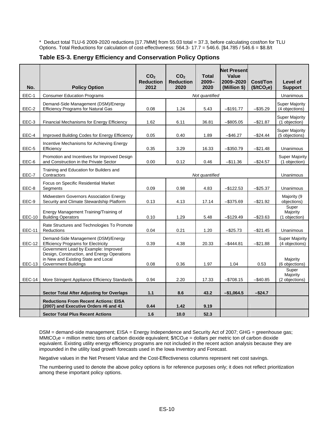\* Deduct total TLU-6 2009-2020 reductions [17.7MMt] from 55.03 total = 37.3, before calculating cost/ton for TLU Options. Total Reductions for calculation of cost-effectiveness: 564.3- 17.7 = 546.6. [\$4.785 / 546.6 = \$8.8/t

| No.           | <b>Policy Option</b>                                                                                                                                      | CO <sub>2</sub><br><b>Reduction</b><br>2012 | CO <sub>2</sub><br><b>Reduction</b><br>2020 | <b>Total</b><br>$2009 -$<br>2020 | <b>Net Present</b><br>Value<br>2009-2020<br>(Million \$) | <b>Cost/Ton</b><br>(\$/tCO <sub>2</sub> e) | Level of<br><b>Support</b>              |
|---------------|-----------------------------------------------------------------------------------------------------------------------------------------------------------|---------------------------------------------|---------------------------------------------|----------------------------------|----------------------------------------------------------|--------------------------------------------|-----------------------------------------|
| EEC-1         | <b>Consumer Education Programs</b>                                                                                                                        |                                             |                                             | Not quantified                   |                                                          |                                            | Unanimous                               |
| EEC-2         | Demand-Side Management (DSM)/Energy<br><b>Efficiency Programs for Natural Gas</b>                                                                         | 0.08                                        | 1.24                                        | 5.43                             | $-$191.77$                                               | $-$ \$35.29                                | <b>Super Majority</b><br>(4 objections) |
| EEC-3         | Financial Mechanisms for Energy Efficiency                                                                                                                | 1.62                                        | 6.11                                        | 36.81                            | $-$ \$805.05                                             | $-$21.87$                                  | Super Majority<br>(1 objection)         |
| EEC-4         | Improved Building Codes for Energy Efficiency                                                                                                             | 0.05                                        | 0.40                                        | 1.89                             | $-$ \$46.27                                              | $-$24.44$                                  | <b>Super Majority</b><br>(5 objections) |
| EEC-5         | Incentive Mechanisms for Achieving Energy<br>Efficiency                                                                                                   | 0.35                                        | 3.29                                        | 16.33                            | $-$ \$350.79                                             | $-$21.48$                                  | Unanimous                               |
| EEC-6         | Promotion and Incentives for Improved Design<br>and Construction in the Private Sector                                                                    | 0.00                                        | 0.12                                        | 0.46                             | $-$11.36$                                                | $-$ \$24.57                                | Super Majority<br>(1 objection)         |
| EEC-7         | Training and Education for Builders and<br>Contractors                                                                                                    | Not quantified                              |                                             |                                  |                                                          | Unanimous                                  |                                         |
| EEC-8         | Focus on Specific Residential Market<br>Segments                                                                                                          | 0.09                                        | 0.98                                        | 4.83                             | $-$122.53$                                               | $-$25.37$                                  | Unanimous                               |
| EEC-9         | Midwestern Governors Association Energy<br>Security and Climate Stewardship Platform                                                                      | 0.13                                        | 4.13                                        | 17.14                            | $-$ \$375.69                                             | $-$21.92$                                  | Majority (9<br>objections)              |
| <b>EEC-10</b> | Energy Management Training/Training of<br><b>Building Operators</b>                                                                                       | 0.10                                        | 1.29                                        | 5.48                             | $-$ \$129.49                                             | $-$ \$23.63                                | Super<br>Majority<br>(1 objection)      |
| <b>EEC-11</b> | Rate Structures and Technologies To Promote<br><b>Reductions</b>                                                                                          | 0.04                                        | 0.21                                        | 1.20                             | $-$ \$25.73                                              | $-$ \$21.45                                | Unanimous                               |
| <b>EEC-12</b> | Demand-Side Management (DSM)/Energy<br><b>Efficiency Programs for Electricity</b>                                                                         | 0.39                                        | 4.38                                        | 20.33                            | $-$ \$444.81                                             | $-$21.88$                                  | <b>Super Majority</b><br>(4 objections) |
| EEC-13        | Government Lead by Example: Improved<br>Design, Construction, and Energy Operations<br>in New and Existing State and Local<br><b>Government Buildings</b> | 0.08                                        | 0.36                                        | 1.97                             | 1.04                                                     | 0.53                                       | Majority<br>(6 objections)              |
| EEC-14        | More Stringent Appliance Efficiency Standards                                                                                                             | 0.94                                        | 2.20                                        | 17.33                            | $-$ \$708.15                                             | $-$ \$40.85                                | Super<br>Majority<br>(2 objections)     |
|               | <b>Sector Total After Adjusting for Overlaps</b>                                                                                                          | 1.1                                         | 8.6                                         | 43.2                             | $-$1,064.5$                                              | $-$24.7$                                   |                                         |
|               | <b>Reductions From Recent Actions: EISA</b><br>(2007) and Executive Orders #6 and 41                                                                      | 0.44                                        | 1.42                                        | 9.19                             |                                                          |                                            |                                         |
|               | <b>Sector Total Plus Recent Actions</b>                                                                                                                   | 1.6                                         | 10.0                                        | 52.3                             |                                                          |                                            |                                         |

#### **Table ES-3. Energy Efficiency and Conservation Policy Options**

DSM = demand-side management; EISA = Energy Independence and Security Act of 2007; GHG = greenhouse gas; MMtCO<sub>2</sub>e = million metric tons of carbon dioxide equivalent;  $\frac{4}{5}$ tCO<sub>2</sub>e = dollars per metric ton of carbon dioxide equivalent. Existing utility energy efficiency programs are not included in the recent action analysis because they are impounded in the utility load growth forecasts used in the Iowa Inventory and Forecast.

Negative values in the Net Present Value and the Cost-Effectiveness columns represent net cost savings.

The numbering used to denote the above policy options is for reference purposes only; it does not reflect prioritization among these important policy options.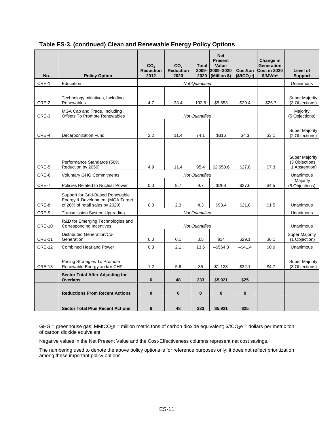| No.           | <b>Policy Option</b>                                                                                    | CO <sub>2</sub><br><b>Reduction</b><br>2012 | CO <sub>2</sub><br><b>Reduction</b><br>2020 | <b>Total</b><br>2020  | <b>Net</b><br><b>Present</b><br>Value<br>2009-2009-2020<br>(Million \$) | Cost/ton<br>(\$/tCO <sub>2</sub> e) | Change in<br><b>Generation</b><br><b>Cost in 2020</b><br>\$/MWh* | Level of<br><b>Support</b>                               |
|---------------|---------------------------------------------------------------------------------------------------------|---------------------------------------------|---------------------------------------------|-----------------------|-------------------------------------------------------------------------|-------------------------------------|------------------------------------------------------------------|----------------------------------------------------------|
| CRE-1         | Education                                                                                               |                                             |                                             | <b>Not Quantified</b> |                                                                         |                                     |                                                                  | Unanimous                                                |
| CRE-2         | Technology Initiatives, Including<br>Renewables                                                         | 4.7                                         | 33.4                                        | 192.6                 | \$5,653                                                                 | \$29.4                              | \$25.7                                                           | <b>Super Majority</b><br>(3 Objections)                  |
| CRE-3         | MGA Cap and Trade, Including<br><b>Offsets To Promote Renewables</b>                                    |                                             | <b>Not Quantified</b>                       |                       | Majority<br>(5 Objections)                                              |                                     |                                                                  |                                                          |
| CRE-4         | Decarbonization Fund                                                                                    | 2.2                                         | 11.4                                        | 74.1                  | \$316                                                                   | \$4.3                               | \$3.1                                                            | <b>Super Majority</b><br>(2 Objections)                  |
| CRE-5         | Performance Standards (50%<br>Reduction by 2050)                                                        | 4.9                                         | 11.4                                        | 95.4                  | \$2,650.6                                                               | \$27.8                              | \$7.3                                                            | <b>Super Majority</b><br>(3 Objections,<br>1 Abstention) |
| CRE-6         | <b>Voluntary GHG Commitments</b>                                                                        |                                             |                                             | <b>Not Quantified</b> |                                                                         |                                     |                                                                  | Unanimous                                                |
| CRE-7         | Policies Related to Nuclear Power                                                                       | 0.0                                         | 9.7<br>9.7<br>\$268<br>\$27.6               |                       |                                                                         |                                     |                                                                  | Majority<br>(5 Objections)                               |
| CRE-8         | Support for Grid-Based Renewable<br>Energy & Development (MGA Target<br>of 20% of retail sales by 2020) | 0.0                                         | 2.3                                         | 4.3                   | \$93.4                                                                  | \$21.8                              | \$1.5                                                            | Unanimous                                                |
| CRE-9         | <b>Transmission System Upgrading</b>                                                                    |                                             | <b>Not Quantified</b>                       |                       | Unanimous                                                               |                                     |                                                                  |                                                          |
| <b>CRE-10</b> | R&D for Emerging Technologies and<br>Corresponding Incentives                                           | <b>Not Quantified</b>                       |                                             |                       |                                                                         |                                     |                                                                  | <b>Unanimous</b>                                         |
| <b>CRE-11</b> | Distributed Generation/Co-<br>Generation                                                                | 0.0                                         | 0.1                                         | 0.5                   | \$14                                                                    | \$29.1                              | \$0.1                                                            | <b>Super Majority</b><br>(1 Objection)                   |
| <b>CRE-12</b> | <b>Combined Heat and Power</b>                                                                          | 0.3                                         | 2.1                                         | 13.6                  | $-$ \$564.3                                                             | $-$ \$41.4                          | \$0.0                                                            | <b>Unanimous</b>                                         |
| <b>CRE-13</b> | Pricing Strategies To Promote<br>Renewable Energy and/or CHP                                            | 1.2                                         | 5.6                                         | 35                    | \$1,128                                                                 | \$32.1                              | \$4.7                                                            | <b>Super Majority</b><br>(3 Objections)                  |
|               | <b>Sector Total After Adjusting for</b><br><b>Overlaps</b>                                              | 6                                           | 48                                          | 233                   | \$5,921                                                                 | \$25                                |                                                                  |                                                          |
|               | <b>Reductions From Recent Actions</b>                                                                   | 0                                           | $\bf{0}$                                    | 0                     | $\bf{0}$                                                                | $\bf{0}$                            |                                                                  |                                                          |
|               | <b>Sector Total Plus Recent Actions</b>                                                                 | 6                                           | 48                                          | 233                   | \$5,921                                                                 | \$25                                |                                                                  |                                                          |

#### **Table ES-3. (continued) Clean and Renewable Energy Policy Options**

GHG = greenhouse gas; MMtCO<sub>2</sub>e = million metric tons of carbon dioxide equivalent;  $\frac{f}{f}$ tCO<sub>2</sub>e = dollars per metric ton of carbon dioxide equivalent.

Negative values in the Net Present Value and the Cost-Effectiveness columns represent net cost savings.

The numbering used to denote the above policy options is for reference purposes only; it does not reflect prioritization among these important policy options.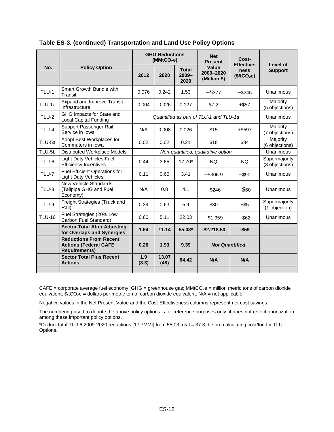|               |                                                                                       | <b>GHG Reductions</b><br>(MMtCO <sub>2</sub> e) |               |                                  | <b>Net</b><br><b>Present</b>           | Cost-<br><b>Effective-</b>      | Level of                        |
|---------------|---------------------------------------------------------------------------------------|-------------------------------------------------|---------------|----------------------------------|----------------------------------------|---------------------------------|---------------------------------|
| No.           | <b>Policy Option</b>                                                                  | 2012                                            | 2020          | <b>Total</b><br>$2009 -$<br>2020 | Value<br>2009-2020<br>(Million \$)     | ness<br>(\$/tCO <sub>2</sub> e) | <b>Support</b>                  |
| $TLU-1$       | Smart Growth Bundle with<br>Transit                                                   | 0.076                                           | 0.242         | 1.53                             | $-$ \$377                              | $-$ \$245                       | Unanimous                       |
| TLU-1a        | <b>Expand and Improve Transit</b><br>Infrastructure                                   | 0.004                                           | 0.026         | 0.127                            | \$7.2                                  | $+$ \$57                        | Majority<br>(5 objections)      |
| <b>TLU-2</b>  | GHG Impacts for State and<br><b>Local Capital Funding</b>                             |                                                 |               |                                  | Quantified as part of TLU-1 and TLU-1a | Unanimous                       |                                 |
| <b>TLU-4</b>  | Support Passenger Rail<br>Service in Iowa                                             | N/A                                             | 0.008         | 0.026                            | \$15                                   | $+$ \$597                       | Majority<br>(7 objections)      |
| TLU-5a        | Adopt Best Workplaces for<br>Commuters in Iowa                                        | 0.02                                            | 0.02          | 0.21                             | \$18                                   | \$84                            | Majority<br>(6 objections)      |
| TLU-5b        | Distributed Workplace Models                                                          |                                                 |               |                                  | Non-quantified, qualitative option     | Unanimous                       |                                 |
| TLU-6         | <b>Light Duty Vehicles Fuel</b><br><b>Efficiency Incentives</b>                       | 0.44                                            | 3.65          | $17.70*$                         | NQ.                                    | <b>NQ</b>                       | Supermajority<br>(3 objections) |
| TLU-7         | <b>Fuel Efficient Operations for</b><br><b>Light Duty Vehicles</b>                    | 0.11                                            | 0.65          | 3.41                             | $-$ \$306.9                            | $-$ \$90                        | Unanimous                       |
| TLU-8         | <b>New Vehicle Standards</b><br>(Tailpipe GHG and Fuel<br>Economy)                    | N/A                                             | 0.8           | 4.1                              | $-$ \$60<br>$-$ \$246                  |                                 | Unanimous                       |
| <b>TLU-9</b>  | Freight Strategies (Truck and<br>Rail)                                                | 0.39                                            | 0.63          | 5.9                              | \$30                                   | $+$ \$5                         | Supermajority<br>(1 objection)  |
| <b>TLU-10</b> | Fuel Strategies (20% Low<br>Carbon Fuel Standard)                                     | 0.60                                            | 5.11          | 22.03                            | $-$1,359$                              | $-$ \$62                        | Unanimous                       |
|               | <b>Sector Total After Adjusting</b><br>for Overlaps and Synergies                     | 1.64                                            | 11.14         | 55.03*                           | $-$2,218.50$                           | $-$59$                          |                                 |
|               | <b>Reductions From Recent</b><br><b>Actions (Federal CAFE</b><br><b>Requirements)</b> | 0.26                                            | 1.93          | 9.39                             | <b>Not Quantified</b>                  |                                 |                                 |
|               | <b>Sector Total Plus Recent</b><br><b>Actions</b>                                     | 1.9<br>(8.3)                                    | 13.07<br>(48) | 64.42                            | N/A<br>N/A                             |                                 |                                 |
|               |                                                                                       |                                                 |               |                                  |                                        |                                 |                                 |

**Table ES-3. (continued) Transportation and Land Use Policy Options** 

 $CAFE =$  corporate average fuel economy;  $GHG =$  greenhouse gas;  $MMtCO_2e =$  million metric tons of carbon dioxide equivalent;  $\frac{4}{5}$ /tCO<sub>2</sub>e = dollars per metric ton of carbon dioxide equivalent; N/A = not applicable.

Negative values in the Net Present Value and the Cost-Effectiveness columns represent net cost savings.

The numbering used to denote the above policy options is for reference purposes only; it does not reflect prioritization among these important policy options.

\*Deduct total TLU-6 2009-2020 reductions [17.7MMt] from 55.03 total = 37.3, before calculating cost/ton for TLU Options.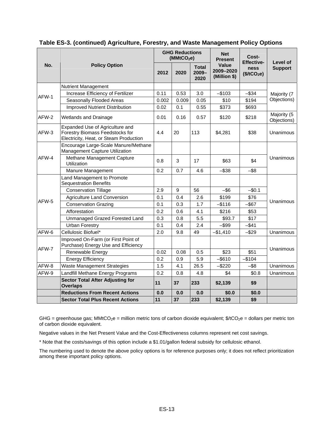|       |                                                                                                              | <b>GHG Reductions</b><br>(MMtCO <sub>2</sub> e) |                 |                                  | <b>Net</b><br><b>Present</b>       | Cost-<br><b>Effective-</b>      | Level of                   |  |
|-------|--------------------------------------------------------------------------------------------------------------|-------------------------------------------------|-----------------|----------------------------------|------------------------------------|---------------------------------|----------------------------|--|
| No.   | <b>Policy Option</b>                                                                                         | 2012                                            | 2020            | <b>Total</b><br>$2009 -$<br>2020 | Value<br>2009-2020<br>(Million \$) | ness<br>(\$/tCO <sub>2</sub> e) | <b>Support</b>             |  |
|       | <b>Nutrient Management</b>                                                                                   |                                                 |                 |                                  |                                    |                                 |                            |  |
| AFW-1 | Increase Efficiency of Fertilizer                                                                            | 0.11                                            | 0.53            | 3.0                              | $-$103$                            | $-$ \$34                        | Majority (7<br>Objections) |  |
|       | Seasonally Flooded Areas                                                                                     | 0.002                                           | 0.009           | 0.05                             | \$10                               | \$194                           |                            |  |
|       | <b>Improved Nutrient Distribution</b>                                                                        | 0.02                                            | 0.1             | 0.55                             | \$373                              | \$693                           |                            |  |
| AFW-2 | <b>Wetlands and Drainage</b>                                                                                 | 0.01                                            | 0.16            | 0.57                             | \$120                              | \$218                           | Majority (5<br>Objections) |  |
| AFW-3 | Expanded Use of Agriculture and<br>Forestry Biomass Feedstocks for<br>Electricity, Heat, or Steam Production | 4.4                                             | 20              | 113                              | \$4,281                            | \$38                            | Unanimous                  |  |
|       | Encourage Large-Scale Manure/Methane<br>Management Capture Utilization                                       |                                                 |                 |                                  |                                    |                                 |                            |  |
| AFW-4 | Methane Management Capture<br>Utilization                                                                    | 0.8                                             | 3               | 17                               | \$63                               | \$4                             | Unanimous                  |  |
|       | Manure Management                                                                                            | 0.2                                             | 0.7             | 4.6                              | $-$ \$38                           | $-$ \$8                         |                            |  |
|       | Land Management to Promote<br><b>Sequestration Benefits</b>                                                  |                                                 |                 |                                  |                                    |                                 |                            |  |
|       | <b>Conservation Tillage</b>                                                                                  | 2.9                                             | 9               | 56                               | $-$ \$6                            | $-$0.1$                         | Unanimous                  |  |
|       | <b>Agriculture Land Conversion</b>                                                                           | 0.1                                             | 0.4             | 2.6                              | \$199                              | \$76                            |                            |  |
| AFW-5 | <b>Conservation Grazing</b>                                                                                  | 0.1                                             | 0.3             | 1.7                              | $-$ \$116                          | $-$ \$67                        |                            |  |
|       | Afforestation                                                                                                | 0.2                                             | 0.6             | 4.1                              | \$216                              | \$53                            |                            |  |
|       | Unmanaged Grazed Forested Land                                                                               | 0.3                                             | 0.8             | 5.5                              | \$93.7                             | \$17                            |                            |  |
|       | <b>Urban Forestry</b>                                                                                        | 0.1                                             | 0.4             | 2.4                              | $-$ \$99                           | $-$ \$41                        |                            |  |
| AFW-6 | Cellulosic Biofuel*                                                                                          | 2.0                                             | 9.8             | 49                               | $-$1,410$                          | $-$ \$29                        | Unanimous                  |  |
| AFW-7 | Improved On-Farm (or First Point of<br>Purchase) Energy Use and Efficiency                                   |                                                 |                 |                                  |                                    |                                 |                            |  |
|       | Renewable Energy                                                                                             | 0.02                                            | 0.08            | 0.5                              | \$23                               | \$51                            | Unanimous                  |  |
|       | <b>Energy Efficiency</b>                                                                                     | 0.2                                             | 0.9             | 5.9                              | $-$ \$610                          | $-$104$                         |                            |  |
| AFW-8 | <b>Waste Management Strategies</b>                                                                           | 1.5                                             | 4.1             | 26.5                             | $-$ \$220                          | -\$8                            | Unanimous                  |  |
| AFW-9 | Landfill Methane Energy Programs                                                                             | 0.2                                             | 0.8             | 4.8                              | \$4                                | \$0.8                           | Unanimous                  |  |
|       | <b>Sector Total After Adjusting for</b><br><b>Overlaps</b>                                                   | 11                                              | 37              | 233                              | \$2,139                            | \$9                             |                            |  |
|       | <b>Reductions From Recent Actions</b>                                                                        | 0.0                                             | 0.0             | 0.0                              | \$0.0                              | \$0.0                           |                            |  |
|       | <b>Sector Total Plus Recent Actions</b>                                                                      | 11                                              | $\overline{37}$ | 233                              | \$2,139                            | \$9                             |                            |  |

**Table ES-3. (continued) Agriculture, Forestry, and Waste Management Policy Options** 

GHG = greenhouse gas; MMtCO $_2$ e = million metric tons of carbon dioxide equivalent; \$/tCO $_2$ e = dollars per metric ton of carbon dioxide equivalent.

Negative values in the Net Present Value and the Cost-Effectiveness columns represent net cost savings.

\* Note that the costs/savings of this option include a \$1.01/gallon federal subsidy for cellulosic ethanol.

The numbering used to denote the above policy options is for reference purposes only; it does not reflect prioritization among these important policy options.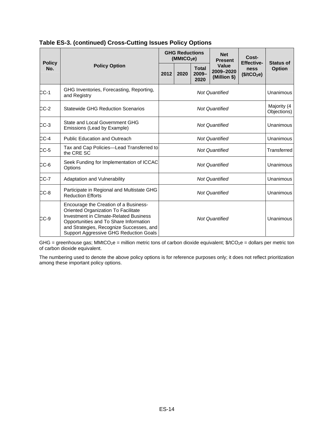|                      |                                                                                                                                                                                                                                                               | <b>GHG Reductions</b><br>(MMtCO <sub>2</sub> e) |                       |                                  | <b>Net</b><br><b>Present</b>       | Cost-                                                |                                   |  |
|----------------------|---------------------------------------------------------------------------------------------------------------------------------------------------------------------------------------------------------------------------------------------------------------|-------------------------------------------------|-----------------------|----------------------------------|------------------------------------|------------------------------------------------------|-----------------------------------|--|
| <b>Policy</b><br>No. | <b>Policy Option</b>                                                                                                                                                                                                                                          |                                                 | 2020                  | <b>Total</b><br>$2009 -$<br>2020 | Value<br>2009-2020<br>(Million \$) | <b>Effective-</b><br>ness<br>(\$/tCO <sub>2</sub> e) | <b>Status of</b><br><b>Option</b> |  |
| $CC-1$               | GHG Inventories, Forecasting, Reporting,<br>and Registry                                                                                                                                                                                                      |                                                 | <b>Not Quantified</b> |                                  |                                    |                                                      | Unanimous                         |  |
| CC-2                 | <b>Statewide GHG Reduction Scenarios</b>                                                                                                                                                                                                                      |                                                 | <b>Not Quantified</b> |                                  |                                    |                                                      |                                   |  |
| $CC-3$               | State and Local Government GHG<br>Emissions (Lead by Example)                                                                                                                                                                                                 |                                                 | <b>Not Quantified</b> |                                  |                                    |                                                      |                                   |  |
| $CC-4$               | <b>Public Education and Outreach</b>                                                                                                                                                                                                                          |                                                 | <b>Not Quantified</b> |                                  |                                    |                                                      |                                   |  |
| $CC-5$               | Tax and Cap Policies-Lead Transferred to<br>the CRE SC                                                                                                                                                                                                        |                                                 | Transferred           |                                  |                                    |                                                      |                                   |  |
| $CC-6$               | Seek Funding for Implementation of ICCAC<br>Options                                                                                                                                                                                                           |                                                 | Unanimous             |                                  |                                    |                                                      |                                   |  |
| CC-7                 | Adaptation and Vulnerability                                                                                                                                                                                                                                  |                                                 | Unanimous             |                                  |                                    |                                                      |                                   |  |
| $CC-8$               | Participate in Regional and Multistate GHG<br><b>Reduction Efforts</b>                                                                                                                                                                                        | <b>Not Quantified</b>                           |                       |                                  |                                    | Unanimous                                            |                                   |  |
| $CC-9$               | Encourage the Creation of a Business-<br>Oriented Organization To Facilitate<br><b>Investment in Climate-Related Business</b><br>Opportunities and To Share Information<br>and Strategies, Recognize Successes, and<br>Support Aggressive GHG Reduction Goals | <b>Not Quantified</b>                           |                       |                                  |                                    | Unanimous                                            |                                   |  |

#### **Table ES-3. (continued) Cross-Cutting Issues Policy Options**

GHG = greenhouse gas; MMtCO<sub>2</sub>e = million metric tons of carbon dioxide equivalent;  $$/tCO_2e =$  dollars per metric ton of carbon dioxide equivalent.

The numbering used to denote the above policy options is for reference purposes only; it does not reflect prioritization among these important policy options.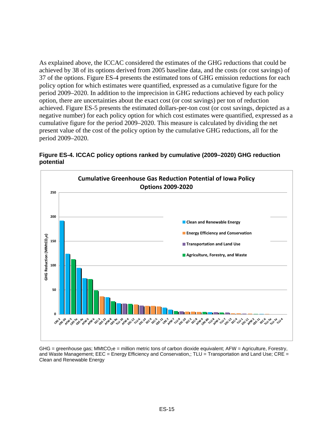As explained above, the ICCAC considered the estimates of the GHG reductions that could be achieved by 38 of its options derived from 2005 baseline data, and the costs (or cost savings) of 37 of the options. Figure ES-4 presents the estimated tons of GHG emission reductions for each policy option for which estimates were quantified, expressed as a cumulative figure for the period 2009–2020. In addition to the imprecision in GHG reductions achieved by each policy option, there are uncertainties about the exact cost (or cost savings) per ton of reduction achieved. Figure ES-5 presents the estimated dollars-per-ton cost (or cost savings, depicted as a negative number) for each policy option for which cost estimates were quantified, expressed as a cumulative figure for the period 2009–2020. This measure is calculated by dividing the net present value of the cost of the policy option by the cumulative GHG reductions, all for the period 2009–2020.



**Figure ES-4. ICCAC policy options ranked by cumulative (2009–2020) GHG reduction potential** 

GHG = greenhouse gas;  $MMtCO<sub>2</sub>e$  = million metric tons of carbon dioxide equivalent; AFW = Agriculture, Forestry, and Waste Management; EEC = Energy Efficiency and Conservation,; TLU = Transportation and Land Use; CRE = Clean and Renewable Energy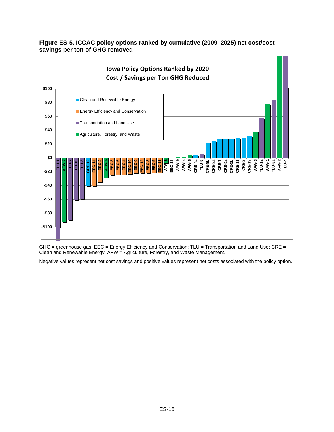

#### **Figure ES-5. ICCAC policy options ranked by cumulative (2009–2025) net cost/cost savings per ton of GHG removed**

GHG = greenhouse gas; EEC = Energy Efficiency and Conservation; TLU = Transportation and Land Use; CRE = Clean and Renewable Energy; AFW = Agriculture, Forestry, and Waste Management.

Negative values represent net cost savings and positive values represent net costs associated with the policy option.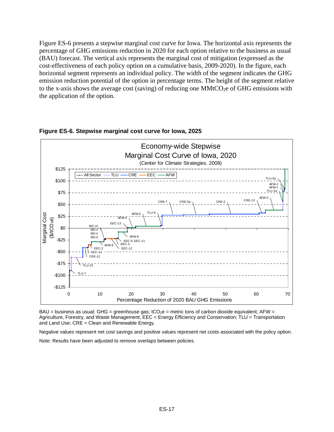Figure ES-6 presents a stepwise marginal cost curve for Iowa. The horizontal axis represents the percentage of GHG emissions reduction in 2020 for each option relative to the business as usual (BAU) forecast. The vertical axis represents the marginal cost of mitigation (expressed as the cost-effectiveness of each policy option on a cumulative basis, 2009-2020). In the figure, each horizontal segment represents an individual policy. The width of the segment indicates the GHG emission reduction potential of the option in percentage terms. The height of the segment relative to the x-axis shows the average cost (saving) of reducing one  $MMLCO<sub>2</sub>e$  of GHG emissions with the application of the option.



#### **Figure ES-6. Stepwise marginal cost curve for Iowa, 2025**

BAU = business as usual; GHG = greenhouse gas;  $tCO_2e$  = metric tons of carbon dioxide equivalent; AFW = Agriculture, Forestry, and Waste Management; EEC = Energy Efficiency and Conservation; TLU = Transportation and Land Use; CRE = Clean and Renewable Energy.

Negative values represent net cost savings and positive values represent net costs associated with the policy option. Note: Results have been adjusted to remove overlaps between policies.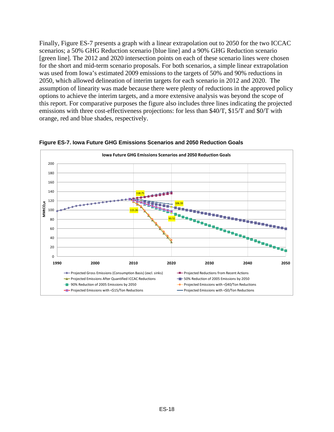Finally, Figure ES-7 presents a graph with a linear extrapolation out to 2050 for the two ICCAC scenarios; a 50% GHG Reduction scenario [blue line] and a 90% GHG Reduction scenario [green line]. The 2012 and 2020 intersection points on each of these scenario lines were chosen for the short and mid-term scenario proposals. For both scenarios, a simple linear extrapolation was used from Iowa's estimated 2009 emissions to the targets of 50% and 90% reductions in 2050, which allowed delineation of interim targets for each scenario in 2012 and 2020. The assumption of linearity was made because there were plenty of reductions in the approved policy options to achieve the interim targets, and a more extensive analysis was beyond the scope of this report. For comparative purposes the figure also includes three lines indicating the projected emissions with three cost-effectiveness projections: for less than \$40/T, \$15/T and \$0/T with orange, red and blue shades, respectively.



**Figure ES-7. Iowa Future GHG Emissions Scenarios and 2050 Reduction Goals**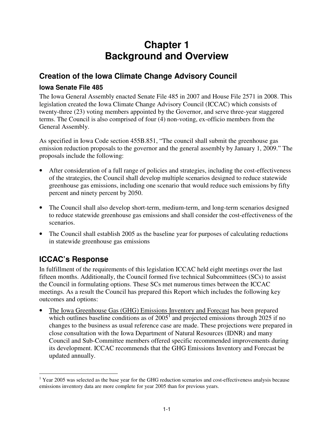## **Chapter 1 Background and Overview**

## **Creation of the Iowa Climate Change Advisory Council**

#### **Iowa Senate File 485**

The Iowa General Assembly enacted Senate File 485 in 2007 and House File 2571 in 2008. This legislation created the Iowa Climate Change Advisory Council (ICCAC) which consists of twenty-three (23) voting members appointed by the Governor, and serve three-year staggered terms. The Council is also comprised of four (4) non-voting, ex-officio members from the General Assembly.

As specified in Iowa Code section 455B.851, "The council shall submit the greenhouse gas emission reduction proposals to the governor and the general assembly by January 1, 2009." The proposals include the following:

- After consideration of a full range of policies and strategies, including the cost-effectiveness of the strategies, the Council shall develop multiple scenarios designed to reduce statewide greenhouse gas emissions, including one scenario that would reduce such emissions by fifty percent and ninety percent by 2050.
- The Council shall also develop short-term, medium-term, and long-term scenarios designed to reduce statewide greenhouse gas emissions and shall consider the cost-effectiveness of the scenarios.
- The Council shall establish 2005 as the baseline year for purposes of calculating reductions in statewide greenhouse gas emissions

## **ICCAC's Response**

In fulfillment of the requirements of this legislation ICCAC held eight meetings over the last fifteen months. Additionally, the Council formed five technical Subcommittees (SCs) to assist the Council in formulating options. These SCs met numerous times between the ICCAC meetings. As a result the Council has prepared this Report which includes the following key outcomes and options:

• The Iowa Greenhouse Gas (GHG) Emissions Inventory and Forecast has been prepared which outlines baseline conditions as of  $2005<sup>1</sup>$  and projected emissions through  $2025$  if no changes to the business as usual reference case are made. These projections were prepared in close consultation with the Iowa Department of Natural Resources (IDNR) and many Council and Sub-Committee members offered specific recommended improvements during its development. ICCAC recommends that the GHG Emissions Inventory and Forecast be updated annually.

<sup>-</sup> $1$  Year 2005 was selected as the base year for the GHG reduction scenarios and cost-effectiveness analysis because emissions inventory data are more complete for year 2005 than for previous years.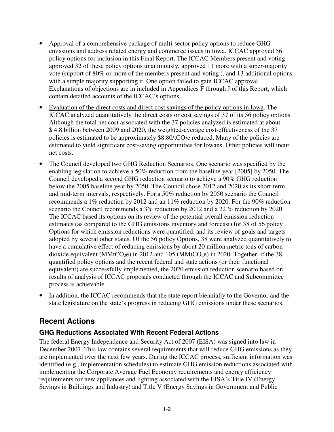- Approval of a comprehensive package of multi-sector policy options to reduce GHG emissions and address related energy and commerce issues in Iowa. ICCAC approved 56 policy options for inclusion in this Final Report. The ICCAC Members present and voting approved 32 of these policy options unanimously, approved 11 more with a super-majority vote (support of 80% or more of the members present and voting ), and 13 additional options with a simple majority supporting it. One option failed to gain ICCAC approval. Explanations of objections are in included in Appendices F through J of this Report, which contain detailed accounts of the ICCAC's options.
- Evaluation of the direct costs and direct cost savings of the policy options in Iowa. The ICCAC analyzed quantitatively the direct costs or cost savings of 37 of its 56 policy options. Although the total net cost associated with the 37 policies analyzed is estimated at about \$ 4.8 billion between 2009 and 2020, the weighted-average cost-effectiveness of the 37 policies is estimated to be approximately  $$8.80/tCO<sub>2</sub>e$  reduced. Many of the policies are estimated to yield significant cost-saving opportunities for Iowans. Other policies will incur net costs.
- The Council developed two GHG Reduction Scenarios. One scenario was specified by the enabling legislation to achieve a 50% reduction from the baseline year [2005] by 2050. The Council developed a second GHG reduction scenario to achieve a 90% GHG reduction below the 2005 baseline year by 2050. The Council chose 2012 and 2020 as its short-term and mid-term intervals, respectively. For a 50% reduction by 2050 scenario the Council recommends a 1% reduction by 2012 and an 11% reduction by 2020. For the 90% reduction scenario the Council recommends a 3% reduction by 2012 and a 22 % reduction by 2020. The ICCAC based its options on its review of the potential overall emission reduction estimates (as compared to the GHG emissions inventory and forecast) for 38 of 56 policy Options for which emission reductions were quantified, and its review of goals and targets adopted by several other states. Of the 56 policy Options, 38 were analyzed quantitatively to have a cumulative effect of reducing emissions by about 20 million metric tons of carbon dioxide equivalent (MMtCO<sub>2</sub>e) in 2012 and 105 (MMtCO<sub>2</sub>e) in 2020. Together, if the 38 quantified policy options and the recent federal and state actions (or their functional equivalent) are successfully implemented, the 2020 emission reduction scenario based on results of analysis of ICCAC proposals conducted through the ICCAC and Subcommittee process is achievable.
- In addition, the ICCAC recommends that the state report biennially to the Governor and the state legislature on the state's progress in reducing GHG emissions under these scenarios.

## **Recent Actions**

#### **GHG Reductions Associated With Recent Federal Actions**

The federal Energy Independence and Security Act of 2007 (EISA) was signed into law in December 2007. This law contains several requirements that will reduce GHG emissions as they are implemented over the next few years. During the ICCAC process, sufficient information was identified (e.g., implementation schedules) to estimate GHG emission reductions associated with implementing the Corporate Average Fuel Economy requirements and energy efficiency requirements for new appliances and lighting associated with the EISA's Title IV (Energy Savings in Buildings and Industry) and Title V (Energy Savings in Government and Public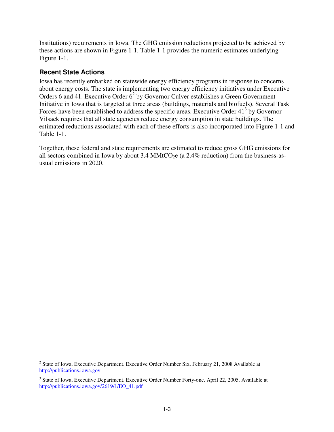Institutions) requirements in Iowa. The GHG emission reductions projected to be achieved by these actions are shown in Figure 1-1. Table 1-1 provides the numeric estimates underlying Figure 1-1.

#### **Recent State Actions**

-

Iowa has recently embarked on statewide energy efficiency programs in response to concerns about energy costs. The state is implementing two energy efficiency initiatives under Executive Orders 6 and 41. Executive Order  $6<sup>2</sup>$  by Governor Culver establishes a Green Government Initiative in Iowa that is targeted at three areas (buildings, materials and biofuels). Several Task Forces have been established to address the specific areas. Executive Order  $41<sup>3</sup>$  by Governor Vilsack requires that all state agencies reduce energy consumption in state buildings. The estimated reductions associated with each of these efforts is also incorporated into Figure 1-1 and Table 1-1.

Together, these federal and state requirements are estimated to reduce gross GHG emissions for all sectors combined in Iowa by about  $3.4 \text{ MMtCO}_2e$  (a  $2.4\%$  reduction) from the business-asusual emissions in 2020.

<sup>&</sup>lt;sup>2</sup> State of Iowa, Executive Department. Executive Order Number Six, February 21, 2008 Available at http://publications.iowa.gov

<sup>&</sup>lt;sup>3</sup> State of Iowa, Executive Department. Executive Order Number Forty-one. April 22, 2005. Available at http://publications.iowa.gov/2619/1/EO\_41.pdf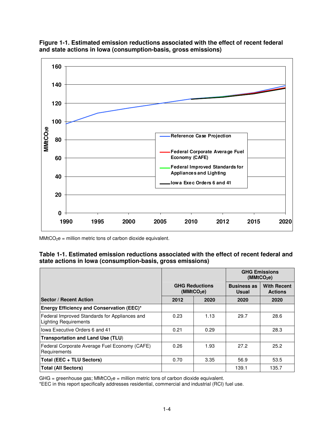



 $MMtCO<sub>2</sub>e = million metric tons of carbon dioxide equivalent.$ 

#### **Table 1-1. Estimated emission reductions associated with the effect of recent federal and state actions in Iowa (consumption-basis, gross emissions)**

|                                                                               |                                                 |      | <b>GHG Emissions</b><br>(MMtCO <sub>2</sub> e) |                                      |  |
|-------------------------------------------------------------------------------|-------------------------------------------------|------|------------------------------------------------|--------------------------------------|--|
|                                                                               | <b>GHG Reductions</b><br>(MMtCO <sub>2</sub> e) |      | <b>Business as</b><br><b>Usual</b>             | <b>With Recent</b><br><b>Actions</b> |  |
| <b>Sector / Recent Action</b>                                                 | 2012                                            | 2020 | 2020                                           | 2020                                 |  |
| <b>Energy Efficiency and Conservation (EEC)*</b>                              |                                                 |      |                                                |                                      |  |
| Federal Improved Standards for Appliances and<br><b>Lighting Requirements</b> | 0.23                                            | 1.13 | 29.7                                           | 28.6                                 |  |
| Iowa Executive Orders 6 and 41                                                | 0.21                                            | 0.29 |                                                | 28.3                                 |  |
| <b>Transportation and Land Use (TLU)</b>                                      |                                                 |      |                                                |                                      |  |
| Federal Corporate Average Fuel Economy (CAFE)<br>Requirements                 | 0.26                                            | 1.93 | 27.2                                           | 25.2                                 |  |
| Total (EEC + TLU Sectors)                                                     | 0.70                                            | 3.35 | 56.9                                           | 53.5                                 |  |
| <b>Total (All Sectors)</b>                                                    |                                                 |      | 139.1                                          | 135.7                                |  |

 $GHG = greenhouse gas; MMtCO<sub>2</sub>e = million metric tons of carbon dioxide equivalent.$ 

\*EEC in this report specifically addresses residential, commercial and industrial (RCI) fuel use.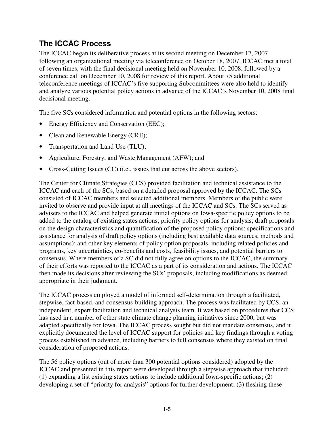## **The ICCAC Process**

The ICCAC began its deliberative process at its second meeting on December 17, 2007 following an organizational meeting via teleconference on October 18, 2007. ICCAC met a total of seven times, with the final decisional meeting held on November 10, 2008, followed by a conference call on December 10, 2008 for review of this report. About 75 additional teleconference meetings of ICCAC's five supporting Subcommittees were also held to identify and analyze various potential policy actions in advance of the ICCAC's November 10, 2008 final decisional meeting.

The five SCs considered information and potential options in the following sectors:

- Energy Efficiency and Conservation (EEC);
- Clean and Renewable Energy (CRE);
- Transportation and Land Use (TLU);
- Agriculture, Forestry, and Waste Management (AFW); and
- Cross-Cutting Issues (CC) (i.e., issues that cut across the above sectors).

The Center for Climate Strategies (CCS) provided facilitation and technical assistance to the ICCAC and each of the SCs, based on a detailed proposal approved by the ICCAC. The SCs consisted of ICCAC members and selected additional members. Members of the public were invited to observe and provide input at all meetings of the ICCAC and SCs. The SCs served as advisers to the ICCAC and helped generate initial options on Iowa-specific policy options to be added to the catalog of existing states actions; priority policy options for analysis; draft proposals on the design characteristics and quantification of the proposed policy options; specifications and assistance for analysis of draft policy options (including best available data sources, methods and assumptions); and other key elements of policy option proposals, including related policies and programs, key uncertainties, co-benefits and costs, feasibility issues, and potential barriers to consensus. Where members of a SC did not fully agree on options to the ICCAC, the summary of their efforts was reported to the ICCAC as a part of its consideration and actions. The ICCAC then made its decisions after reviewing the SCs' proposals, including modifications as deemed appropriate in their judgment.

The ICCAC process employed a model of informed self-determination through a facilitated, stepwise, fact-based, and consensus-building approach. The process was facilitated by CCS, an independent, expert facilitation and technical analysis team. It was based on procedures that CCS has used in a number of other state climate change planning initiatives since 2000, but was adapted specifically for Iowa. The ICCAC process sought but did not mandate consensus, and it explicitly documented the level of ICCAC support for policies and key findings through a voting process established in advance, including barriers to full consensus where they existed on final consideration of proposed actions.

The 56 policy options (out of more than 300 potential options considered) adopted by the ICCAC and presented in this report were developed through a stepwise approach that included: (1) expanding a list existing states actions to include additional Iowa-specific actions; (2) developing a set of "priority for analysis" options for further development; (3) fleshing these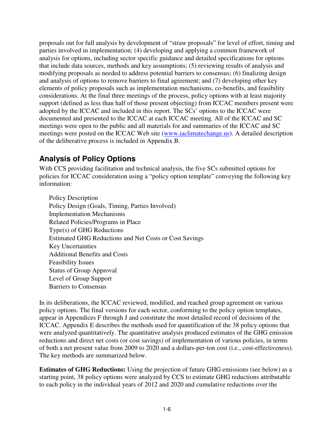proposals out for full analysis by development of "straw proposals" for level of effort, timing and parties involved in implementation; (4) developing and applying a common framework of analysis for options, including sector specific guidance and detailed specifications for options that include data sources, methods and key assumptions; (5) reviewing results of analysis and modifying proposals as needed to address potential barriers to consensus; (6) finalizing design and analysis of options to remove barriers to final agreement; and (7) developing other key elements of policy proposals such as implementation mechanisms, co-benefits, and feasibility considerations. At the final three meetings of the process, policy options with at least majority support (defined as less than half of those present objecting) from ICCAC members present were adopted by the ICCAC and included in this report. The SCs' options to the ICCAC were documented and presented to the ICCAC at each ICCAC meeting. All of the ICCAC and SC meetings were open to the public and all materials for and summaries of the ICCAC and SC meetings were posted on the ICCAC Web site (www.iaclimatechange.us). A detailed description of the deliberative process is included in Appendix B.

# **Analysis of Policy Options**

With CCS providing facilitation and technical analysis, the five SCs submitted options for policies for ICCAC consideration using a "policy option template" conveying the following key information:

Policy Description Policy Design (Goals, Timing, Parties Involved) Implementation Mechanisms Related Policies/Programs in Place Type(s) of GHG Reductions Estimated GHG Reductions and Net Costs or Cost Savings Key Uncertainties Additional Benefits and Costs Feasibility Issues Status of Group Approval Level of Group Support Barriers to Consensus

In its deliberations, the ICCAC reviewed, modified, and reached group agreement on various policy options. The final versions for each sector, conforming to the policy option templates, appear in Appendices F through J and constitute the most detailed record of decisions of the ICCAC. Appendix E describes the methods used for quantification of the 38 policy options that were analyzed quantitatively. The quantitative analysis produced estimates of the GHG emission reductions and direct net costs (or cost savings) of implementation of various policies, in terms of both a net present value from 2009 to 2020 and a dollars-per-ton cost (i.e., cost-effectiveness). The key methods are summarized below.

**Estimates of GHG Reductions:** Using the projection of future GHG emissions (see below) as a starting point, 38 policy options were analyzed by CCS to estimate GHG reductions attributable to each policy in the individual years of 2012 and 2020 and cumulative reductions over the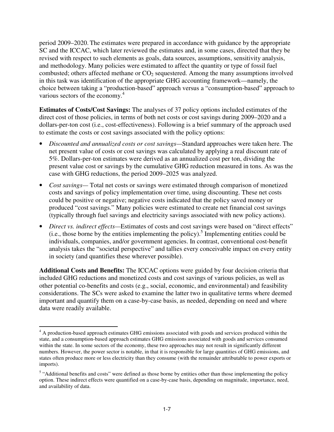period 2009–2020. The estimates were prepared in accordance with guidance by the appropriate SC and the ICCAC, which later reviewed the estimates and, in some cases, directed that they be revised with respect to such elements as goals, data sources, assumptions, sensitivity analysis, and methodology. Many policies were estimated to affect the quantity or type of fossil fuel combusted; others affected methane or  $CO<sub>2</sub>$  sequestered. Among the many assumptions involved in this task was identification of the appropriate GHG accounting framework—namely, the choice between taking a "production-based" approach versus a "consumption-based" approach to various sectors of the economy.<sup>4</sup>

**Estimates of Costs/Cost Savings:** The analyses of 37 policy options included estimates of the direct cost of those policies, in terms of both net costs or cost savings during 2009–2020 and a dollars-per-ton cost (i.e., cost-effectiveness). Following is a brief summary of the approach used to estimate the costs or cost savings associated with the policy options:

- *Discounted and annualized costs or cost savings—*Standard approaches were taken here. The net present value of costs or cost savings was calculated by applying a real discount rate of 5%. Dollars-per-ton estimates were derived as an annualized cost per ton, dividing the present value cost or savings by the cumulative GHG reduction measured in tons. As was the case with GHG reductions, the period 2009–2025 was analyzed.
- *Cost savings*—Total net costs or savings were estimated through comparison of monetized costs and savings of policy implementation over time, using discounting. These net costs could be positive or negative; negative costs indicated that the policy saved money or produced "cost savings." Many policies were estimated to create net financial cost savings (typically through fuel savings and electricity savings associated with new policy actions).
- *Direct vs. indirect effects—*Estimates of costs and cost savings were based on "direct effects"  $(i.e., those borne by the entities implementing the policy).$ <sup>5</sup> Implementing entities could be individuals, companies, and/or government agencies. In contrast, conventional cost-benefit analysis takes the "societal perspective" and tallies every conceivable impact on every entity in society (and quantifies these wherever possible).

**Additional Costs and Benefits:** The ICCAC options were guided by four decision criteria that included GHG reductions and monetized costs and cost savings of various policies, as well as other potential co-benefits and costs (e.g., social, economic, and environmental) and feasibility considerations. The SCs were asked to examine the latter two in qualitative terms where deemed important and quantify them on a case-by-case basis, as needed, depending on need and where data were readily available.

<sup>&</sup>lt;u>.</u> <sup>4</sup> A production-based approach estimates GHG emissions associated with goods and services produced within the state, and a consumption-based approach estimates GHG emissions associated with goods and services consumed within the state. In some sectors of the economy, these two approaches may not result in significantly different numbers. However, the power sector is notable, in that it is responsible for large quantities of GHG emissions, and states often produce more or less electricity than they consume (with the remainder attributable to power exports or imports).

<sup>&</sup>lt;sup>5</sup> "Additional benefits and costs" were defined as those borne by entities other than those implementing the policy option. These indirect effects were quantified on a case-by-case basis, depending on magnitude, importance, need, and availability of data.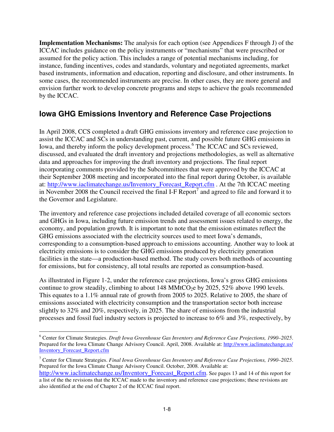**Implementation Mechanisms:** The analysis for each option (see Appendices F through J) of the ICCAC includes guidance on the policy instruments or "mechanisms" that were prescribed or assumed for the policy action. This includes a range of potential mechanisms including, for instance, funding incentives, codes and standards, voluntary and negotiated agreements, market based instruments, information and education, reporting and disclosure, and other instruments. In some cases, the recommended instruments are precise. In other cases, they are more general and envision further work to develop concrete programs and steps to achieve the goals recommended by the ICCAC.

# **Iowa GHG Emissions Inventory and Reference Case Projections**

In April 2008, CCS completed a draft GHG emissions inventory and reference case projection to assist the ICCAC and SCs in understanding past, current, and possible future GHG emissions in Iowa, and thereby inform the policy development process.<sup>6</sup> The ICCAC and SCs reviewed, discussed, and evaluated the draft inventory and projections methodologies, as well as alternative data and approaches for improving the draft inventory and projections. The final report incorporating comments provided by the Subcommittees that were approved by the ICCAC at their September 2008 meeting and incorporated into the final report during October, is available at: http://www.iaclimatechange.us/Inventory\_Forecast\_Report.cfm . At the 7th ICCAC meeting in November 2008 the Council received the final I-F Report<sup>7</sup> and agreed to file and forward it to the Governor and Legislature.

The inventory and reference case projections included detailed coverage of all economic sectors and GHGs in Iowa, including future emission trends and assessment issues related to energy, the economy, and population growth. It is important to note that the emission estimates reflect the GHG emissions associated with the electricity sources used to meet Iowa's demands, corresponding to a consumption-based approach to emissions accounting. Another way to look at electricity emissions is to consider the GHG emissions produced by electricity generation facilities in the state—a production-based method. The study covers both methods of accounting for emissions, but for consistency, all total results are reported as consumption-based.

As illustrated in Figure 1-2, under the reference case projections, Iowa's gross GHG emissions continue to grow steadily, climbing to about 148 MMtCO<sub>2</sub>e by 2025, 52% above 1990 levels. This equates to a 1.1% annual rate of growth from 2005 to 2025. Relative to 2005, the share of emissions associated with electricity consumption and the transportation sector both increase slightly to 32% and 20%, respectively, in 2025. The share of emissions from the industrial processes and fossil fuel industry sectors is projected to increase to 6% and 3%, respectively, by

 6 Center for Climate Strategies. *Draft Iowa Greenhouse Gas Inventory and Reference Case Projections, 1990–2025*. Prepared for the Iowa Climate Change Advisory Council. April, 2008. Available at: http://www.iaclimatechange.us/ Inventory\_Forecast\_Report.cfm

<sup>7</sup> Center for Climate Strategies. *Final Iowa Greenhouse Gas Inventory and Reference Case Projections, 1990–2025*. Prepared for the Iowa Climate Change Advisory Council. October, 2008. Available at:

http://www.iaclimatechange.us/Inventory\_Forecast\_Report.cfm. See pages 13 and 14 of this report for a list of the the revisions that the ICCAC made to the inventory and reference case projections; these revisions are also identified at the end of Chapter 2 of the ICCAC final report.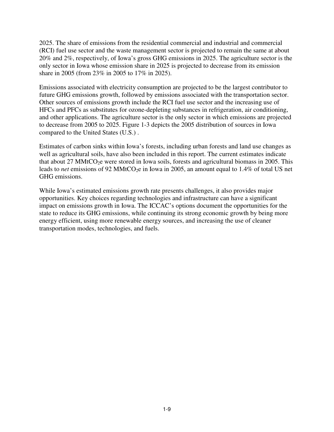2025. The share of emissions from the residential commercial and industrial and commercial (RCI) fuel use sector and the waste management sector is projected to remain the same at about 20% and 2%, respectively, of Iowa's gross GHG emissions in 2025. The agriculture sector is the only sector in Iowa whose emission share in 2025 is projected to decrease from its emission share in 2005 (from 23% in 2005 to 17% in 2025).

Emissions associated with electricity consumption are projected to be the largest contributor to future GHG emissions growth, followed by emissions associated with the transportation sector. Other sources of emissions growth include the RCI fuel use sector and the increasing use of HFCs and PFCs as substitutes for ozone-depleting substances in refrigeration, air conditioning, and other applications. The agriculture sector is the only sector in which emissions are projected to decrease from 2005 to 2025. Figure 1-3 depicts the 2005 distribution of sources in Iowa compared to the United States (U.S.) .

Estimates of carbon sinks within Iowa's forests, including urban forests and land use changes as well as agricultural soils, have also been included in this report. The current estimates indicate that about 27 MMtCO<sub>2</sub>e were stored in Iowa soils, forests and agricultural biomass in 2005. This leads to *net* emissions of 92 MMtCO<sub>2</sub>e in Iowa in 2005, an amount equal to 1.4% of total US net GHG emissions.

While Iowa's estimated emissions growth rate presents challenges, it also provides major opportunities. Key choices regarding technologies and infrastructure can have a significant impact on emissions growth in Iowa. The ICCAC's options document the opportunities for the state to reduce its GHG emissions, while continuing its strong economic growth by being more energy efficient, using more renewable energy sources, and increasing the use of cleaner transportation modes, technologies, and fuels.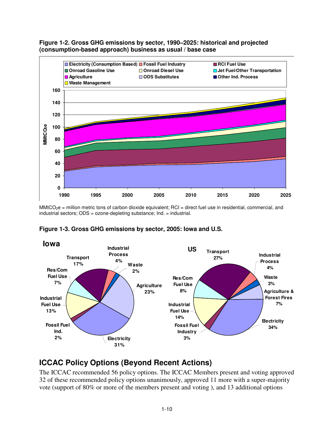



 $MMCO<sub>2</sub>e$  = million metric tons of carbon dioxide equivalent; RCI = direct fuel use in residential, commercial, and industrial sectors; ODS = ozone-depleting substance; Ind. = industrial.



#### **Figure 1-3. Gross GHG emissions by sector, 2005: Iowa and U.S.**

# **ICCAC Policy Options (Beyond Recent Actions)**

The ICCAC recommended 56 policy options. The ICCAC Members present and voting approved 32 of these recommended policy options unanimously, approved 11 more with a super-majority vote (support of 80% or more of the members present and voting ), and 13 additional options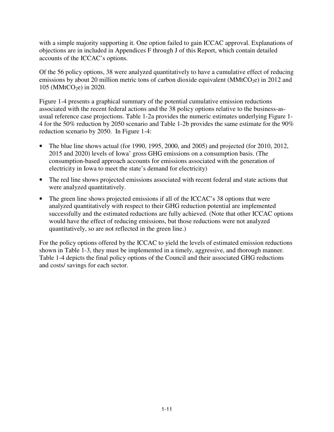with a simple majority supporting it. One option failed to gain ICCAC approval. Explanations of objections are in included in Appendices F through J of this Report, which contain detailed accounts of the ICCAC's options.

Of the 56 policy options, 38 were analyzed quantitatively to have a cumulative effect of reducing emissions by about 20 million metric tons of carbon dioxide equivalent ( $M/MtCO<sub>2</sub>e$ ) in 2012 and 105 (MMtCO<sub>2</sub>e) in 2020.

Figure 1-4 presents a graphical summary of the potential cumulative emission reductions associated with the recent federal actions and the 38 policy options relative to the business-asusual reference case projections. Table 1-2a provides the numeric estimates underlying Figure 1- 4 for the 50% reduction by 2050 scenario and Table 1-2b provides the same estimate for the 90% reduction scenario by 2050. In Figure 1-4:

- The blue line shows actual (for 1990, 1995, 2000, and 2005) and projected (for 2010, 2012, 2015 and 2020) levels of Iowa' gross GHG emissions on a consumption basis. (The consumption-based approach accounts for emissions associated with the generation of electricity in Iowa to meet the state's demand for electricity)
- The red line shows projected emissions associated with recent federal and state actions that were analyzed quantitatively.
- The green line shows projected emissions if all of the ICCAC's 38 options that were analyzed quantitatively with respect to their GHG reduction potential are implemented successfully and the estimated reductions are fully achieved. (Note that other ICCAC options would have the effect of reducing emissions, but those reductions were not analyzed quantitatively, so are not reflected in the green line.)

For the policy options offered by the ICCAC to yield the levels of estimated emission reductions shown in Table 1-3, they must be implemented in a timely, aggressive, and thorough manner. Table 1-4 depicts the final policy options of the Council and their associated GHG reductions and costs/ savings for each sector.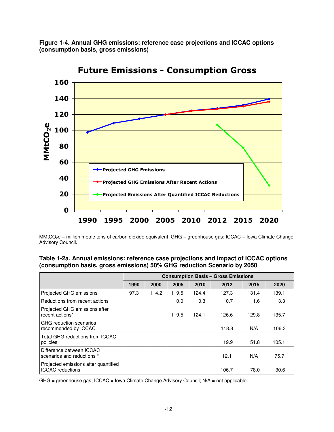**Figure 1-4. Annual GHG emissions: reference case projections and ICCAC options (consumption basis, gross emissions)** 



Future Emissions - Consumption Gross

MMtCO<sub>2</sub>e = million metric tons of carbon dioxide equivalent; GHG = greenhouse gas; ICCAC = Iowa Climate Change Advisory Council.

| Table 1-2a. Annual emissions: reference case projections and impact of ICCAC options |
|--------------------------------------------------------------------------------------|
| (consumption basis, gross emissions) 50% GHG reduction Scenario by 2050              |

|                                                                 | <b>Consumption Basis - Gross Emissions</b> |       |       |       |       |       |       |
|-----------------------------------------------------------------|--------------------------------------------|-------|-------|-------|-------|-------|-------|
|                                                                 | 1990                                       | 2000  | 2005  | 2010  | 2012  | 2015  | 2020  |
| Projected GHG emissions                                         | 97.3                                       | 114.2 | 119.5 | 124.4 | 127.3 | 131.4 | 139.1 |
| Reductions from recent actions                                  |                                            |       | 0.0   | 0.3   | 0.7   | 1.6   | 3.3   |
| Projected GHG emissions after<br>recent actions*                |                                            |       | 119.5 | 124.1 | 126.6 | 129.8 | 135.7 |
| <b>GHG</b> reduction scenarios<br>recommended by ICCAC          |                                            |       |       |       | 118.8 | N/A   | 106.3 |
| Total GHG reductions from ICCAC<br>policies                     |                                            |       |       |       | 19.9  | 51.8  | 105.1 |
| Difference between ICCAC<br>scenarios and reductions *          |                                            |       |       |       | 12.1  | N/A   | 75.7  |
| Projected emissions after quantified<br><b>ICCAC</b> reductions |                                            |       |       |       | 106.7 | 78.0  | 30.6  |

GHG = greenhouse gas; ICCAC = Iowa Climate Change Advisory Council; N/A = not applicable.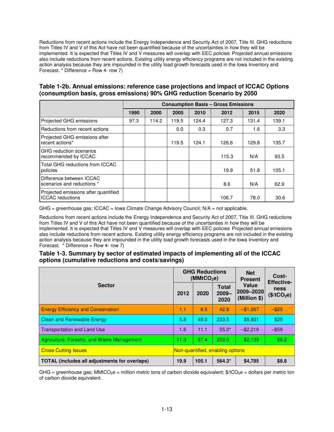Reductions from recent actions include the Energy Independence and Security Act of 2007, Title III. GHG reductions from Titles IV and V of this Act have not been quantified because of the uncertainties in how they will be implemented. It is expected that Titles IV and V measures will overlap with EEC policies. Projected annual emissions also include reductions from recent actions. Existing utility energy efficiency programs are not included in the existing action analysis because they are impounded in the utility load growth forecasts used in the Iowa Inventory and Forecast. \* Difference = Row 4- row 7)

#### **Table 1-2b. Annual emissions: reference case projections and impact of ICCAC Options (consumption basis, gross emissions) 90% GHG reduction Scenario by 2050**

|                                                                 | <b>Consumption Basis - Gross Emissions</b> |       |       |       |       |       |       |
|-----------------------------------------------------------------|--------------------------------------------|-------|-------|-------|-------|-------|-------|
|                                                                 | 1990                                       | 2000  | 2005  | 2010  | 2012  | 2015  | 2020  |
| Projected GHG emissions                                         | 97.3                                       | 114.2 | 119.5 | 124.4 | 127.3 | 131.4 | 139.1 |
| Reductions from recent actions                                  |                                            |       | 0.0   | 0.3   | 0.7   | 1.6   | 3.3   |
| Projected GHG emissions after<br>recent actions*                |                                            |       | 119.5 | 124.1 | 126.6 | 129.8 | 135.7 |
| <b>GHG</b> reduction scenarios<br>recommended by ICCAC          |                                            |       |       |       | 115.3 | N/A   | 93.5  |
| Total GHG reductions from ICCAC<br>policies                     |                                            |       |       |       | 19.9  | 51.8  | 105.1 |
| Difference between ICCAC<br>scenarios and reductions *          |                                            |       |       |       | 8.6   | N/A   | 62.9  |
| Projected emissions after quantified<br><b>ICCAC</b> reductions |                                            |       |       |       | 106.7 | 78.0  | 30.6  |

 $GHG = greenhouse gas$ ;  $ICCAC = Iowa Climate Change Advisory Council$ ;  $N/A = not applicable$ .

Reductions from recent actions include the Energy Independence and Security Act of 2007, Title III. GHG reductions from Titles IV and V of this Act have not been quantified because of the uncertainties in how they will be implemented. It is expected that Titles IV and V measures will overlap with EEC policies. Projected annual emissions also include reductions from recent actions. Existing utility energy efficiency programs are not included in the existing action analysis because they are impounded in the utility load growth forecasts used in the Iowa Inventory and Forecast.  $*$  Difference = Row 4- row 7)

#### **Table 1-3. Summary by sector of estimated impacts of implementing all of the ICCAC options (cumulative reductions and costs/savings)**

|                                                      |      | <b>GHG Reductions</b><br>(MMtCO <sub>2</sub> e) |                                  | <b>Net</b><br><b>Present</b>         | Cost-<br><b>Effective-</b>             |
|------------------------------------------------------|------|-------------------------------------------------|----------------------------------|--------------------------------------|----------------------------------------|
| <b>Sector</b>                                        |      | 2020                                            | <b>Total</b><br>$2009 -$<br>2020 | Value<br> 2009–2020 <br>(Million \$) | <b>ness</b><br>(\$/tCO <sub>2</sub> e) |
| <b>Energy Efficiency and Conservation</b>            | 1.1  | 8.5                                             | 42.8                             | $-$1,057$                            | $-$ \$25                               |
| <b>Clean and Renewable Energy</b>                    | 5.8  | 48.0                                            | 233.5                            | \$5,921                              | \$25                                   |
| <b>Transportation and Land Use</b>                   | 1.6  | 11.1                                            | $55.0*$                          | $-$ \$2,219                          | $-$ \$59                               |
| Agriculture, Forestry, and Waste Management          | 11.3 | 37.4                                            | 233.0                            | \$2.139                              | \$9.2                                  |
| <b>Cross-Cutting Issues</b>                          |      |                                                 | Non-quantified, enabling options |                                      |                                        |
| <b>TOTAL (includes all adjustments for overlaps)</b> | 19.9 | 105.1                                           | $564.3*$                         | \$4,785                              | \$8.8                                  |

GHG = greenhouse gas; MMtCO<sub>2</sub>e = million metric tons of carbon dioxide equivalent;  $\frac{4}{C}$ CO<sub>2</sub>e = dollars per metric ton of carbon dioxide equivalent.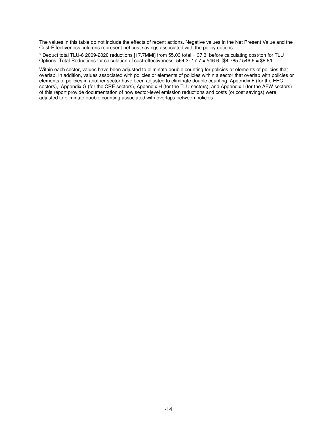The values in this table do not include the effects of recent actions. Negative values in the Net Present Value and the Cost-Effectiveness columns represent net cost savings associated with the policy options.

\* Deduct total TLU-6 2009-2020 reductions [17.7MMt] from 55.03 total = 37.3, before calculating cost/ton for TLU Options. Total Reductions for calculation of cost-effectiveness: 564.3- 17.7 = 546.6. [\$4.785 / 546.6 = \$8.8/t

Within each sector, values have been adjusted to eliminate double counting for policies or elements of policies that overlap. In addition, values associated with policies or elements of policies within a sector that overlap with policies or elements of policies in another sector have been adjusted to eliminate double counting. Appendix F (for the EEC sectors), Appendix G (for the CRE sectors), Appendix H (for the TLU sectors), and Appendix I (for the AFW sectors) of this report provide documentation of how sector-level emission reductions and costs (or cost savings) were adjusted to eliminate double counting associated with overlaps between policies.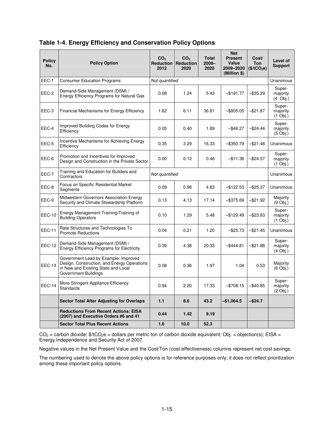| <b>Policy</b><br>No. | <b>Policy Option</b>                                                                                                                               | CO <sub>2</sub><br>2012 | CO <sub>2</sub><br><b>Reduction   Reduction</b><br>2020 | <b>Total</b><br>$2009 -$<br>2020 | <b>Net</b><br><b>Present</b><br>Value<br>2009-2020<br>(Million \$) | Cost/<br><b>Ton</b><br>(\$/tCO <sub>2</sub> e) | Level of<br><b>Support</b>              |
|----------------------|----------------------------------------------------------------------------------------------------------------------------------------------------|-------------------------|---------------------------------------------------------|----------------------------------|--------------------------------------------------------------------|------------------------------------------------|-----------------------------------------|
| EEC-1                | <b>Consumer Education Programs</b>                                                                                                                 | Not quantified          |                                                         |                                  |                                                                    |                                                | Unanimous                               |
| EEC-2                | Demand-Side Management (DSM) /<br>Energy Efficiency Programs for Natural Gas                                                                       | 0.08                    | 1.24                                                    | 5.43                             | $-$ \$191.77                                                       | $-$ \$35.29                                    | Super-<br>majority<br>$(4$ Obj.)        |
| EEC-3                | Financial Mechanisms for Energy Efficiency                                                                                                         | 1.62                    | 6.11                                                    | 36.81                            | $-$ \$805.05                                                       | $-$ \$21.87                                    | Super-<br>majority<br>$(1$ Obj.)        |
| EEC-4                | Improved Building Codes for Energy<br>Efficiency                                                                                                   | 0.05                    | 0.40                                                    | 1.89                             | $-$ \$46.27                                                        | $-$ \$24.44                                    | Super-<br>majority<br>$(5 \text{Obj.})$ |
| EEC-5                | Incentive Mechanisms for Achieving Energy<br>Efficiency                                                                                            | 0.35                    | 3.29                                                    | 16.33                            | $-$ \$350.79                                                       | $-$ \$21.48                                    | Unanimous                               |
| EEC-6                | Promotion and Incentives for Improved<br>Design and Construction in the Private Sector                                                             | 0.00                    | 0.12                                                    | 0.46                             | $-$ \$11.36                                                        | $-$24.57$                                      | Super-<br>majority<br>$(1$ Obj.)        |
| EEC-7                | Training and Education for Builders and<br>Contractors                                                                                             | Not quantified          |                                                         |                                  |                                                                    |                                                | Unanimous                               |
| EEC-8                | Focus on Specific Residential Market<br>Segments                                                                                                   | 0.09                    | 0.98                                                    | 4.83                             | $-$ \$122.53                                                       | $-$25.37$                                      | Unanimous                               |
| EEC-9                | Midwestern Governors Association Energy<br>Security and Climate Stewardship Platform                                                               | 0.13                    | 4.13                                                    | 17.14                            | $-$ \$375.69                                                       | $-$ \$21.92                                    | Majority<br>$(9$ Obj.)                  |
| <b>EEC-10</b>        | Energy Management Training/Training of<br><b>Building Operators</b>                                                                                | 0.10                    | 1.29                                                    | 5.48                             | $-$ \$129.49                                                       | -\$23.63                                       | Super-<br>majority<br>$(1$ Obj.)        |
| <b>EEC-11</b>        | Rate Structures and Technologies To<br><b>Promote Reductions</b>                                                                                   | 0.04                    | 0.21                                                    | 1.20                             | $-$ \$25.73                                                        | $-$ \$21.45                                    | Unanimous                               |
| <b>EEC-12</b>        | Demand-Side Management (DSM) /<br><b>Energy Efficiency Programs for Electricity</b>                                                                | 0.39                    | 4.38                                                    | 20.33                            | $-$ \$444.81                                                       | $-$21.88$                                      | Super-<br>majority<br>$(4$ Obj.)        |
| <b>EEC-13</b>        | Government Lead by Example: Improved<br>Design, Construction, and Energy Operations<br>in New and Existing State and Local<br>Government Buildings | 0.08                    | 0.36                                                    | 1.97                             | 1.04                                                               | 0.53                                           | Majority<br>$(6 \text{ Obi.})$          |
| <b>EEC-14</b>        | More Stringent Appliance Efficiency<br><b>Standards</b>                                                                                            | 0.94                    | 2.20                                                    | 17.33                            | $-$ \$708.15                                                       | $-$ \$40.85                                    | Super-<br>majority<br>$(2 \text{Obj.})$ |
|                      | <b>Sector Total After Adjusting for Overlaps</b>                                                                                                   | 1.1                     | 8.6                                                     | 43.2                             | $-$1,064.5$                                                        | $-$ \$24.7                                     |                                         |
|                      | <b>Reductions From Recent Actions: EISA</b><br>(2007) and Executive Orders #6 and 41                                                               | 0.44                    | 1.42                                                    | 9.19                             |                                                                    |                                                |                                         |
|                      | <b>Sector Total Plus Recent Actions</b>                                                                                                            | 1.6                     | 10.0                                                    | 52.3                             |                                                                    |                                                |                                         |

#### **Table 1-4. Energy Efficiency and Conservation Policy Options**

 $CO_2$  = carbon dioxide;  $\frac{4}{5}$ /tCO<sub>2</sub>e = dollars per metric ton of carbon dioxide equivalent; Obj. = objection(s); EISA = Energy Independence and Security Act of 2007.

Negative values in the Net Present Value and the Cost/Ton (cost-effectiveness) columns represent net cost savings.

The numbering used to denote the above policy options is for reference purposes only; it does not reflect prioritization among these important policy options.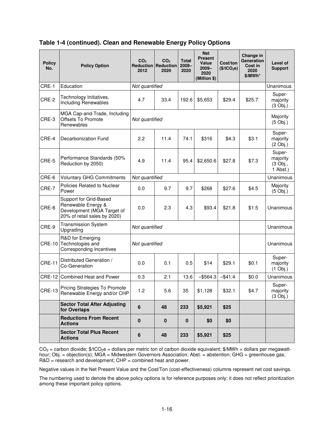| Table 1-4 (continued). Clean and Renewable Energy Policy Options |
|------------------------------------------------------------------|
|------------------------------------------------------------------|

| <b>Policy</b><br>No. | <b>Policy Option</b>                                                                                       | CO <sub>2</sub><br>2012 | CO <sub>2</sub><br><b>Reduction Reduction</b><br>2020 | <b>Total</b><br>$2009 -$<br>2020 | <b>Net</b><br><b>Present</b><br>Value<br>$2009 -$<br>2020<br>(Million \$) | Cost/ton<br>(\$/tCO <sub>2</sub> e) | Change in<br>Generation<br>Cost in<br>2020<br>\$/MWh* | Level of<br><b>Support</b>                 |
|----------------------|------------------------------------------------------------------------------------------------------------|-------------------------|-------------------------------------------------------|----------------------------------|---------------------------------------------------------------------------|-------------------------------------|-------------------------------------------------------|--------------------------------------------|
| CRE-1                | Education                                                                                                  | Not quantified          |                                                       |                                  |                                                                           |                                     |                                                       | Unanimous                                  |
| CRE-2                | Technology Initiatives,<br><b>Including Renewables</b>                                                     | 4.7                     | 33.4                                                  | 192.6                            | \$5,653                                                                   | \$29.4                              | \$25.7                                                | Super-<br>majority<br>$(3$ Obj.)           |
| CRE-3                | MGA Cap-and-Trade, Including<br>Offsets To Promote<br>Renewables                                           | Not quantified          |                                                       |                                  |                                                                           |                                     |                                                       | Majority<br>$(5 \text{Obj.})$              |
| CRE-4                | Decarbonization Fund                                                                                       | 2.2                     | 11.4                                                  | 74.1                             | \$316                                                                     | \$4.3                               | \$3.1                                                 | Super-<br>majority<br>$(2 \text{Obj.})$    |
| CRE-5                | Performance Standards (50%<br>Reduction by 2050)                                                           | 4.9                     | 11.4                                                  | 95.4                             | \$2,650.6                                                                 | \$27.8                              | \$7.3                                                 | Super-<br>majority<br>(3 Obj.,<br>1 Abst.) |
| CRE-6                | Voluntary GHG Commitments                                                                                  | Not quantified          |                                                       |                                  |                                                                           |                                     |                                                       | Unanimous                                  |
| CRE-7                | Policies Related to Nuclear<br>Power                                                                       | 0.0                     | 9.7                                                   | 9.7                              | \$268                                                                     | \$27.6                              | \$4.5                                                 | Majority<br>$(5 \text{ Obi.})$             |
| CRE-8                | Support for Grid-Based<br>Renewable Energy &<br>Development (MGA Target of<br>20% of retail sales by 2020) | 0.0                     | 2.3                                                   | 4.3                              | \$93.4                                                                    | \$21.8                              | \$1.5                                                 | Unanimous                                  |
| CRE-9                | <b>Transmission System</b><br>Upgrading                                                                    | Not quantified          |                                                       |                                  |                                                                           |                                     |                                                       | Unanimous                                  |
| <b>CRE-10</b>        | R&D for Emerging<br>Technologies and<br>Corresponding Incentives                                           | Not quantified          |                                                       |                                  |                                                                           |                                     |                                                       | Unanimous                                  |
| <b>CRE-11</b>        | Distributed Generation /<br>0.0<br>Co-Generation                                                           |                         | 0.1                                                   | 0.5                              | \$14                                                                      | \$29.1                              | \$0.1                                                 | Super-<br>majority<br>$(1$ Obj.)           |
| <b>CRE-12</b>        | Combined Heat and Power                                                                                    | 0.3                     | 2.1                                                   | 13.6                             | $-$ \$564.3                                                               | $-$ \$41.4                          | \$0.0                                                 | Unanimous                                  |
| <b>CRE-13</b>        | Pricing Strategies To Promote<br>Renewable Energy and/or CHP                                               | 1.2                     | 5.6                                                   | 35                               | \$1,128                                                                   | \$32.1                              | \$4.7                                                 | Super-<br>majority<br>$(3$ Obj.)           |
|                      | <b>Sector Total After Adjusting</b><br>for Overlaps                                                        | $6\phantom{a}$          | 48                                                    | 233                              | \$5,921                                                                   | \$25                                |                                                       |                                            |
|                      | <b>Reductions From Recent</b><br><b>Actions</b>                                                            | $\pmb{0}$               | $\bf{0}$                                              | $\mathbf 0$                      | \$0                                                                       | \$0                                 |                                                       |                                            |
|                      | <b>Sector Total Plus Recent</b><br><b>Actions</b>                                                          | 6                       | 48                                                    | 233                              | \$5,921                                                                   | \$25                                |                                                       |                                            |

 $CO_2$  = carbon dioxide;  $\frac{4}{C}CO_2e$  = dollars per metric ton of carbon dioxide equivalent;  $\frac{4}{2}$ MWh = dollars per megawatthour; Obj. = objection(s); MGA = Midwestern Governors Association; Abst. = abstention; GHG = greenhouse gas; R&D = research and development; CHP = combined heat and power.

Negative values in the Net Present Value and the Cost/Ton (cost-effectiveness) columns represent net cost savings.

The numbering used to denote the above policy options is for reference purposes only; it does not reflect prioritization among these important policy options.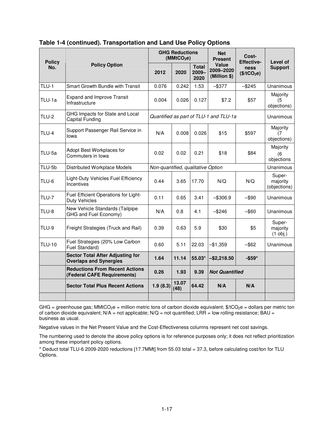| <b>Policy</b> |                                                                          | <b>GHG Reductions</b><br>(MMtCO <sub>2</sub> e) |               |                                  | <b>Net</b><br><b>Present</b>           | Cost-<br><b>Effective-</b>      | Level of                           |
|---------------|--------------------------------------------------------------------------|-------------------------------------------------|---------------|----------------------------------|----------------------------------------|---------------------------------|------------------------------------|
| No.           | <b>Policy Option</b>                                                     | 2012                                            | 2020          | <b>Total</b><br>$2009 -$<br>2020 | Value<br>2009-2020<br>(Million \$)     | ness<br>(\$/tCO <sub>2</sub> e) | <b>Support</b>                     |
| TLU-1         | <b>Smart Growth Bundle with Transit</b>                                  | 0.076                                           | 0.242         | 1.53                             | $-$ \$377                              | $-$ \$245                       | Unanimous                          |
| TLU-1a        | <b>Expand and Improve Transit</b><br>Infrastructure                      | 0.004                                           | 0.026         | 0.127                            | \$7.2                                  | \$57                            | Majority<br>(5<br>objections)      |
| <b>TLU-2</b>  | GHG Impacts for State and Local<br>Capital Funding                       |                                                 |               |                                  | Quantified as part of TLU-1 and TLU-1a |                                 | Unanimous                          |
| TLU-4         | Support Passenger Rail Service in<br>lowa                                |                                                 | 0.008         | 0.026                            | \$15                                   | \$597                           | Majority<br>(7<br>objections)      |
| TLU-5a        | Adopt Best Workplaces for<br>Commuters in Iowa                           |                                                 | 0.02          | 0.21                             | \$18                                   | \$84                            | Majority<br>(6<br>objections       |
| TLU-5b        | Distributed Workplace Models                                             | Non-quantified, qualitative Option              |               |                                  |                                        |                                 | Unanimous                          |
| TLU-6         | Light-Duty Vehicles Fuel Efficiency<br>Incentives                        | 0.44                                            | 3.65          | 17.70                            | N/O                                    | N/O                             | Super-<br>majority<br>(objections) |
| <b>TLU-7</b>  | Fuel Efficient Operations for Light-<br><b>Duty Vehicles</b>             | 0.11                                            | 0.65          | 3.41                             | $-$ \$306.9                            | $-$ \$90                        | Unanimous                          |
| TLU-8         | New Vehicle Standards (Tailpipe<br>GHG and Fuel Economy)                 | N/A                                             | 0.8           | 4.1                              | $-$ \$246                              | $-$ \$60                        | Unanimous                          |
| TLU-9         | Freight Strategies (Truck and Rail)                                      | 0.39                                            | 0.63          | 5.9                              | \$30                                   | \$5                             | Super-<br>majority<br>$(1$ obj.)   |
| <b>TLU-10</b> | Fuel Strategies (20% Low Carbon<br>Fuel Standard)                        | 0.60                                            | 5.11          | 22.03                            | -\$1,359                               | $-$ \$62                        | Unanimous                          |
|               | <b>Sector Total After Adjusting for</b><br><b>Overlaps and Synergies</b> | 1.64                                            | 11.14         | 55.03*                           | $-$ \$2,218.50                         | $-$ \$59*                       |                                    |
|               | <b>Reductions From Recent Actions</b><br>(Federal CAFE Requirements)     | 0.26                                            | 1.93          | 9.39                             | <b>Not Quantified</b>                  |                                 |                                    |
|               | <b>Sector Total Plus Recent Actions</b>                                  | 1.9(8.3)                                        | 13.07<br>(48) | 64.42                            | N/A                                    | N/A                             |                                    |
|               |                                                                          |                                                 |               |                                  |                                        |                                 |                                    |

#### **Table 1-4 (continued). Transportation and Land Use Policy Options**

GHG = greenhouse gas; MMtCO<sub>2</sub>e = million metric tons of carbon dioxide equivalent;  $\frac{1}{2}$ tCO<sub>2</sub>e = dollars per metric ton of carbon dioxide equivalent;  $N/A$  = not applicable;  $N/Q$  = not quantified;  $LRR$  = low rolling resistance;  $BAU$  = business as usual.

Negative values in the Net Present Value and the Cost-Effectiveness columns represent net cost savings.

The numbering used to denote the above policy options is for reference purposes only; it does not reflect prioritization among these important policy options.

\* Deduct total TLU-6 2009-2020 reductions [17.7MMt] from 55.03 total = 37.3, before calculating cost/ton for TLU Options.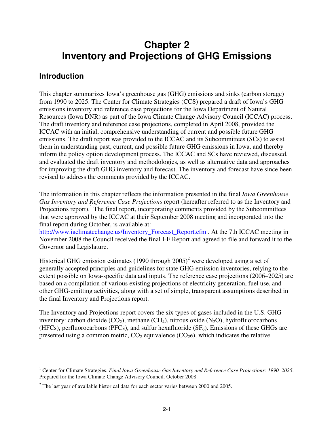# **Chapter 2 Inventory and Projections of GHG Emissions**

## **Introduction**

This chapter summarizes Iowa's greenhouse gas (GHG) emissions and sinks (carbon storage) from 1990 to 2025. The Center for Climate Strategies (CCS) prepared a draft of Iowa's GHG emissions inventory and reference case projections for the Iowa Department of Natural Resources (Iowa DNR) as part of the Iowa Climate Change Advisory Council (ICCAC) process. The draft inventory and reference case projections, completed in April 2008, provided the ICCAC with an initial, comprehensive understanding of current and possible future GHG emissions. The draft report was provided to the ICCAC and its Subcommittees (SCs) to assist them in understanding past, current, and possible future GHG emissions in Iowa, and thereby inform the policy option development process. The ICCAC and SCs have reviewed, discussed, and evaluated the draft inventory and methodologies, as well as alternative data and approaches for improving the draft GHG inventory and forecast. The inventory and forecast have since been revised to address the comments provided by the ICCAC.

The information in this chapter reflects the information presented in the final *Iowa Greenhouse Gas Inventory and Reference Case Projections* report (hereafter referred to as the Inventory and Projections report).<sup>1</sup> The final report, incorporating comments provided by the Subcommittees that were approved by the ICCAC at their September 2008 meeting and incorporated into the final report during October, is available at:

http://www.iaclimatechange.us/Inventory\_Forecast\_Report.cfm . At the 7th ICCAC meeting in November 2008 the Council received the final I-F Report and agreed to file and forward it to the Governor and Legislature.

Historical GHG emission estimates (1990 through  $2005$ )<sup>2</sup> were developed using a set of generally accepted principles and guidelines for state GHG emission inventories, relying to the extent possible on Iowa-specific data and inputs. The reference case projections (2006–2025) are based on a compilation of various existing projections of electricity generation, fuel use, and other GHG-emitting activities, along with a set of simple, transparent assumptions described in the final Inventory and Projections report.

The Inventory and Projections report covers the six types of gases included in the U.S. GHG inventory: carbon dioxide  $(CO_2)$ , methane  $(CH_4)$ , nitrous oxide  $(N_2O)$ , hydrofluorocarbons (HFCs), perfluorocarbons (PFCs), and sulfur hexafluoride  $(SF_6)$ . Emissions of these GHGs are presented using a common metric,  $CO<sub>2</sub>$  equivalence ( $CO<sub>2</sub>e$ ), which indicates the relative

 1 Center for Climate Strategies. *Final Iowa Greenhouse Gas Inventory and Reference Case Projections: 1990–2025*. Prepared for the Iowa Climate Change Advisory Council. October 2008.

 $2^2$  The last year of available historical data for each sector varies between 2000 and 2005.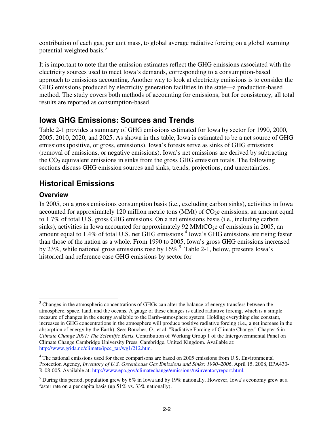contribution of each gas, per unit mass, to global average radiative forcing on a global warming potential-weighted basis.<sup>3</sup>

It is important to note that the emission estimates reflect the GHG emissions associated with the electricity sources used to meet Iowa's demands, corresponding to a consumption-based approach to emissions accounting. Another way to look at electricity emissions is to consider the GHG emissions produced by electricity generation facilities in the state—a production-based method. The study covers both methods of accounting for emissions, but for consistency, all total results are reported as consumption-based.

## **Iowa GHG Emissions: Sources and Trends**

Table 2-1 provides a summary of GHG emissions estimated for Iowa by sector for 1990, 2000, 2005, 2010, 2020, and 2025. As shown in this table, Iowa is estimated to be a net source of GHG emissions (positive, or gross, emissions). Iowa's forests serve as sinks of GHG emissions (removal of emissions, or negative emissions). Iowa's net emissions are derived by subtracting the  $CO<sub>2</sub>$  equivalent emissions in sinks from the gross GHG emission totals. The following sections discuss GHG emission sources and sinks, trends, projections, and uncertainties.

# **Historical Emissions**

### **Overview**

In 2005, on a gross emissions consumption basis (i.e., excluding carbon sinks), activities in Iowa accounted for approximately 120 million metric tons (MMt) of  $CO<sub>2</sub>e$  emissions, an amount equal to 1.7% of total U.S. gross GHG emissions. On a net emissions basis (i.e., including carbon sinks), activities in Iowa accounted for approximately 92 MMtCO<sub>2</sub>e of emissions in 2005, an amount equal to 1.4% of total U.S. net GHG emissions.<sup>4</sup> Iowa's GHG emissions are rising faster than those of the nation as a whole. From 1990 to 2005, Iowa's gross GHG emissions increased by 23%, while national gross emissions rose by  $16\%$ .<sup>5</sup> Table 2-1, below, presents Iowa's historical and reference case GHG emissions by sector for

<sup>-</sup><sup>3</sup> Changes in the atmospheric concentrations of GHGs can alter the balance of energy transfers between the atmosphere, space, land, and the oceans. A gauge of these changes is called radiative forcing, which is a simple measure of changes in the energy available to the Earth–atmosphere system. Holding everything else constant, increases in GHG concentrations in the atmosphere will produce positive radiative forcing (i.e., a net increase in the absorption of energy by the Earth). See: Boucher, O., et al. "Radiative Forcing of Climate Change." Chapter 6 in *Climate Change 2001: The Scientific Basis*. Contribution of Working Group 1 of the Intergovernmental Panel on Climate Change Cambridge University Press. Cambridge, United Kingdom. Available at: http://www.grida.no/climate/ipcc\_tar/wg1/212.htm.

<sup>&</sup>lt;sup>4</sup> The national emissions used for these comparisons are based on 2005 emissions from U.S. Environmental Protection Agency, *Inventory of U.S. Greenhouse Gas Emissions and Sinks: 1990–2006*, April 15, 2008, EPA430- R-08-005. Available at: http://www.epa.gov/climatechange/emissions/usinventoryreport.html.

<sup>&</sup>lt;sup>5</sup> During this period, population grew by 6% in Iowa and by 19% nationally. However, Iowa's economy grew at a faster rate on a per capita basis (up 51% vs. 33% nationally).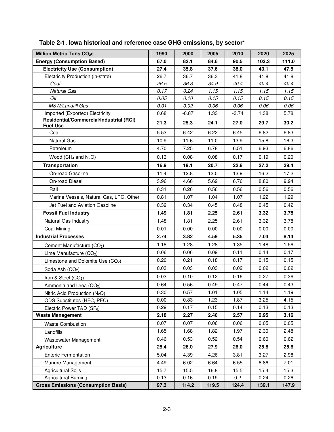| Million Metric Tons CO <sub>2</sub> e                      | 1990 | 2000    | 2005  | 2010    | 2020  | 2025  |
|------------------------------------------------------------|------|---------|-------|---------|-------|-------|
| <b>Energy (Consumption Based)</b>                          | 67.0 | 82.1    | 84.6  | 90.5    | 103.3 | 111.0 |
| <b>Electricity Use (Consumption)</b>                       | 27.4 | 35.8    | 37.6  | 38.0    | 43.1  | 47.5  |
| Electricity Production (in-state)                          | 26.7 | 36.7    | 36.3  | 41.8    | 41.8  | 41.8  |
| Coal                                                       | 26.5 | 36.3    | 34.9  | 40.4    | 40.4  | 40.4  |
| <b>Natural Gas</b>                                         | 0.17 | 0.24    | 1.15  | 1.15    | 1.15  | 1.15  |
| Oil                                                        | 0.05 | 0.10    | 0.15  | 0.15    | 0.15  | 0.15  |
| MSW/Landfill Gas                                           | 0.01 | 0.02    | 0.06  | 0.06    | 0.06  | 0.06  |
| Imported (Exported) Electricity                            | 0.68 | $-0.87$ | 1.33  | $-3.74$ | 1.38  | 5.78  |
| Residential/Commercial/Industrial (RCI)<br><b>Fuel Use</b> | 21.3 | 25.3    | 24.1  | 27.0    | 29.7  | 30.2  |
| Coal                                                       | 5.53 | 6.42    | 6.22  | 6.45    | 6.82  | 6.83  |
| <b>Natural Gas</b>                                         | 10.9 | 11.6    | 11.0  | 13.9    | 15.8  | 16.3  |
| Petroleum                                                  | 4.70 | 7.25    | 6.78  | 6.51    | 6.93  | 6.86  |
| Wood ( $CH_4$ and $N_2O$ )                                 | 0.13 | 0.08    | 0.08  | 0.17    | 0.19  | 0.20  |
| <b>Transportation</b>                                      | 16.9 | 19.1    | 20.7  | 22.8    | 27.2  | 29.4  |
| On-road Gasoline                                           | 11.4 | 12.8    | 13.0  | 13.9    | 16.2  | 17.2  |
| On-road Diesel                                             | 3.96 | 4.66    | 5.69  | 6.76    | 8.80  | 9.94  |
| Rail                                                       | 0.31 | 0.26    | 0.56  | 0.56    | 0.56  | 0.56  |
| Marine Vessels, Natural Gas, LPG, Other                    | 0.81 | 1.07    | 1.04  | 1.07    | 1.22  | 1.29  |
| Jet Fuel and Aviation Gasoline                             | 0.39 | 0.34    | 0.45  | 0.48    | 0.45  | 0.42  |
| <b>Fossil Fuel Industry</b>                                | 1.49 | 1.81    | 2.25  | 2.61    | 3.32  | 3.78  |
| Natural Gas Industry                                       | 1.48 | 1.81    | 2.25  | 2.61    | 3.32  | 3.78  |
| Coal Mining                                                | 0.01 | 0.00    | 0.00  | 0.00    | 0.00  | 0.00  |
| <b>Industrial Processes</b>                                | 2.74 | 3.82    | 4.59  | 5.35    | 7.04  | 8.14  |
| Cement Manufacture (CO <sub>2</sub> )                      | 1.18 | 1.28    | 1.28  | 1.35    | 1.48  | 1.56  |
| Lime Manufacture (CO <sub>2</sub> )                        | 0.06 | 0.06    | 0.09  | 0.11    | 0.14  | 0.17  |
| Limestone and Dolomite Use (CO <sub>2</sub> )              | 0.20 | 0.21    | 0.18  | 0.17    | 0.15  | 0.15  |
| Soda Ash (CO <sub>2</sub> )                                | 0.03 | 0.03    | 0.03  | 0.02    | 0.02  | 0.02  |
| Iron & Steel (CO <sub>2</sub> )                            | 0.03 | 0.10    | 0.12  | 0.16    | 0.27  | 0.36  |
| Ammonia and Urea (CO <sub>2</sub> )                        | 0.64 | 0.56    | 0.49  | 0.47    | 0.44  | 0.43  |
| Nitric Acid Production (N <sub>2</sub> O)                  | 0.30 | 0.57    | 1.01  | 1.05    | 1.14  | 1.19  |
| ODS Substitutes (HFC, PFC)                                 | 0.00 | 0.83    | 1.23  | 1.87    | 3.25  | 4.15  |
| Electric Power T&D (SF <sub>6</sub> )                      | 0.29 | 0.17    | 0.15  | 0.14    | 0.13  | 0.13  |
| <b>Waste Management</b>                                    | 2.18 | 2.27    | 2.40  | 2.57    | 2.95  | 3.16  |
| <b>Waste Combustion</b>                                    | 0.07 | 0.07    | 0.06  | 0.06    | 0.05  | 0.05  |
| Landfills                                                  | 1.65 | 1.68    | 1.82  | 1.97    | 2.30  | 2.48  |
| Wastewater Management                                      | 0.46 | 0.53    | 0.52  | 0.54    | 0.60  | 0.62  |
| <b>Agriculture</b>                                         | 25.4 | 26.0    | 27.9  | 26.0    | 25.8  | 25.6  |
| <b>Enteric Fermentation</b>                                | 5.04 | 4.39    | 4.26  | 3.81    | 3.27  | 2.98  |
| Manure Management                                          | 4.49 | 6.02    | 6.64  | 6.55    | 6.86  | 7.01  |
| <b>Agricultural Soils</b>                                  | 15.7 | 15.5    | 16.8  | 15.5    | 15.4  | 15.3  |
| <b>Agricultural Burning</b>                                | 0.13 | 0.16    | 0.19  | 0.2     | 0.24  | 0.26  |
| <b>Gross Emissions (Consumption Basis)</b>                 | 97.3 | 114.2   | 119.5 | 124.4   | 139.1 | 147.9 |

| Table 2-1. Iowa historical and reference case GHG emissions, by sector* |  |  |
|-------------------------------------------------------------------------|--|--|
|-------------------------------------------------------------------------|--|--|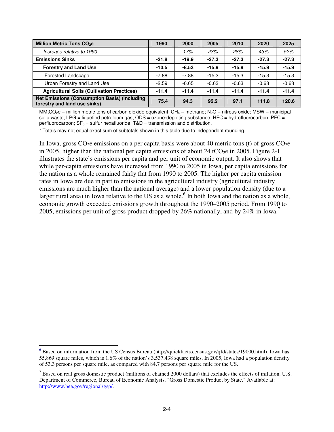|                                                                                     | Million Metric Tons CO <sub>2</sub> e             |         | 2000    | 2005    | 2010    | 2020    | 2025    |
|-------------------------------------------------------------------------------------|---------------------------------------------------|---------|---------|---------|---------|---------|---------|
|                                                                                     | Increase relative to 1990                         |         | 17%     | 23%     | 28%     | 43%     | 52%     |
| <b>Emissions Sinks</b>                                                              |                                                   | $-21.8$ | $-19.9$ | $-27.3$ | $-27.3$ | $-27.3$ | $-27.3$ |
|                                                                                     | <b>Forestry and Land Use</b>                      | $-10.5$ | $-8.53$ | $-15.9$ | $-15.9$ | $-15.9$ | $-15.9$ |
|                                                                                     | <b>Forested Landscape</b>                         | $-7.88$ | $-7.88$ | $-15.3$ | $-15.3$ | $-15.3$ | $-15.3$ |
|                                                                                     | Urban Forestry and Land Use                       | $-2.59$ | $-0.65$ | $-0.63$ | $-0.63$ | $-0.63$ | $-0.63$ |
|                                                                                     | <b>Agricultural Soils (Cultivation Practices)</b> | $-11.4$ | $-11.4$ | $-11.4$ | $-11.4$ | $-11.4$ | $-11.4$ |
| <b>Net Emissions (Consumption Basis) (including</b><br>forestry and land use sinks) |                                                   | 75.4    | 94.3    | 92.2    | 97.1    | 111.8   | 120.6   |

MMtCO<sub>2</sub>e = million metric tons of carbon dioxide equivalent; CH<sub>4</sub> = methane; N<sub>2</sub>O = nitrous oxide; MSW = municipal solid waste; LPG = liquefied petroleum gas; ODS = ozone-depleting substance; HFC = hydrofluorocarbon; PFC = perfluorocarbon;  $SF_6 =$  sulfur hexafluoride;  $T&D =$  transmission and distribution.

\* Totals may not equal exact sum of subtotals shown in this table due to independent rounding.

In Iowa, gross  $CO<sub>2</sub>e$  emissions on a per capita basis were about 40 metric tons (t) of gross  $CO<sub>2</sub>e$ in 2005, higher than the national per capita emissions of about 24 tCO<sub>2</sub>e in 2005. Figure 2-1 illustrates the state's emissions per capita and per unit of economic output. It also shows that while per-capita emissions have increased from 1990 to 2005 in Iowa, per capita emissions for the nation as a whole remained fairly flat from 1990 to 2005. The higher per capita emission rates in Iowa are due in part to emissions in the agricultural industry (agricultural industry emissions are much higher than the national average) and a lower population density (due to a larger rural area) in Iowa relative to the US as a whole.<sup>6</sup> In both Iowa and the nation as a whole, economic growth exceeded emissions growth throughout the 1990–2005 period. From 1990 to 2005, emissions per unit of gross product dropped by 26% nationally, and by 24% in Iowa.<sup>7</sup>

<sup>-</sup><sup>6</sup> Based on information from the US Census Bureau (http://quickfacts.census.gov/qfd/states/19000.html), Iowa has 55,869 square miles, which is 1.6% of the nation's 3,537,438 square miles. In 2005, Iowa had a population density of 53.3 persons per square mile, as compared with 84.7 persons per square mile for the US.

 $<sup>7</sup>$  Based on real gross domestic product (millions of chained 2000 dollars) that excludes the effects of inflation. U.S.</sup> Department of Commerce, Bureau of Economic Analysis. "Gross Domestic Product by State." Available at: http://www.bea.gov/regional/gsp/.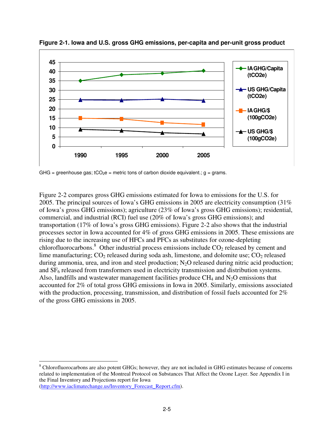

**Figure 2-1. Iowa and U.S. gross GHG emissions, per-capita and per-unit gross product** 

GHG = greenhouse gas;  $tCO<sub>2</sub>e$  = metric tons of carbon dioxide equivalent.; g = grams.

Figure 2-2 compares gross GHG emissions estimated for Iowa to emissions for the U.S. for 2005. The principal sources of Iowa's GHG emissions in 2005 are electricity consumption (31% of Iowa's gross GHG emissions); agriculture (23% of Iowa's gross GHG emissions); residential, commercial, and industrial (RCI) fuel use (20% of Iowa's gross GHG emissions); and transportation (17% of Iowa's gross GHG emissions). Figure 2-2 also shows that the industrial processes sector in Iowa accounted for 4% of gross GHG emissions in 2005. These emissions are rising due to the increasing use of HFCs and PFCs as substitutes for ozone-depleting chlorofluorocarbons.<sup>8</sup> Other industrial process emissions include  $CO<sub>2</sub>$  released by cement and lime manufacturing;  $CO_2$  released during soda ash, limestone, and dolomite use;  $CO_2$  released during ammonia, urea, and iron and steel production;  $N_2O$  released during nitric acid production; and SF6 released from transformers used in electricity transmission and distribution systems. Also, landfills and wastewater management facilities produce  $CH_4$  and  $N_2O$  emissions that accounted for 2% of total gross GHG emissions in Iowa in 2005. Similarly, emissions associated with the production, processing, transmission, and distribution of fossil fuels accounted for  $2\%$ of the gross GHG emissions in 2005.

-<sup>8</sup> Chlorofluorocarbons are also potent GHGs; however, they are not included in GHG estimates because of concerns related to implementation of the Montreal Protocol on Substances That Affect the Ozone Layer. See Appendix I in the Final Inventory and Projections report for Iowa (http://www.iaclimatechange.us/Inventory\_Forecast\_Report.cfm).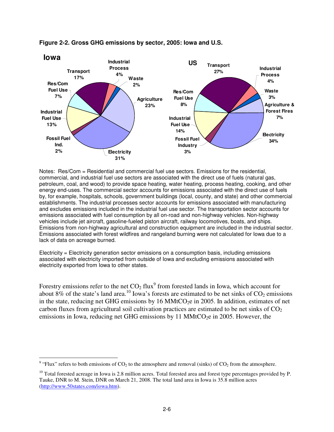

#### **Figure 2-2. Gross GHG emissions by sector, 2005: Iowa and U.S.**

Notes: Res/Com = Residential and commercial fuel use sectors. Emissions for the residential, commercial, and industrial fuel use sectors are associated with the direct use of fuels (natural gas, petroleum, coal, and wood) to provide space heating, water heating, process heating, cooking, and other energy end-uses. The commercial sector accounts for emissions associated with the direct use of fuels by, for example, hospitals, schools, government buildings (local, county, and state) and other commercial establishments. The industrial processes sector accounts for emissions associated with manufacturing and excludes emissions included in the industrial fuel use sector. The transportation sector accounts for emissions associated with fuel consumption by all on-road and non-highway vehicles. Non-highway vehicles include jet aircraft, gasoline-fueled piston aircraft, railway locomotives, boats, and ships. Emissions from non-highway agricultural and construction equipment are included in the industrial sector. Emissions associated with forest wildfires and rangeland burning were not calculated for Iowa due to a lack of data on acreage burned.

Electricity = Electricity generation sector emissions on a consumption basis, including emissions associated with electricity imported from outside of Iowa and excluding emissions associated with electricity exported from Iowa to other states.

Forestry emissions refer to the net  $CO<sub>2</sub>$  flux<sup>9</sup> from forested lands in Iowa, which account for about 8% of the state's land area.<sup>10</sup> Iowa's forests are estimated to be net sinks of  $CO<sub>2</sub>$  emissions in the state, reducing net GHG emissions by  $16 \text{ MMtCO}_2e$  in 2005. In addition, estimates of net carbon fluxes from agricultural soil cultivation practices are estimated to be net sinks of  $CO<sub>2</sub>$ emissions in Iowa, reducing net GHG emissions by 11 MMtCO<sub>2</sub>e in 2005. However, the

-

<sup>&</sup>lt;sup>9</sup> "Flux" refers to both emissions of  $CO_2$  to the atmosphere and removal (sinks) of  $CO_2$  from the atmosphere.

<sup>&</sup>lt;sup>10</sup> Total forested acreage in Iowa is 2.8 million acres. Total forested area and forest type percentages provided by P. Tauke, DNR to M. Stein, DNR on March 21, 2008. The total land area in Iowa is 35.8 million acres (http://www.50states.com/iowa.htm).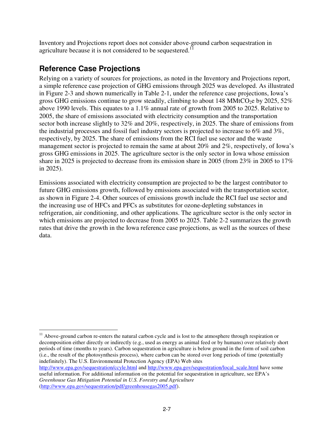Inventory and Projections report does not consider above-ground carbon sequestration in agriculture because it is not considered to be sequestered.<sup>11</sup>

# **Reference Case Projections**

Relying on a variety of sources for projections, as noted in the Inventory and Projections report, a simple reference case projection of GHG emissions through 2025 was developed. As illustrated in Figure 2-3 and shown numerically in Table 2-1, under the reference case projections, Iowa's gross GHG emissions continue to grow steadily, climbing to about 148 MMtCO<sub>2</sub>e by 2025, 52% above 1990 levels. This equates to a 1.1% annual rate of growth from 2005 to 2025. Relative to 2005, the share of emissions associated with electricity consumption and the transportation sector both increase slightly to 32% and 20%, respectively, in 2025. The share of emissions from the industrial processes and fossil fuel industry sectors is projected to increase to 6% and 3%, respectively, by 2025. The share of emissions from the RCI fuel use sector and the waste management sector is projected to remain the same at about 20% and 2%, respectively, of Iowa's gross GHG emissions in 2025. The agriculture sector is the only sector in Iowa whose emission share in 2025 is projected to decrease from its emission share in 2005 (from 23% in 2005 to 17% in 2025).

Emissions associated with electricity consumption are projected to be the largest contributor to future GHG emissions growth, followed by emissions associated with the transportation sector, as shown in Figure 2-4. Other sources of emissions growth include the RCI fuel use sector and the increasing use of HFCs and PFCs as substitutes for ozone-depleting substances in refrigeration, air conditioning, and other applications. The agriculture sector is the only sector in which emissions are projected to decrease from 2005 to 2025. Table 2-2 summarizes the growth rates that drive the growth in the Iowa reference case projections, as well as the sources of these data.

<sup>&</sup>lt;u>.</u> <sup>11</sup> Above-ground carbon re-enters the natural carbon cycle and is lost to the atmosphere through respiration or decomposition either directly or indirectly (e.g., used as energy as animal feed or by humans) over relatively short periods of time (months to years). Carbon sequestration in agriculture is below ground in the form of soil carbon (i.e., the result of the photosynthesis process), where carbon can be stored over long periods of time (potentially indefinitely). The U.S. Environmental Protection Agency (EPA) Web sites

http://www.epa.gov/sequestration/ccyle.html and http://www.epa.gov/sequestration/local\_scale.html have some useful information. For additional information on the potential for sequestration in agriculture, see EPA's *Greenhouse Gas Mitigation Potential in U.S. Forestry and Agriculture*  (http://www.epa.gov/sequestration/pdf/greenhousegas2005.pdf).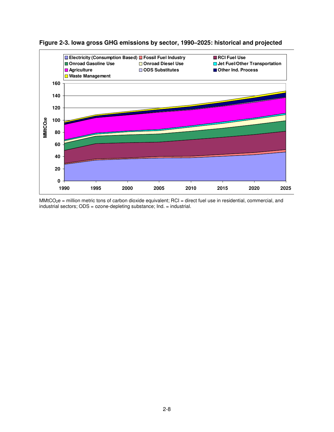



MMtCO<sub>2</sub>e = million metric tons of carbon dioxide equivalent; RCI = direct fuel use in residential, commercial, and industrial sectors; ODS = ozone-depleting substance; Ind. = industrial.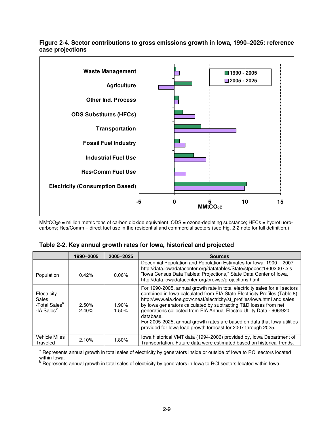

**Figure 2-4. Sector contributions to gross emissions growth in Iowa, 1990–2025: reference case projections** 

MMtCO<sub>2</sub>e = million metric tons of carbon dioxide equivalent; ODS = ozone-depleting substance; HFCs = hydrofluorocarbons; Res/Comm = direct fuel use in the residential and commercial sectors (see Fig. 2-2 note for full definition.)

|                                                                             | 1990-2005      | 2005-2025      | <b>Sources</b>                                                                                                                                                                                                                                                                                                                                                                                                                                                                                                                               |
|-----------------------------------------------------------------------------|----------------|----------------|----------------------------------------------------------------------------------------------------------------------------------------------------------------------------------------------------------------------------------------------------------------------------------------------------------------------------------------------------------------------------------------------------------------------------------------------------------------------------------------------------------------------------------------------|
| Population                                                                  | 0.42%          | 0.06%          | Decennial Population and Population Estimates for Iowa: 1900 - 2007 -<br>http://data.iowadatacenter.org/datatables/State/stpopest19002007.xls<br>"Iowa Census Data Tables: Projections," State Data Center of Iowa,<br>http://data.iowadatacenter.org/browse/projections.html                                                                                                                                                                                                                                                                |
| Electricity<br>Sales<br>-Total Sales <sup>a</sup><br>-IA Sales <sup>b</sup> | 2.50%<br>2.40% | 1.90%<br>1.50% | For 1990-2005, annual growth rate in total electricity sales for all sectors<br>combined in Iowa calculated from EIA State Electricity Profiles (Table 8)<br>http://www.eia.doe.gov/cneaf/electricity/st_profiles/iowa.html and sales<br>by lowa generators calculated by subtracting T&D losses from net<br>generations collected from EIA Annual Electric Utility Data - 906/920<br>database.<br>For 2005-2025, annual growth rates are based on data that lowa utilities<br>provided for lowa load growth forecast for 2007 through 2025. |
| Vehicle Miles<br>Traveled                                                   | 2.10%          | 1.80%          | lowa historical VMT data (1994-2006) provided by, lowa Department of<br>Transportation. Future data were estimated based on historical trends.                                                                                                                                                                                                                                                                                                                                                                                               |

**Table 2-2. Key annual growth rates for Iowa, historical and projected** 

<sup>a</sup> Represents annual growth in total sales of electricity by generators inside or outside of lowa to RCI sectors located within Iowa.<br><sup>b</sup> Represents annual growth in total sales of electricity by generators in Iowa to RCI sectors located within Iowa.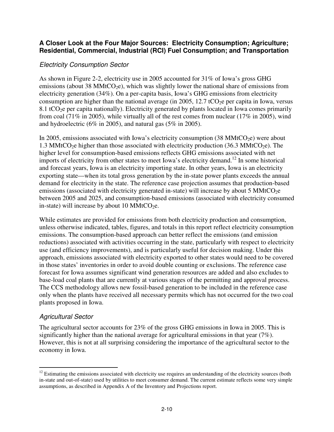### **A Closer Look at the Four Major Sources: Electricity Consumption; Agriculture; Residential, Commercial, Industrial (RCI) Fuel Consumption; and Transportation**

### Electricity Consumption Sector

As shown in Figure 2-2, electricity use in 2005 accounted for 31% of Iowa's gross GHG emissions (about 38 MMtCO<sub>2</sub>e), which was slightly lower the national share of emissions from electricity generation (34%). On a per-capita basis, Iowa's GHG emissions from electricity consumption are higher than the national average (in 2005, 12.7 tCO<sub>2</sub>e per capita in Iowa, versus 8.1 tCO<sub>2</sub>e per capita nationally). Electricity generated by plants located in Iowa comes primarily from coal (71% in 2005), while virtually all of the rest comes from nuclear (17% in 2005), wind and hydroelectric (6% in 2005), and natural gas (5% in 2005).

In 2005, emissions associated with Iowa's electricity consumption  $(38 \text{ MMtCO}_2e)$  were about 1.3 MMtCO<sub>2</sub>e higher than those associated with electricity production (36.3 MMtCO<sub>2</sub>e). The higher level for consumption-based emissions reflects GHG emissions associated with net imports of electricity from other states to meet Iowa's electricity demand.<sup>12</sup> In some historical and forecast years, Iowa is an electricity importing state. In other years, Iowa is an electricity exporting state—when its total gross generation by the in-state power plants exceeds the annual demand for electricity in the state. The reference case projection assumes that production-based emissions (associated with electricity generated in-state) will increase by about 5 MMtCO<sub>2</sub>e between 2005 and 2025, and consumption-based emissions (associated with electricity consumed in-state) will increase by about 10 MMtCO<sub>2</sub>e.

While estimates are provided for emissions from both electricity production and consumption, unless otherwise indicated, tables, figures, and totals in this report reflect electricity consumption emissions. The consumption-based approach can better reflect the emissions (and emission reductions) associated with activities occurring in the state, particularly with respect to electricity use (and efficiency improvements), and is particularly useful for decision making. Under this approach, emissions associated with electricity exported to other states would need to be covered in those states' inventories in order to avoid double counting or exclusions. The reference case forecast for Iowa assumes significant wind generation resources are added and also excludes to base-load coal plants that are currently at various stages of the permitting and approval process. The CCS methodology allows new fossil-based generation to be included in the reference case only when the plants have received all necessary permits which has not occurred for the two coal plants proposed in Iowa.

### Agricultural Sector

The agricultural sector accounts for 23% of the gross GHG emissions in Iowa in 2005. This is significantly higher than the national average for agricultural emissions in that year (7%). However, this is not at all surprising considering the importance of the agricultural sector to the economy in Iowa.

<sup>&</sup>lt;u>.</u>  $12$  Estimating the emissions associated with electricity use requires an understanding of the electricity sources (both in-state and out-of-state) used by utilities to meet consumer demand. The current estimate reflects some very simple assumptions, as described in Appendix A of the Inventory and Projections report.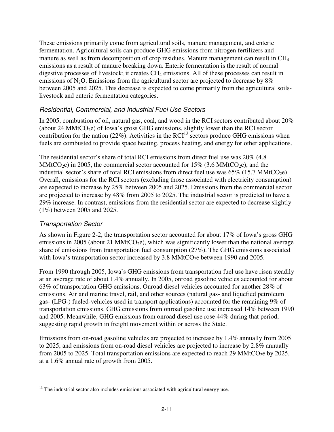These emissions primarily come from agricultural soils, manure management, and enteric fermentation. Agricultural soils can produce GHG emissions from nitrogen fertilizers and manure as well as from decomposition of crop residues. Manure management can result in CH<sub>4</sub> emissions as a result of manure breaking down. Enteric fermentation is the result of normal digestive processes of livestock; it creates CH<sub>4</sub> emissions. All of these processes can result in emissions of  $N_2O$ . Emissions from the agricultural sector are projected to decrease by  $8\%$ between 2005 and 2025. This decrease is expected to come primarily from the agricultural soilslivestock and enteric fermentation categories.

### Residential, Commercial, and Industrial Fuel Use Sectors

In 2005, combustion of oil, natural gas, coal, and wood in the RCI sectors contributed about 20% (about 24 MMtCO<sub>2</sub>e) of Iowa's gross GHG emissions, slightly lower than the RCI sector contribution for the nation  $(22\%)$ . Activities in the RCI<sup>13</sup> sectors produce GHG emissions when fuels are combusted to provide space heating, process heating, and energy for other applications.

The residential sector's share of total RCI emissions from direct fuel use was 20% (4.8 MMtCO<sub>2</sub>e) in 2005, the commercial sector accounted for 15% (3.6 MMtCO<sub>2</sub>e), and the industrial sector's share of total RCI emissions from direct fuel use was  $65\%$  (15.7 MMtCO<sub>2</sub>e). Overall, emissions for the RCI sectors (excluding those associated with electricity consumption) are expected to increase by 25% between 2005 and 2025. Emissions from the commercial sector are projected to increase by 48% from 2005 to 2025. The industrial sector is predicted to have a 29% increase. In contrast, emissions from the residential sector are expected to decrease slightly (1%) between 2005 and 2025.

### Transportation Sector

As shown in Figure 2-2, the transportation sector accounted for about 17% of Iowa's gross GHG emissions in 2005 (about 21 MMtCO<sub>2</sub>e), which was significantly lower than the national average share of emissions from transportation fuel consumption (27%). The GHG emissions associated with Iowa's transportation sector increased by  $3.8 \text{ MMtCO}_2$ e between 1990 and 2005.

From 1990 through 2005, Iowa's GHG emissions from transportation fuel use have risen steadily at an average rate of about 1.4% annually. In 2005, onroad gasoline vehicles accounted for about 63% of transportation GHG emissions. Onroad diesel vehicles accounted for another 28% of emissions. Air and marine travel, rail, and other sources (natural gas- and liquefied petroleum gas- (LPG-) fueled-vehicles used in transport applications) accounted for the remaining 9% of transportation emissions. GHG emissions from onroad gasoline use increased 14% between 1990 and 2005. Meanwhile, GHG emissions from onroad diesel use rose 44% during that period, suggesting rapid growth in freight movement within or across the State.

Emissions from on-road gasoline vehicles are projected to increase by 1.4% annually from 2005 to 2025, and emissions from on-road diesel vehicles are projected to increase by 2.8% annually from 2005 to 2025. Total transportation emissions are expected to reach 29 MMtCO<sub>2</sub>e by 2025, at a 1.6% annual rate of growth from 2005.

<sup>-</sup><sup>13</sup> The industrial sector also includes emissions associated with agricultural energy use.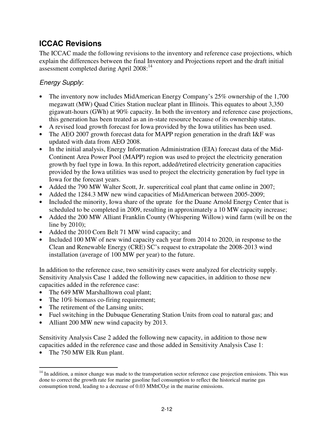# **ICCAC Revisions**

The ICCAC made the following revisions to the inventory and reference case projections, which explain the differences between the final Inventory and Projections report and the draft initial assessment completed during April 2008:<sup>14</sup>

## Energy Supply:

- The inventory now includes MidAmerican Energy Company's 25% ownership of the 1,700 megawatt (MW) Quad Cities Station nuclear plant in Illinois. This equates to about 3,350 gigawatt-hours (GWh) at 90% capacity. In both the inventory and reference case projections, this generation has been treated as an in-state resource because of its ownership status.
- A revised load growth forecast for Iowa provided by the Iowa utilities has been used.
- The AEO 2007 growth forecast data for MAPP region generation in the draft I&F was updated with data from AEO 2008.
- In the initial analysis, Energy Information Administration (EIA) forecast data of the Mid-Continent Area Power Pool (MAPP) region was used to project the electricity generation growth by fuel type in Iowa. In this report, added/retired electricity generation capacities provided by the Iowa utilities was used to project the electricity generation by fuel type in Iowa for the forecast years.
- Added the 790 MW Walter Scott, Jr. supercritical coal plant that came online in 2007;
- Added the 1284.3 MW new wind capacities of MidAmerican between 2005-2009;
- Included the minority, Iowa share of the uprate for the Duane Arnold Energy Center that is scheduled to be completed in 2009, resulting in approximately a 10 MW capacity increase;
- Added the 200 MW Alliant Franklin County (Whispering Willow) wind farm (will be on the line by 2010);
- Added the 2010 Corn Belt 71 MW wind capacity; and
- Included 100 MW of new wind capacity each year from 2014 to 2020, in response to the Clean and Renewable Energy (CRE) SC's request to extrapolate the 2008-2013 wind installation (average of 100 MW per year) to the future.

In addition to the reference case, two sensitivity cases were analyzed for electricity supply. Sensitivity Analysis Case 1 added the following new capacities, in addition to those new capacities added in the reference case:

- The 649 MW Marshalltown coal plant;
- The 10% biomass co-firing requirement;
- The retirement of the Lansing units;
- Fuel switching in the Dubuque Generating Station Units from coal to natural gas; and
- Alliant 200 MW new wind capacity by 2013.

Sensitivity Analysis Case 2 added the following new capacity, in addition to those new capacities added in the reference case and those added in Sensitivity Analysis Case 1:

• The 750 MW Elk Run plant.

<sup>&</sup>lt;u>.</u> <sup>14</sup> In addition, a minor change was made to the transportation sector reference case projection emissions. This was done to correct the growth rate for marine gasoline fuel consumption to reflect the historical marine gas consumption trend, leading to a decrease of  $0.03 \text{ MMtCO}_2$ e in the marine emissions.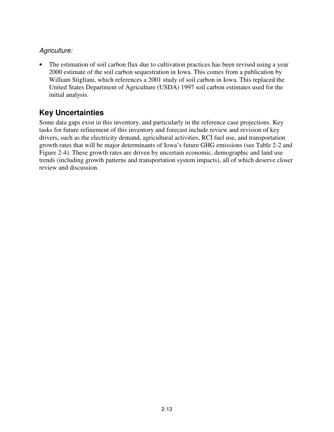### Agriculture:

• The estimation of soil carbon flux due to cultivation practices has been revised using a year 2000 estimate of the soil carbon sequestration in Iowa. This comes from a publication by William Stigliani, which references a 2001 study of soil carbon in Iowa. This replaced the United States Department of Agriculture (USDA) 1997 soil carbon estimates used for the initial analysis.

# **Key Uncertainties**

Some data gaps exist in this inventory, and particularly in the reference case projections. Key tasks for future refinement of this inventory and forecast include review and revision of key drivers, such as the electricity demand, agricultural activities, RCI fuel use, and transportation growth rates that will be major determinants of Iowa's future GHG emissions (see Table 2-2 and Figure 2-4). These growth rates are driven by uncertain economic, demographic and land use trends (including growth patterns and transportation system impacts), all of which deserve closer review and discussion.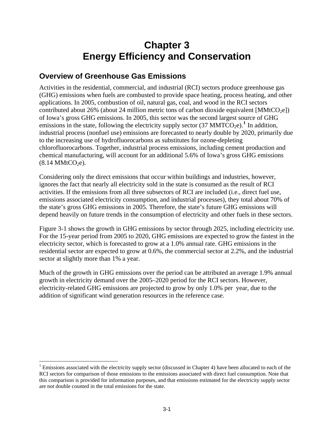# **Chapter 3 Energy Efficiency and Conservation**

## **Overview of Greenhouse Gas Emissions**

Activities in the residential, commercial, and industrial (RCI) sectors produce greenhouse gas (GHG) emissions when fuels are combusted to provide space heating, process heating, and other applications. In 2005, combustion of oil, natural gas, coal, and wood in the RCI sectors contributed about 26% (about 24 million metric tons of carbon dioxide equivalent  $[MMtCO<sub>2</sub>e]$ ) of Iowa's gross GHG emissions. In 2005, this sector was the second largest source of GHG emissions in the state, following the electricity supply sector  $(37 \text{ MMTCO}_2\text{e})$ .<sup>[1](#page-61-0)</sup> In addition, industrial process (nonfuel use) emissions are forecasted to nearly double by 2020, primarily due to the increasing use of hydrofluorocarbons as substitutes for ozone-depleting chlorofluorocarbons. Together, industrial process emissions, including cement production and chemical manufacturing, will account for an additional 5.6% of Iowa's gross GHG emissions  $(8.14 \text{ MMtCO}_2)$ .

Considering only the direct emissions that occur within buildings and industries, however, ignores the fact that nearly all electricity sold in the state is consumed as the result of RCI activities. If the emissions from all three subsectors of RCI are included (i.e., direct fuel use, emissions associated electricity consumption, and industrial processes), they total about 70% of the state's gross GHG emissions in 2005. Therefore, the state's future GHG emissions will depend heavily on future trends in the consumption of electricity and other fuels in these sectors.

Figure 3-1 shows the growth in GHG emissions by sector through 2025, including electricity use. For the 15-year period from 2005 to 2020, GHG emissions are expected to grow the fastest in the electricity sector, which is forecasted to grow at a 1.0% annual rate. GHG emissions in the residential sector are expected to grow at 0.6%, the commercial sector at 2.2%, and the industrial sector at slightly more than 1% a year.

Much of the growth in GHG emissions over the period can be attributed an average 1.9% annual growth in electricity demand over the 2005–2020 period for the RCI sectors. However, electricity-related GHG emissions are projected to grow by only 1.0% per year, due to the addition of significant wind generation resources in the reference case.

<span id="page-61-0"></span> $\overline{a}$ <sup>1</sup> Emissions associated with the electricity supply sector (discussed in Chapter 4) have been allocated to each of the RCI sectors for comparison of those emissions to the emissions associated with direct fuel consumption. Note that this comparison is provided for information purposes, and that emissions estimated for the electricity supply sector are not double counted in the total emissions for the state.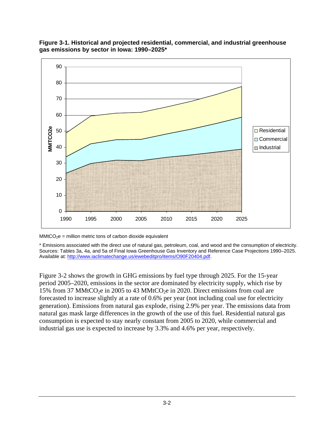

#### **Figure 3-1. Historical and projected residential, commercial, and industrial greenhouse gas emissions by sector in Iowa: 1990–2025\***

 $MMtCO<sub>2</sub>e = million metric tons of carbon dioxide equivalent$ 

\* Emissions associated with the direct use of natural gas, petroleum, coal, and wood and the consumption of electricity. Sources: Tables 3a, 4a, and 5a of Final Iowa Greenhouse Gas Inventory and Reference Case Projections 1990–2025. Available at: <http://www.iaclimatechange.us/ewebeditpro/items/O90F20404.pdf>.

Figure 3-2 shows the growth in GHG emissions by fuel type through 2025. For the 15-year period 2005–2020, emissions in the sector are dominated by electricity supply, which rise by 15% from 37 MMtCO<sub>2</sub>e in 2005 to 43 MMtCO<sub>2</sub>e in 2020. Direct emissions from coal are forecasted to increase slightly at a rate of 0.6% per year (not including coal use for electricity generation). Emissions from natural gas explode, rising 2.9% per year. The emissions data from natural gas mask large differences in the growth of the use of this fuel. Residential natural gas consumption is expected to stay nearly constant from 2005 to 2020, while commercial and industrial gas use is expected to increase by 3.3% and 4.6% per year, respectively.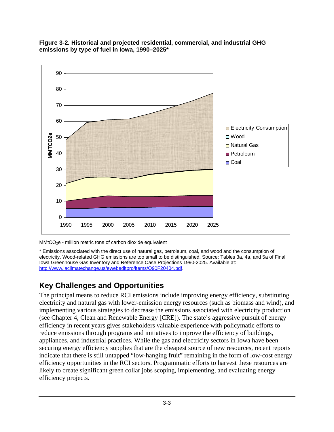

#### **Figure 3-2. Historical and projected residential, commercial, and industrial GHG emissions by type of fuel in Iowa, 1990–2025\***

MMtCO2e - million metric tons of carbon dioxide equivalent

\* Emissions associated with the direct use of natural gas, petroleum, coal, and wood and the consumption of electricity. Wood-related GHG emissions are too small to be distinguished. Source: Tables 3a, 4a, and 5a of Final Iowa Greenhouse Gas Inventory and Reference Case Projections 1990-2025. Available at: <http://www.iaclimatechange.us/ewebeditpro/items/O90F20404.pdf>.

# **Key Challenges and Opportunities**

The principal means to reduce RCI emissions include improving energy efficiency, substituting electricity and natural gas with lower-emission energy resources (such as biomass and wind), and implementing various strategies to decrease the emissions associated with electricity production (see Chapter 4, Clean and Renewable Energy [CRE]). The state's aggressive pursuit of energy efficiency in recent years gives stakeholders valuable experience with policymatic efforts to reduce emissions through programs and initiatives to improve the efficiency of buildings, appliances, and industrial practices. While the gas and electricity sectors in Iowa have been securing energy efficiency supplies that are the cheapest source of new resources, recent reports indicate that there is still untapped "low-hanging fruit" remaining in the form of low-cost energy efficiency opportunities in the RCI sectors. Programmatic efforts to harvest these resources are likely to create significant green collar jobs scoping, implementing, and evaluating energy efficiency projects.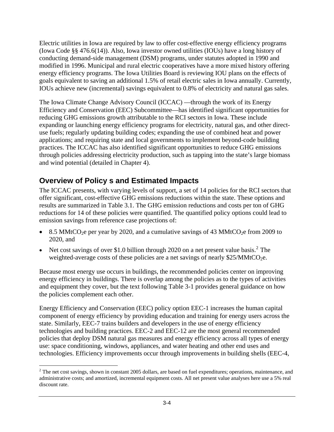Electric utilities in Iowa are required by law to offer cost-effective energy efficiency programs (Iowa Code §§ 476.6(14)). Also, Iowa investor owned utilities (IOUs) have a long history of conducting demand-side management (DSM) programs, under statutes adopted in 1990 and modified in 1996. Municipal and rural electric cooperatives have a more mixed history offering energy efficiency programs. The Iowa Utilities Board is reviewing IOU plans on the effects of goals equivalent to saving an additional 1.5% of retail electric sales in Iowa annually. Currently, IOUs achieve new (incremental) savings equivalent to 0.8% of electricity and natural gas sales.

The Iowa Climate Change Advisory Council (ICCAC) —through the work of its Energy Efficiency and Conservation (EEC) Subcommittee—has identified significant opportunities for reducing GHG emissions growth attributable to the RCI sectors in Iowa. These include expanding or launching energy efficiency programs for electricity, natural gas, and other directuse fuels; regularly updating building codes; expanding the use of combined heat and power applications; and requiring state and local governments to implement beyond-code building practices. The ICCAC has also identified significant opportunities to reduce GHG emissions through policies addressing electricity production, such as tapping into the state's large biomass and wind potential (detailed in Chapter 4).

# **Overview of Policy s and Estimated Impacts**

The ICCAC presents, with varying levels of support, a set of 14 policies for the RCI sectors that offer significant, cost-effective GHG emissions reductions within the state. These options and results are summarized in Table 3.1. The GHG emission reductions and costs per ton of GHG reductions for 14 of these policies were quantified. The quantified policy options could lead to emission savings from reference case projections of:

- 8.5 MMtCO<sub>2</sub>e per year by 2020, and a cumulative savings of 43 MMtCO<sub>2</sub>e from 2009 to 2020, and
- Net cost savings of over \$1.0 billion through [2](#page-64-0)020 on a net present value basis.<sup>2</sup> The weighted-average costs of these policies are a net savings of nearly  $$25/MMtCO<sub>2</sub>e$ .

Because most energy use occurs in buildings, the recommended policies center on improving energy efficiency in buildings. There is overlap among the policies as to the types of activities and equipment they cover, but the text following Table 3-1 provides general guidance on how the policies complement each other.

Energy Efficiency and Conservation (EEC) policy option EEC-1 increases the human capital component of energy efficiency by providing education and training for energy users across the state. Similarly, EEC-7 trains builders and developers in the use of energy efficiency technologies and building practices. EEC-2 and EEC-12 are the most general recommended policies that deploy DSM natural gas measures and energy efficiency across all types of energy use: space conditioning, windows, appliances, and water heating and other end uses and technologies. Efficiency improvements occur through improvements in building shells (EEC-4,

<span id="page-64-0"></span> $\overline{a}$  $2^2$  The net cost savings, shown in constant 2005 dollars, are based on fuel expenditures; operations, maintenance, and administrative costs; and amortized, incremental equipment costs. All net present value analyses here use a 5% real discount rate.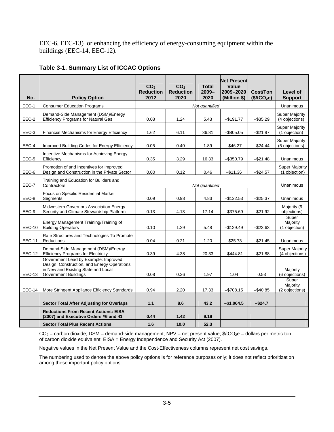EEC-6, EEC-13) or enhancing the efficiency of energy-consuming equipment within the buildings (EEC-14, EEC-12).

|  | Table 3-1. Summary List of ICCAC Options |
|--|------------------------------------------|
|--|------------------------------------------|

| No.           | <b>Policy Option</b>                                                                                                                                      | CO <sub>2</sub><br><b>Reduction</b><br>2012 | CO <sub>2</sub><br><b>Reduction</b><br>2020 | <b>Total</b><br>$2009 -$<br>2020 | <b>Net Present</b><br>Value<br>2009-2020<br>(Million \$) | Cost/Ton<br>(\$/tCO <sub>2</sub> e) | Level of<br><b>Support</b>              |
|---------------|-----------------------------------------------------------------------------------------------------------------------------------------------------------|---------------------------------------------|---------------------------------------------|----------------------------------|----------------------------------------------------------|-------------------------------------|-----------------------------------------|
| EEC-1         | <b>Consumer Education Programs</b>                                                                                                                        |                                             | Unanimous                                   |                                  |                                                          |                                     |                                         |
| EEC-2         | Demand-Side Management (DSM)/Energy<br><b>Efficiency Programs for Natural Gas</b>                                                                         | 0.08                                        | 1.24                                        | 5.43                             | $-$191.77$                                               | $-$ \$35.29                         | <b>Super Majority</b><br>(4 objections) |
| EEC-3         | Financial Mechanisms for Energy Efficiency                                                                                                                | 1.62                                        | 6.11                                        | 36.81                            | $-$ \$805.05                                             | $-$21.87$                           | Super Majority<br>(1 objection)         |
| EEC-4         | Improved Building Codes for Energy Efficiency                                                                                                             | 0.05                                        | 0.40                                        | 1.89                             | $-$ \$46.27                                              | $-$ \$24.44                         | <b>Super Majority</b><br>(5 objections) |
| EEC-5         | Incentive Mechanisms for Achieving Energy<br>Efficiency                                                                                                   | 0.35                                        | 3.29                                        | 16.33                            | $-$ \$350.79                                             | $-$ \$21.48                         | Unanimous                               |
| EEC-6         | Promotion of and Incentives for Improved<br>Design and Construction in the Private Sector                                                                 | 0.00                                        | 0.12                                        | 0.46                             | $-$11.36$                                                | $-$24.57$                           | <b>Super Majority</b><br>(1 objection)  |
| EEC-7         | Training and Education for Builders and<br>Contractors                                                                                                    |                                             | Unanimous                                   |                                  |                                                          |                                     |                                         |
| EEC-8         | Focus on Specific Residential Market<br>Segments                                                                                                          | 0.09                                        | 0.98                                        | 4.83                             | -\$122.53                                                | $-$ \$25.37                         | Unanimous                               |
| EEC-9         | Midwestern Governors Association Energy<br>Security and Climate Stewardship Platform                                                                      | 0.13                                        | 4.13                                        | 17.14                            | $-$ \$375.69                                             | $-$ \$21.92                         | Majority (9<br>objections)              |
| <b>EEC-10</b> | Energy Management Training/Training of<br><b>Building Operators</b>                                                                                       | 0.10                                        | 1.29                                        | 5.48                             | $-$ \$129.49                                             | $-$ \$23.63                         | Super<br>Majority<br>(1 objection)      |
| <b>EEC-11</b> | Rate Structures and Technologies To Promote<br>Reductions                                                                                                 | 0.04                                        | 0.21                                        | 1.20                             | $-$ \$25.73                                              | $-$ \$21.45                         | Unanimous                               |
| <b>EEC-12</b> | Demand-Side Management (DSM)/Energy<br><b>Efficiency Programs for Electricity</b>                                                                         | 0.39                                        | 4.38                                        | 20.33                            | $-$444.81$                                               | $-$ \$21.88                         | <b>Super Majority</b><br>(4 objections) |
| <b>EEC-13</b> | Government Lead by Example: Improved<br>Design, Construction, and Energy Operations<br>in New and Existing State and Local<br><b>Government Buildings</b> | 0.08                                        | 0.36                                        | 1.97                             | 1.04                                                     | 0.53                                | Majority<br>(6 objections)              |
| EEC-14        | More Stringent Appliance Efficiency Standards                                                                                                             | 0.94                                        | 2.20                                        | 17.33                            | $- $708.15$                                              | $-$ \$40.85                         | Super<br>Majority<br>(2 objections)     |
|               | <b>Sector Total After Adjusting for Overlaps</b>                                                                                                          | 1.1                                         | 8.6                                         | 43.2                             | $-$1,064.5$                                              | $-$ \$24.7                          |                                         |
|               | <b>Reductions From Recent Actions: EISA</b><br>(2007) and Executive Orders #6 and 41                                                                      | 0.44                                        | 1.42                                        | 9.19                             |                                                          |                                     |                                         |
|               | <b>Sector Total Plus Recent Actions</b>                                                                                                                   | 1.6                                         | 10.0                                        | 52.3                             |                                                          |                                     |                                         |

 $CO<sub>2</sub>$  = carbon dioxide; DSM = demand-side management; NPV = net present value;  $$/tCO<sub>2</sub>e =$  dollars per metric ton of carbon dioxide equivalent; EISA = Energy Independence and Security Act (2007).

Negative values in the Net Present Value and the Cost-Effectiveness columns represent net cost savings.

The numbering used to denote the above policy options is for reference purposes only; it does not reflect prioritization among these important policy options.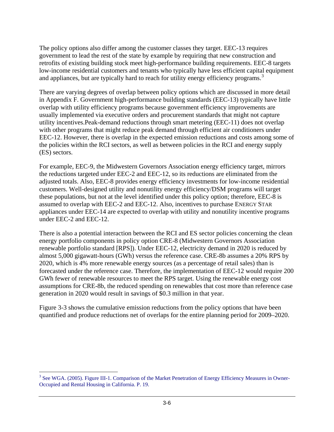The policy options also differ among the customer classes they target. EEC-13 requires government to lead the rest of the state by example by requiring that new construction and retrofits of existing building stock meet high-performance building requirements. EEC-8 targets low-income residential customers and tenants who typically have less efficient capital equipment and appliances, but are typically hard to reach for utility energy efficiency programs.<sup>[3](#page-66-0)</sup>

There are varying degrees of overlap between policy options which are discussed in more detail in Appendix F. Government high-performance building standards (EEC-13) typically have little overlap with utility efficiency programs because government efficiency improvements are usually implemented via executive orders and procurement standards that might not capture utility incentives.Peak-demand reductions through smart metering (EEC-11) does not overlap with other programs that might reduce peak demand through efficient air conditioners under EEC-12. However, there is overlap in the expected emission reductions and costs among some of the policies within the RCI sectors, as well as between policies in the RCI and energy supply (ES) sectors.

For example, EEC-9, the Midwestern Governors Association energy efficiency target, mirrors the reductions targeted under EEC-2 and EEC-12, so its reductions are eliminated from the adjusted totals. Also, EEC-8 provides energy efficiency investments for low-income residential customers. Well-designed utility and nonutility energy efficiency/DSM programs will target these populations, but not at the level identified under this policy option; therefore, EEC-8 is assumed to overlap with EEC-2 and EEC-12. Also, incentives to purchase ENERGY STAR appliances under EEC-14 are expected to overlap with utility and nonutility incentive programs under EEC-2 and EEC-12.

There is also a potential interaction between the RCI and ES sector policies concerning the clean energy portfolio components in policy option CRE-8 (Midwestern Governors Association renewable portfolio standard [RPS]). Under EEC-12, electricity demand in 2020 is reduced by almost 5,000 gigawatt-hours (GWh) versus the reference case. CRE-8b assumes a 20% RPS by 2020, which is 4% more renewable energy sources (as a percentage of retail sales) than is forecasted under the reference case. Therefore, the implementation of EEC-12 would require 200 GWh fewer of renewable resources to meet the RPS target. Using the renewable energy cost assumptions for CRE-8b, the reduced spending on renewables that cost more than reference case generation in 2020 would result in savings of \$0.3 million in that year.

Figure 3-3 shows the cumulative emission reductions from the policy options that have been quantified and produce reductions net of overlaps for the entire planning period for 2009–2020.

<span id="page-66-0"></span><sup>&</sup>lt;sup>3</sup> See WGA. (2005). Figure III-1. Comparison of the Market Penetration of Energy Efficiency Measures in Owner-Occupied and Rental Housing in California. P. 19.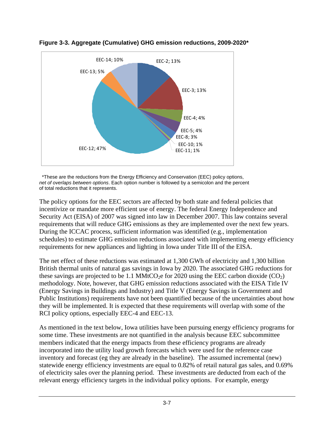



 \*These are the reductions from the Energy Efficiency and Conservation (EEC) policy options, *net of overlaps between options*. Each option number is followed by a semicolon and the percent of total reductions that it represents.

The policy options for the EEC sectors are affected by both state and federal policies that incentivize or mandate more efficient use of energy. The federal Energy Independence and Security Act (EISA) of 2007 was signed into law in December 2007. This law contains several requirements that will reduce GHG emissions as they are implemented over the next few years. During the ICCAC process, sufficient information was identified (e.g., implementation schedules) to estimate GHG emission reductions associated with implementing energy efficiency requirements for new appliances and lighting in Iowa under Title III of the EISA.

The net effect of these reductions was estimated at 1,300 GWh of electricity and 1,300 billion British thermal units of natural gas savings in Iowa by 2020. The associated GHG reductions for these savings are projected to be 1.1 MMtCO<sub>2</sub>e for 2020 using the EEC carbon dioxide  $(CO_2)$ methodology. Note, however, that GHG emission reductions associated with the EISA Title IV (Energy Savings in Buildings and Industry) and Title V (Energy Savings in Government and Public Institutions) requirements have not been quantified because of the uncertainties about how they will be implemented. It is expected that these requirements will overlap with some of the RCI policy options, especially EEC-4 and EEC-13.

As mentioned in the text below, Iowa utilities have been pursuing energy efficiency programs for some time. These investments are not quantified in the analysis because EEC subcommittee members indicated that the energy impacts from these efficiency programs are already incorporated into the utility load growth forecasts which were used for the reference case inventory and forecast (eg they are already in the baseline). The assumed incremental (new) statewide energy efficiency investments are equal to 0.82% of retail natural gas sales, and 0.69% of electricity sales over the planning period. These investments are deducted from each of the relevant energy efficiency targets in the individual policy options. For example, energy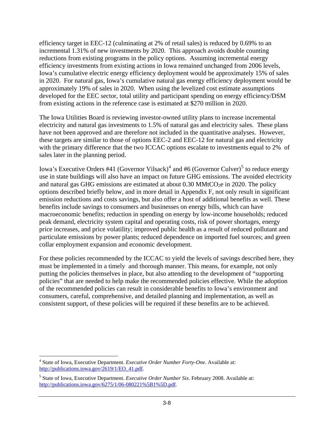efficiency target in EEC-12 (culminating at 2% of retail sales) is reduced by 0.69% to an incremental 1.31% of new investments by 2020. This approach avoids double counting reductions from existing programs in the policy options. Assuming incremental energy efficiency investments from existing actions in Iowa remained unchanged from 2006 levels, Iowa's cumulative electric energy efficiency deployment would be approximately 15% of sales in 2020. For natural gas, Iowa's cumulative natural gas energy efficiency deployment would be approximately 19% of sales in 2020. When using the levelized cost estimate assumptions developed for the EEC sector, total utility and participant spending on energy efficiency/DSM from existing actions in the reference case is estimated at \$270 million in 2020.

The Iowa Utilities Board is reviewing investor-owned utility plans to increase incremental electricity and natural gas investments to 1.5% of natural gas and electricity sales. These plans have not been approved and are therefore not included in the quantitative analyses. However, these targets are similar to those of options EEC-2 and EEC-12 for natural gas and electricity with the primary difference that the two ICCAC options escalate to investments equal to 2% of sales later in the planning period.

Iowa's Executive Orders #[4](#page-68-0)1 (Governor Vilsack)<sup>4</sup> and #6 (Governor Culver)<sup>[5](#page-68-1)</sup> to reduce energy use in state buildings will also have an impact on future GHG emissions. The avoided electricity and natural gas GHG emissions are estimated at about  $0.30 \text{ MMtCO}_2$ e in 2020. The policy options described briefly below, and in more detail in Appendix F, not only result in significant emission reductions and costs savings, but also offer a host of additional benefits as well. These benefits include savings to consumers and businesses on energy bills, which can have macroeconomic benefits; reduction in spending on energy by low-income households; reduced peak demand, electricity system capital and operating costs, risk of power shortages, energy price increases, and price volatility; improved public health as a result of reduced pollutant and particulate emissions by power plants; reduced dependence on imported fuel sources; and green collar employment expansion and economic development.

For these policies recommended by the ICCAC to yield the levels of savings described here, they must be implemented in a timely and thorough manner. This means, for example, not only putting the policies themselves in place, but also attending to the development of "supporting policies" that are needed to help make the recommended policies effective. While the adoption of the recommended policies can result in considerable benefits to Iowa's environment and consumers, careful, comprehensive, and detailed planning and implementation, as well as consistent support, of these policies will be required if these benefits are to be achieved.

<span id="page-68-0"></span> $\overline{a}$ 4 State of Iowa, Executive Department. *Executive Order Number Forty-One*. Available at: [http://publications.iowa.gov/2619/1/EO\\_41.pdf.](http://publications.iowa.gov/2619/1/EO_41.pdf)

<span id="page-68-1"></span><sup>5</sup> State of Iowa, Executive Department. *Executive Order Number Six*. February 2008. Available at: <http://publications.iowa.gov/6275/1/06-080221%5B1%5D.pdf>.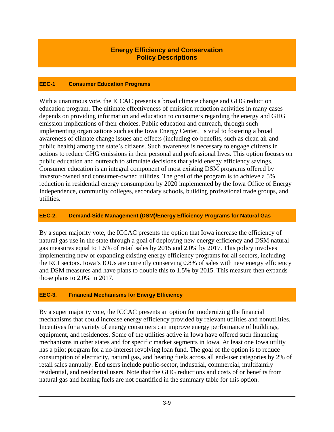### **Energy Efficiency and Conservation Policy Descriptions**

#### **EEC-1 Consumer Education Programs**

With a unanimous vote, the ICCAC presents a broad climate change and GHG reduction education program. The ultimate effectiveness of emission reduction activities in many cases depends on providing information and education to consumers regarding the energy and GHG emission implications of their choices. Public education and outreach, through such implementing organizations such as the Iowa Energy Center, is vital to fostering a broad awareness of climate change issues and effects (including co-benefits, such as clean air and public health) among the state's citizens. Such awareness is necessary to engage citizens in actions to reduce GHG emissions in their personal and professional lives. This option focuses on public education and outreach to stimulate decisions that yield energy efficiency savings. Consumer education is an integral component of most existing DSM programs offered by investor-owned and consumer-owned utilities. The goal of the program is to achieve a 5% reduction in residential energy consumption by 2020 implemented by the Iowa Office of Energy Independence, community colleges, secondary schools, building professional trade groups, and utilities.

#### **EEC-2. Demand-Side Management (DSM)/Energy Efficiency Programs for Natural Gas**

By a super majority vote, the ICCAC presents the option that Iowa increase the efficiency of natural gas use in the state through a goal of deploying new energy efficiency and DSM natural gas measures equal to 1.5% of retail sales by 2015 and 2.0% by 2017. This policy involves implementing new or expanding existing energy efficiency programs for all sectors, including the RCI sectors. Iowa's IOUs are currently conserving 0.8% of sales with new energy efficiency and DSM measures and have plans to double this to 1.5% by 2015. This measure then expands those plans to 2.0% in 2017.

### **EEC-3. Financial Mechanisms for Energy Efficiency**

By a super majority vote, the ICCAC presents an option for modernizing the financial mechanisms that could increase energy efficiency provided by relevant utilities and nonutilities. Incentives for a variety of energy consumers can improve energy performance of buildings, equipment, and residences. Some of the utilities active in Iowa have offered such financing mechanisms in other states and for specific market segments in Iowa. At least one Iowa utility has a pilot program for a no-interest revolving loan fund. The goal of the option is to reduce consumption of electricity, natural gas, and heating fuels across all end-user categories by 2% of retail sales annually. End users include public-sector, industrial, commercial, multifamily residential, and residential users. Note that the GHG reductions and costs of or benefits from natural gas and heating fuels are not quantified in the summary table for this option.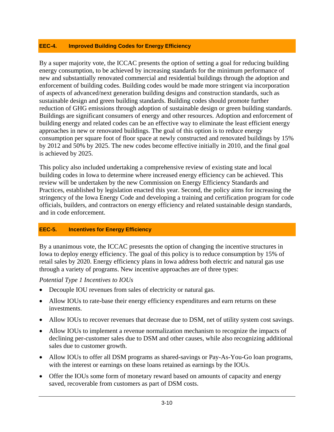### **EEC-4. Improved Building Codes for Energy Efficiency**

By a super majority vote, the ICCAC presents the option of setting a goal for reducing building energy consumption, to be achieved by increasing standards for the minimum performance of new and substantially renovated commercial and residential buildings through the adoption and enforcement of building codes. Building codes would be made more stringent via incorporation of aspects of advanced/next generation building designs and construction standards, such as sustainable design and green building standards. Building codes should promote further reduction of GHG emissions through adoption of sustainable design or green building standards. Buildings are significant consumers of energy and other resources. Adoption and enforcement of building energy and related codes can be an effective way to eliminate the least efficient energy approaches in new or renovated buildings. The goal of this option is to reduce energy consumption per square foot of floor space at newly constructed and renovated buildings by 15% by 2012 and 50% by 2025. The new codes become effective initially in 2010, and the final goal is achieved by 2025.

This policy also included undertaking a comprehensive review of existing state and local building codes in Iowa to determine where increased energy efficiency can be achieved. This review will be undertaken by the new Commission on Energy Efficiency Standards and Practices, established by legislation enacted this year. Second, the policy aims for increasing the stringency of the Iowa Energy Code and developing a training and certification program for code officials, builders, and contractors on energy efficiency and related sustainable design standards, and in code enforcement.

### **EEC-5. Incentives for Energy Efficiency**

By a unanimous vote, the ICCAC presesnts the option of changing the incentive structures in Iowa to deploy energy efficiency. The goal of this policy is to reduce consumption by 15% of retail sales by 2020. Energy efficiency plans in Iowa address both electric and natural gas use through a variety of programs. New incentive approaches are of three types:

### *Potential Type 1 Incentives to IOUs*

- Decouple IOU revenues from sales of electricity or natural gas.
- Allow IOUs to rate-base their energy efficiency expenditures and earn returns on these investments.
- Allow IOUs to recover revenues that decrease due to DSM, net of utility system cost savings.
- Allow IOUs to implement a revenue normalization mechanism to recognize the impacts of declining per-customer sales due to DSM and other causes, while also recognizing additional sales due to customer growth.
- Allow IOUs to offer all DSM programs as shared-savings or Pay-As-You-Go loan programs, with the interest or earnings on these loans retained as earnings by the IOUs.
- Offer the IOUs some form of monetary reward based on amounts of capacity and energy saved, recoverable from customers as part of DSM costs.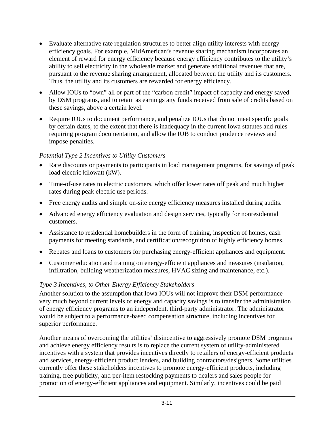- Evaluate alternative rate regulation structures to better align utility interests with energy efficiency goals. For example, MidAmerican's revenue sharing mechanism incorporates an element of reward for energy efficiency because energy efficiency contributes to the utility's ability to sell electricity in the wholesale market and generate additional revenues that are, pursuant to the revenue sharing arrangement, allocated between the utility and its customers. Thus, the utility and its customers are rewarded for energy efficiency.
- Allow IOUs to "own" all or part of the "carbon credit" impact of capacity and energy saved by DSM programs, and to retain as earnings any funds received from sale of credits based on these savings, above a certain level.
- Require IOUs to document performance, and penalize IOUs that do not meet specific goals by certain dates, to the extent that there is inadequacy in the current Iowa statutes and rules requiring program documentation, and allow the IUB to conduct prudence reviews and impose penalties.

### *Potential Type 2 Incentives to Utility Customers*

- Rate discounts or payments to participants in load management programs, for savings of peak load electric kilowatt (kW).
- Time-of-use rates to electric customers, which offer lower rates off peak and much higher rates during peak electric use periods.
- Free energy audits and simple on-site energy efficiency measures installed during audits.
- Advanced energy efficiency evaluation and design services, typically for nonresidential customers.
- Assistance to residential homebuilders in the form of training, inspection of homes, cash payments for meeting standards, and certification/recognition of highly efficiency homes.
- Rebates and loans to customers for purchasing energy-efficient appliances and equipment.
- Customer education and training on energy-efficient appliances and measures (insulation, infiltration, building weatherization measures, HVAC sizing and maintenance, etc.).

### *Type 3 Incentives, to Other Energy Efficiency Stakeholders*

Another solution to the assumption that Iowa IOUs will not improve their DSM performance very much beyond current levels of energy and capacity savings is to transfer the administration of energy efficiency programs to an independent, third-party administrator. The administrator would be subject to a performance-based compensation structure, including incentives for superior performance.

Another means of overcoming the utilities' disincentive to aggressively promote DSM programs and achieve energy efficiency results is to replace the current system of utility-administered incentives with a system that provides incentives directly to retailers of energy-efficient products and services, energy-efficient product lenders, and building contractors/designers. Some utilities currently offer these stakeholders incentives to promote energy-efficient products, including training, free publicity, and per-item restocking payments to dealers and sales people for promotion of energy-efficient appliances and equipment. Similarly, incentives could be paid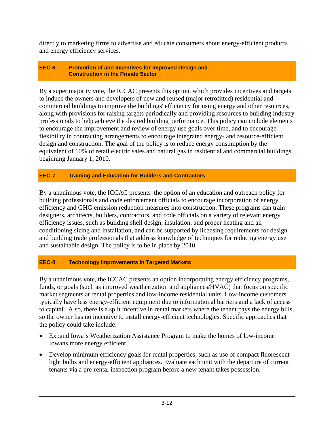directly to marketing firms to advertise and educate consumers about energy-efficient products and energy efficiency services.

### **EEC-6. Promotion of and Incentives for Improved Design and Construction in the Private Sector**

By a super majority vote, the ICCAC presents this option, which provides incentives and targets to induce the owners and developers of new and reused (major retrofitted) residential and commercial buildings to improve the buildings' efficiency for using energy and other resources, along with provisions for raising targets periodically and providing resources to building industry professionals to help achieve the desired building performance. This policy can include elements to encourage the improvement and review of energy use goals over time, and to encourage flexibility in contracting arrangements to encourage integrated energy- and resource-efficient design and construction. The goal of the policy is to reduce energy consumption by the equivalent of 10% of retail electric sales and natural gas in residential and commercial buildings beginning January 1, 2010.

### **EEC-7. Training and Education for Builders and Contractors**

By a unanimous vote, the ICCAC presents the option of an education and outreach policy for building professionals and code enforcement officials to encourage incorporation of energy efficiency and GHG emission reduction measures into construction. These programs can train designers, architects, builders, contractors, and code officials on a variety of relevant energy efficiency issues, such as building shell design, insulation, and proper heating and air conditioning sizing and installation, and can be supported by licensing requirements for design and building trade professionals that address knowledge of techniques for reducing energy use and sustainable design. The policy is to be in place by 2010.

### **EEC-8. Technology Improvements in Targeted Markets**

By a unanimous vote, the ICCAC presents an option incorporating energy efficiency programs, funds, or goals (such as improved weatherization and appliances/HVAC) that focus on specific market segments at rental properties and low-income residential units. Low-income customers typically have less energy-efficient equipment due to informational barriers and a lack of access to capital. Also, there is a split incentive in rental markets where the tenant pays the energy bills, so the owner has no incentive to install energy-efficient technologies. Specific approaches that the policy could take include:

- Expand Iowa's Weatherization Assistance Program to make the homes of low-income Iowans more energy efficient.
- Develop minimum efficiency goals for rental properties, such as use of compact fluorescent light bulbs and energy-efficient appliances. Evaluate each unit with the departure of current tenants via a pre-rental inspection program before a new tenant takes possession.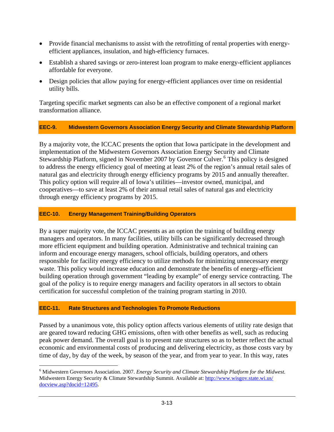- Provide financial mechanisms to assist with the retrofitting of rental properties with energyefficient appliances, insulation, and high-efficiency furnaces.
- Establish a shared savings or zero-interest loan program to make energy-efficient appliances affordable for everyone.
- Design policies that allow paying for energy-efficient appliances over time on residential utility bills.

Targeting specific market segments can also be an effective component of a regional market transformation alliance.

### **EEC-9. Midwestern Governors Association Energy Security and Climate Stewardship Platform**

By a majority vote, the ICCAC presents the option that Iowa participate in the development and implementation of the Midwestern Governors Association Energy Security and Climate Stewardship Platform, signed in November 2007 by Governor Culver.<sup>[6](#page-73-0)</sup> This policy is designed to address the energy efficiency goal of meeting at least 2% of the region's annual retail sales o f natural gas and electricity through energy efficiency programs by 2015 and annually thereafter. This policy option will require all of Iowa's utilities—investor owned, municipal, and cooperatives—to save at least 2% of their annual retail sales of natural gas and electricity through energy efficiency programs by 2015.

### **EEC-10. Energy Management Training/Building Operators**

By a super majority vote, the ICCAC presents as an option the training of building energy managers and operators. In many facilities, utility bills can be significantly decreased through more efficient equipment and building operation. Administrative and technical training can inform and encourage energy managers, school officials, building operators, and others responsible for facility energy efficiency to utilize methods for minimizing unnecessary energy waste. This policy would increase education and demonstrate the benefits of energy-efficient building operation through government "leading by example" of energy service contracting. The goal of the policy is to require energy managers and facility operators in all sectors to obtain certification for successful completion of the training program starting in 2010.

### **EEC-11. Rate Structures and Technologies To Promote Reductions**

Passed by a unanimous vote, this policy option affects various elements of utility rate design that are geared toward reducing GHG emissions, often with other benefits as well, such as reducing peak power demand. The overall goal is to present rate structures so as to better reflect the actual economic and environmental costs of producing and delivering electricity, as those costs vary by time of day, by day of the week, by season of the year, and from year to year. In this way, rates

<span id="page-73-0"></span> $\overline{a}$ 6 Midwestern Governors Association. 2007. *Energy Security and Climate Stewardship Platform for the Midwest.* Midwestern Energy Security & Climate Stewardship Summit. Available at: [http://www.wisgov.state.wi.us/](http://www.wisgov.state.wi.us/docview.asp?docid=12495) [docview.asp?docid=12495](http://www.wisgov.state.wi.us/docview.asp?docid=12495).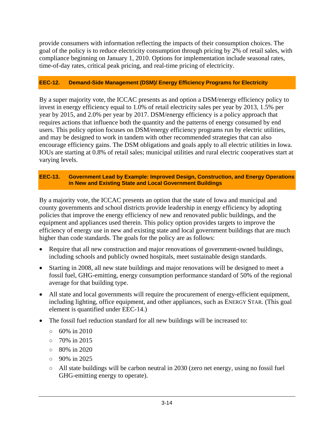provide consumers with information reflecting the impacts of their consumption choices. The goal of the policy is to reduce electricity consumption through pricing by 2% of retail sales, with compliance beginning on January 1, 2010. Options for implementation include seasonal rates, time-of-day rates, critical peak pricing, and real-time pricing of electricity.

### **EEC-12. Demand-Side Management (DSM)/ Energy Efficiency Programs for Electricity**

By a super majority vote, the ICCAC presents as and option a DSM/energy efficiency policy to invest in energy efficiency equal to 1.0% of retail electricity sales per year by 2013, 1.5% per year by 2015, and 2.0% per year by 2017. DSM/energy efficiency is a policy approach that requires actions that influence both the quantity and the patterns of energy consumed by end users. This policy option focuses on DSM/energy efficiency programs run by electric utilities, and may be designed to work in tandem with other recommended strategies that can also encourage efficiency gains. The DSM obligations and goals apply to all electric utilities in Iowa. IOUs are starting at 0.8% of retail sales; municipal utilities and rural electric cooperatives start at varying levels.

### **EEC-13. Government Lead by Example: Improved Design, Construction, and Energy Operations in New and Existing State and Local Government Buildings**

By a majority vote, the ICCAC presents an option that the state of Iowa and municipal and county governments and school districts provide leadership in energy efficiency by adopting policies that improve the energy efficiency of new and renovated public buildings, and the equipment and appliances used therein. This policy option provides targets to improve the efficiency of energy use in new and existing state and local government buildings that are much higher than code standards. The goals for the policy are as follows:

- Require that all new construction and major renovations of government-owned buildings, including schools and publicly owned hospitals, meet sustainable design standards.
- Starting in 2008, all new state buildings and major renovations will be designed to meet a fossil fuel, GHG-emitting, energy consumption performance standard of 50% of the regional average for that building type.
- All state and local governments will require the procurement of energy-efficient equipment, including lighting, office equipment, and other appliances, such as ENERGY STAR. (This goal element is quantified under EEC-14.)
- The fossil fuel reduction standard for all new buildings will be increased to:
	- $\circ$  60% in 2010
	- 70% in 2015
	- 80% in 2020
	- $\circ$  90% in 2025
	- $\circ$  All state buildings will be carbon neutral in 2030 (zero net energy, using no fossil fuel GHG-emitting energy to operate).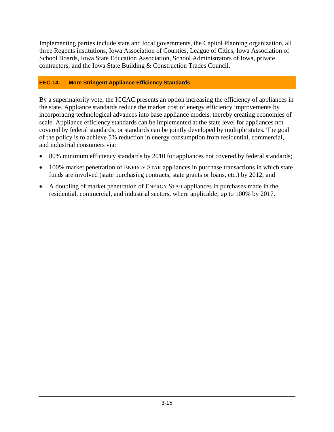Implementing parties include state and local governments, the Capitol Planning organization, all three Regents institutions, Iowa Association of Counties, League of Cities, Iowa Association of School Boards, Iowa State Education Association, School Administrators of Iowa, private contractors, and the Iowa State Building & Construction Trades Council.

## **EEC-14. More Stringent Appliance Efficiency Standards**

By a supermajority vote, the ICCAC presents an option increasing the efficiency of appliances in the state. Appliance standards reduce the market cost of energy efficiency improvements by incorporating technological advances into base appliance models, thereby creating economies of scale. Appliance efficiency standards can be implemented at the state level for appliances not covered by federal standards, or standards can be jointly developed by multiple states. The goal of the policy is to achieve 5% reduction in energy consumption from residential, commercial, and industrial consumers via:

- 80% minimum efficiency standards by 2010 for appliances not covered by federal standards;
- 100% market penetration of ENERGY STAR appliances in purchase transactions in which state funds are involved (state purchasing contracts, state grants or loans, etc.) by 2012; and
- A doubling of market penetration of ENERGY STAR appliances in purchases made in the residential, commercial, and industrial sectors, where applicable, up to 100% by 2017.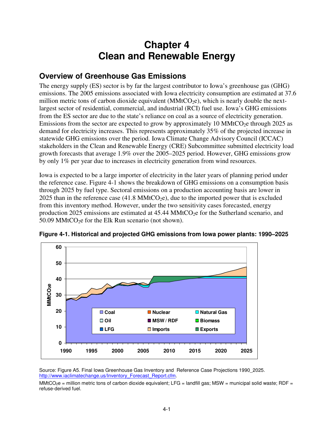# **Chapter 4 Clean and Renewable Energy**

## **Overview of Greenhouse Gas Emissions**

The energy supply (ES) sector is by far the largest contributor to Iowa's greenhouse gas (GHG) emissions. The 2005 emissions associated with Iowa electricity consumption are estimated at 37.6 million metric tons of carbon dioxide equivalent ( $MMtCO<sub>2</sub>e$ ), which is nearly double the nextlargest sector of residential, commercial, and industrial (RCI) fuel use. Iowa's GHG emissions from the ES sector are due to the state's reliance on coal as a source of electricity generation. Emissions from the sector are expected to grow by approximately 10 MMtCO<sub>2</sub>e through 2025 as demand for electricity increases. This represents approximately 35% of the projected increase in statewide GHG emissions over the period. Iowa Climate Change Advisory Council (ICCAC) stakeholders in the Clean and Renewable Energy (CRE) Subcommittee submitted electricity load growth forecasts that average 1.9% over the 2005–2025 period. However, GHG emissions grow by only 1% per year due to increases in electricity generation from wind resources.

Iowa is expected to be a large importer of electricity in the later years of planning period under the reference case. Figure 4-1 shows the breakdown of GHG emissions on a consumption basis through 2025 by fuel type. Sectoral emissions on a production accounting basis are lower in 2025 than in the reference case  $(41.8 \text{ MMtCO}_2e)$ , due to the imported power that is excluded from this inventory method. However, under the two sensitivity cases forecasted, energy production 2025 emissions are estimated at  $45.44 \text{ MMtCO}_2$ e for the Sutherland scenario, and 50.09 MMtCO<sub>2</sub>e for the Elk Run scenario (not shown).



**Figure 4-1. Historical and projected GHG emissions from Iowa power plants: 1990–2025** 

Source: Figure A5. Final Iowa Greenhouse Gas Inventory and Reference Case Projections 1990\_2025. http://www.iaclimatechange.us/Inventory\_Forecast\_Report.cfm.

MMtCO<sub>2</sub>e = million metric tons of carbon dioxide equivalent; LFG = landfill gas; MSW = municipal solid waste; RDF = refuse-derived fuel.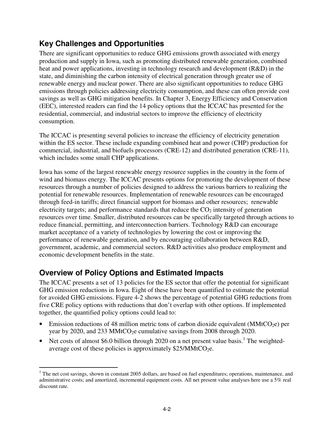# **Key Challenges and Opportunities**

There are significant opportunities to reduce GHG emissions growth associated with energy production and supply in Iowa, such as promoting distributed renewable generation, combined heat and power applications, investing in technology research and development (R&D) in the state, and diminishing the carbon intensity of electrical generation through greater use of renewable energy and nuclear power. There are also significant opportunities to reduce GHG emissions through policies addressing electricity consumption, and these can often provide cost savings as well as GHG mitigation benefits. In Chapter 3, Energy Efficiency and Conservation (EEC), interested readers can find the 14 policy options that the ICCAC has presented for the residential, commercial, and industrial sectors to improve the efficiency of electricity consumption.

The ICCAC is presenting several policies to increase the efficiency of electricity generation within the ES sector. These include expanding combined heat and power (CHP) production for commercial, industrial, and biofuels processors (CRE-12) and distributed generation (CRE-11), which includes some small CHP applications.

Iowa has some of the largest renewable energy resource supplies in the country in the form of wind and biomass energy. The ICCAC presents options for promoting the development of these resources through a number of policies designed to address the various barriers to realizing the potential for renewable resources. Implementation of renewable resources can be encouraged through feed-in tariffs; direct financial support for biomass and other resources; renewable electricity targets; and performance standards that reduce the  $CO<sub>2</sub>$  intensity of generation resources over time. Smaller, distributed resources can be specifically targeted through actions to reduce financial, permitting, and interconnection barriers. Technology R&D can encourage market acceptance of a variety of technologies by lowering the cost or improving the performance of renewable generation, and by encouraging collaboration between R&D, government, academic, and commercial sectors. R&D activities also produce employment and economic development benefits in the state.

# **Overview of Policy Options and Estimated Impacts**

The ICCAC presents a set of 13 policies for the ES sector that offer the potential for significant GHG emission reductions in Iowa. Eight of these have been quantified to estimate the potential for avoided GHG emissions. Figure 4-2 shows the percentage of potential GHG reductions from five CRE policy options with reductions that don't overlap with other options. If implemented together, the quantified policy options could lead to:

- Emission reductions of 48 million metric tons of carbon dioxide equivalent (MMtCO<sub>2</sub>e) per year by 2020, and 233 MMtCO<sub>2</sub>e cumulative savings from 2008 through 2020.
- Net costs of almost \$6.0 billion through 2020 on a net present value basis.<sup>1</sup> The weightedaverage cost of these policies is approximately  $$25/MMtCO<sub>2</sub>e$ .

<sup>&</sup>lt;u>.</u> <sup>1</sup> The net cost savings, shown in constant 2005 dollars, are based on fuel expenditures; operations, maintenance, and administrative costs; and amortized, incremental equipment costs. All net present value analyses here use a 5% real discount rate.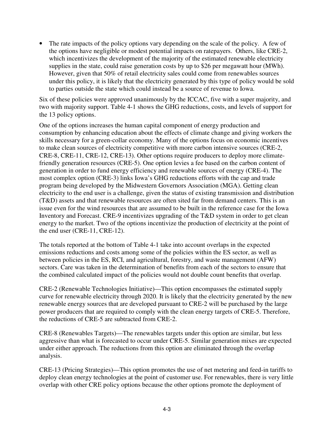The rate impacts of the policy options vary depending on the scale of the policy. A few of the options have negligible or modest potential impacts on ratepayers. Others, like CRE-2, which incentivizes the development of the majority of the estimated renewable electricity supplies in the state, could raise generation costs by up to \$26 per megawatt hour (MWh). However, given that 50% of retail electricity sales could come from renewables sources under this policy, it is likely that the electricity generated by this type of policy would be sold to parties outside the state which could instead be a source of revenue to Iowa.

Six of these policies were approved unanimously by the ICCAC, five with a super majority, and two with majority support. Table 4-1 shows the GHG reductions, costs, and levels of support for the 13 policy options.

One of the options increases the human capital component of energy production and consumption by enhancing education about the effects of climate change and giving workers the skills necessary for a green-collar economy. Many of the options focus on economic incentives to make clean sources of electricity competitive with more carbon intensive sources (CRE-2, CRE-8, CRE-11, CRE-12, CRE-13). Other options require producers to deploy more climatefriendly generation resources (CRE-5). One option levies a fee based on the carbon content of generation in order to fund energy efficiency and renewable sources of energy (CRE-4). The most complex option (CRE-3) links Iowa's GHG reductions efforts with the cap and trade program being developed by the Midwestern Governors Association (MGA). Getting clean electricity to the end user is a challenge, given the status of existing transmission and distribution (T&D) assets and that renewable resources are often sited far from demand centers. This is an issue even for the wind resources that are assumed to be built in the reference case for the Iowa Inventory and Forecast. CRE-9 incentivizes upgrading of the T&D system in order to get clean energy to the market. Two of the options incentivize the production of electricity at the point of the end user (CRE-11, CRE-12).

The totals reported at the bottom of Table 4-1 take into account overlaps in the expected emissions reductions and costs among some of the policies within the ES sector, as well as between policies in the ES, RCI, and agricultural, forestry, and waste management (AFW) sectors. Care was taken in the determination of benefits from each of the sectors to ensure that the combined calculated impact of the policies would not double count benefits that overlap.

CRE-2 (Renewable Technologies Initiative)—This option encompasses the estimated supply curve for renewable electricity through 2020. It is likely that the electricity generated by the new renewable energy sources that are developed pursuant to CRE-2 will be purchased by the large power producers that are required to comply with the clean energy targets of CRE-5. Therefore, the reductions of CRE-5 are subtracted from CRE-2.

CRE-8 (Renewables Targets)—The renewables targets under this option are similar, but less aggressive than what is forecasted to occur under CRE-5. Similar generation mixes are expected under either approach. The reductions from this option are eliminated through the overlap analysis.

CRE-13 (Pricing Strategies)—This option promotes the use of net metering and feed-in tariffs to deploy clean energy technologies at the point of customer use. For renewables, there is very little overlap with other CRE policy options because the other options promote the deployment of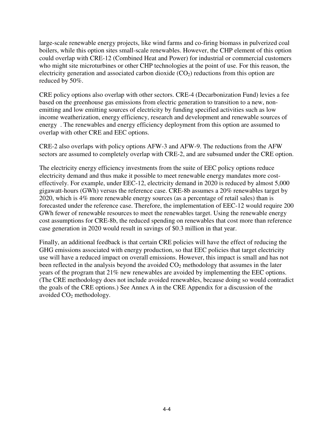large-scale renewable energy projects, like wind farms and co-firing biomass in pulverized coal boilers, while this option sites small-scale renewables. However, the CHP element of this option could overlap with CRE-12 (Combined Heat and Power) for industrial or commercial customers who might site microturbines or other CHP technologies at the point of use. For this reason, the electricity generation and associated carbon dioxide  $(CO<sub>2</sub>)$  reductions from this option are reduced by 50%.

CRE policy options also overlap with other sectors. CRE-4 (Decarbonization Fund) levies a fee based on the greenhouse gas emissions from electric generation to transition to a new, nonemitting and low emitting sources of electricity by funding specified activities such as low income weatherization, energy efficiency, research and development and renewable sources of energy . The renewables and energy efficiency deployment from this option are assumed to overlap with other CRE and EEC options.

CRE-2 also overlaps with policy options AFW-3 and AFW-9. The reductions from the AFW sectors are assumed to completely overlap with CRE-2, and are subsumed under the CRE option.

The electricity energy efficiency investments from the suite of EEC policy options reduce electricity demand and thus make it possible to meet renewable energy mandates more costeffectively. For example, under EEC-12, electricity demand in 2020 is reduced by almost 5,000 gigawatt-hours (GWh) versus the reference case. CRE-8b assumes a 20% renewables target by 2020, which is 4% more renewable energy sources (as a percentage of retail sales) than is forecasted under the reference case. Therefore, the implementation of EEC-12 would require 200 GWh fewer of renewable resources to meet the renewables target. Using the renewable energy cost assumptions for CRE-8b, the reduced spending on renewables that cost more than reference case generation in 2020 would result in savings of \$0.3 million in that year.

Finally, an additional feedback is that certain CRE policies will have the effect of reducing the GHG emissions associated with energy production, so that EEC policies that target electricity use will have a reduced impact on overall emissions. However, this impact is small and has not been reflected in the analysis beyond the avoided  $CO<sub>2</sub>$  methodology that assumes in the later years of the program that 21% new renewables are avoided by implementing the EEC options. (The CRE methodology does not include avoided renewables, because doing so would contradict the goals of the CRE options.) See Annex A in the CRE Appendix for a discussion of the avoided  $CO<sub>2</sub>$  methodology.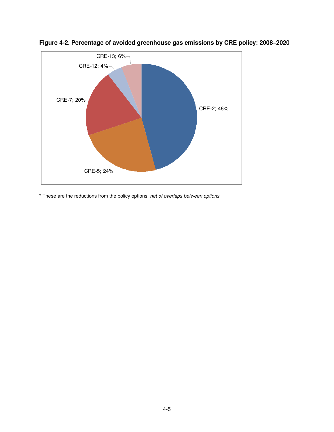

**Figure 4-2. Percentage of avoided greenhouse gas emissions by CRE policy: 2008–2020** 

\* These are the reductions from the policy options, net of overlaps between options.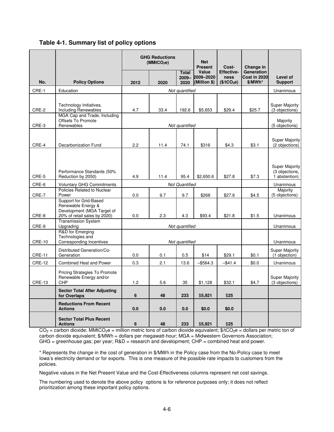| Table 4-1. Summary list of policy options |
|-------------------------------------------|
|-------------------------------------------|

|               |                                                                                                            | <b>GHG Reductions</b><br>(MMtCO <sub>2</sub> e) |                       | <b>Net</b><br><b>Present</b><br>Cost- |                         | Change in                 |                            |                                                          |
|---------------|------------------------------------------------------------------------------------------------------------|-------------------------------------------------|-----------------------|---------------------------------------|-------------------------|---------------------------|----------------------------|----------------------------------------------------------|
|               |                                                                                                            |                                                 |                       | <b>Total</b>                          | Value<br>2009-2009-2020 | <b>Effective-</b><br>ness | Generation<br>Cost in 2020 | Level of                                                 |
| No.           | <b>Policy Options</b>                                                                                      | 2012                                            | 2020                  | 2020                                  | (Million \$)            | (\$/tCO <sub>2</sub> e)   | $$/MWh*$                   | <b>Support</b>                                           |
| CRE-1         | Education                                                                                                  |                                                 |                       | Not quantified                        |                         |                           |                            | Unanimous                                                |
| CRE-2         | Technology Initiatives,<br><b>Including Renewables</b><br>MGA Cap and Trade, Including                     | 4.7                                             | 33.4                  | 192.6                                 | \$5,653                 | \$29.4                    | \$25.7                     | <b>Super Majority</b><br>(3 objections)                  |
| CRE-3         | <b>Offsets To Promote</b><br>Renewables                                                                    |                                                 |                       | Not quantified                        |                         |                           |                            | Majority<br>(5 objections)                               |
| CRE-4         | Decarbonization Fund                                                                                       | 2.2                                             | 11.4                  | 74.1                                  | \$316                   | \$4.3                     | \$3.1                      | <b>Super Majority</b><br>(2 objections)                  |
| CRE-5         | Performance Standards (50%<br>Reduction by 2050)                                                           | 4.9                                             | 11.4                  | 95.4                                  | \$2,650.6               | \$27.8                    | \$7.3                      | <b>Super Majority</b><br>(3 objections,<br>1 abstention) |
| CRE-6         | <b>Voluntary GHG Commitments</b>                                                                           |                                                 | <b>Not Quantified</b> |                                       | Unanimous               |                           |                            |                                                          |
| CRE-7         | Policies Related to Nuclear<br>Power                                                                       | 0.0                                             | 9.7                   | 9.7                                   | \$268                   | \$27.6                    | \$4.5                      | Majority<br>(5 objections)                               |
| CRE-8         | Support for Grid-Based<br>Renewable Energy &<br>Development (MGA Target of<br>20% of retail sales by 2020) | 0.0                                             | 2.3                   | 4.3                                   | \$93.4                  | \$21.8                    | \$1.5                      | Unanimous                                                |
| CRE-9         | <b>Transmission System</b><br>Upgrading                                                                    |                                                 |                       |                                       |                         |                           |                            | Unanimous                                                |
| <b>CRE-10</b> | R&D for Emerging<br>Technologies and<br><b>Corresponding Incentives</b>                                    | Not quantified<br>Not quantified                |                       |                                       |                         |                           |                            | Unanimous                                                |
| <b>CRE-11</b> | Distributed Generation/Co-<br>Generation                                                                   | 0.0                                             | 0.1                   | 0.5                                   | \$14                    | \$29.1                    | \$0.1                      | <b>Super Majority</b><br>(1 objection)                   |
| <b>CRE-12</b> | <b>Combined Heat and Power</b>                                                                             | 0.3                                             | 2.1                   | 13.6                                  | $-$ \$564.3             | $-$ \$41.4                | \$0.0                      | Unanimous                                                |
| <b>CRE-13</b> | <b>Pricing Strategies To Promote</b><br>Renewable Energy and/or<br>CHP                                     | 1.2                                             | 5.6                   | 35                                    | \$1,128                 | \$32.1                    | \$4.7                      | <b>Super Majority</b><br>(3 objections)                  |
|               | <b>Sector Total After Adjusting</b><br>for Overlaps                                                        | 6                                               | 48                    | 233                                   | \$5,921                 | \$25                      |                            |                                                          |
|               | <b>Reductions From Recent</b><br><b>Actions</b>                                                            | 0.0                                             | 0.0                   | 0.0                                   | \$0.0                   | \$0.0                     |                            |                                                          |
|               | <b>Sector Total Plus Recent</b><br><b>Actions</b>                                                          | 6                                               | 48                    | 233                                   | \$5,921                 | \$25                      |                            |                                                          |

 $CO<sub>2</sub> =$  carbon dioxide; MMtCO<sub>2</sub>e = million metric tons of carbon dioxide equivalent;  $\frac{4}{5}$ tCO<sub>2</sub>e = dollars per metric ton of carbon dioxide equivalent; \$/MWh = dollars per megawatt-hour; MGA = Midwestern Governors Association; GHG = greenhouse gas; per year; R&D = research and development; CHP = combined heat and power.

\* Represents the change in the cost of generation in \$/MWh in the Policy case from the No-Policy case to meet Iowa's electricity demand or for exports. This is one measure of the possible rate impacts to customers from the policies.

Negative values in the Net Present Value and the Cost-Effectiveness columns represent net cost savings.

The numbering used to denote the above policy options is for reference purposes only; it does not reflect prioritization among these important policy options.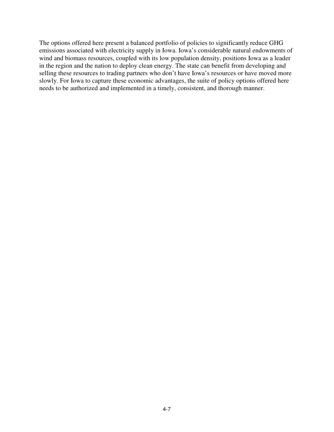The options offered here present a balanced portfolio of policies to significantly reduce GHG emissions associated with electricity supply in Iowa. Iowa's considerable natural endowments of wind and biomass resources, coupled with its low population density, positions Iowa as a leader in the region and the nation to deploy clean energy. The state can benefit from developing and selling these resources to trading partners who don't have Iowa's resources or have moved more slowly. For Iowa to capture these economic advantages, the suite of policy options offered here needs to be authorized and implemented in a timely, consistent, and thorough manner.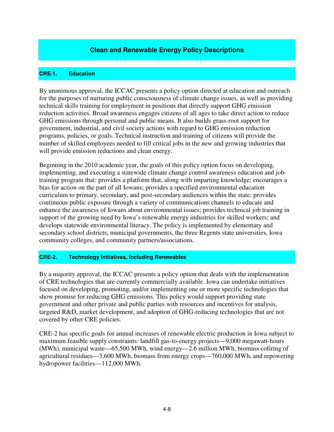### **Clean and Renewable Energy Policy Descriptions**

### **CRE-1. Education**

By unanimous approval, the ICCAC presents a policy option directed at education and outreach for the purposes of nurturing public consciousness of climate change issues, as well as providing technical skills training for employment in positions that directly support GHG emission reduction activities. Broad awareness engages citizens of all ages to take direct action to reduce GHG emissions through personal and public means. It also builds grass-root support for government, industrial, and civil society actions with regard to GHG emission reduction programs, policies, or goals. Technical instruction and training of citizens will provide the number of skilled employees needed to fill critical jobs in the new and growing industries that will provide emission reductions and clean energy.

Beginning in the 2010 academic year, the goals of this policy option focus on developing, implementing, and executing a statewide climate change control awareness education and jobtraining program that: provides a platform that, along with imparting knowledge; encourages a bias for action on the part of all Iowans; provides a specified environmental education curriculum to primary, secondary, and post-secondary audiences within the state; provides continuous public exposure through a variety of communications channels to educate and enhance the awareness of Iowans about environmental issues; provides technical job training in support of the growing need by Iowa's renewable energy industries for skilled workers; and develops statewide environmental literacy. The policy is implemented by elementary and secondary school districts, municipal governments, the three Regents state universities, Iowa community colleges, and community partners/associations.

### **CRE-2. Technology Initiatives, Including Renewables**

By a majority approval, the ICCAC presents a policy option that deals with the implementation of CRE technologies that are currently commercially available. Iowa can undertake initiatives focused on developing, promoting, and/or implementing one or more specific technologies that show promise for reducing GHG emissions. This policy would support providing state government and other private and public parties with resources and incentives for analysis, targeted R&D, market development, and adoption of GHG-reducing technologies that are not covered by other CRE policies.

CRE-2 has specific goals for annual increases of renewable electric production in Iowa subject to maximum feasible supply constraints: landfill gas-to-energy projects—9,000 megawatt-hours (MWh), municipal waste—65,500 MWh, wind energy—2.6 million MWh, biomass cofiring of agricultural residues—3,600 MWh, biomass from energy crops—760,000 MWh, and repowering hydropower facilities—112,000 MWh.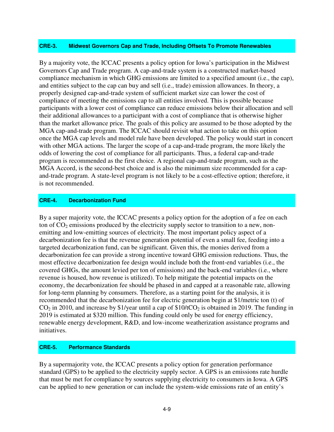### **CRE-3. Midwest Governors Cap and Trade, Including Offsets To Promote Renewables**

By a majority vote, the ICCAC presents a policy option for Iowa's participation in the Midwest Governors Cap and Trade program. A cap-and-trade system is a constructed market-based compliance mechanism in which GHG emissions are limited to a specified amount (i.e., the cap), and entities subject to the cap can buy and sell (i.e., trade) emission allowances. In theory, a properly designed cap-and-trade system of sufficient market size can lower the cost of compliance of meeting the emissions cap to all entities involved. This is possible because participants with a lower cost of compliance can reduce emissions below their allocation and sell their additional allowances to a participant with a cost of compliance that is otherwise higher than the market allowance price. The goals of this policy are assumed to be those adopted by the MGA cap-and-trade program. The ICCAC should revisit what action to take on this option once the MGA cap levels and model rule have been developed. The policy would start in concert with other MGA actions. The larger the scope of a cap-and-trade program, the more likely the odds of lowering the cost of compliance for all participants. Thus, a federal cap-and-trade program is recommended as the first choice. A regional cap-and-trade program, such as the MGA Accord, is the second-best choice and is also the minimum size recommended for a capand-trade program. A state-level program is not likely to be a cost-effective option; therefore, it is not recommended.

### **CRE-4. Decarbonization Fund**

By a super majority vote, the ICCAC presents a policy option for the adoption of a fee on each ton of  $CO<sub>2</sub>$  emissions produced by the electricity supply sector to transition to a new, nonemitting and low-emitting sources of electricity. The most important policy aspect of a decarbonization fee is that the revenue generation potential of even a small fee, feeding into a targeted decarbonization fund, can be significant. Given this, the monies derived from a decarbonization fee can provide a strong incentive toward GHG emission reductions. Thus, the most effective decarbonization fee design would include both the front-end variables (i.e., the covered GHGs, the amount levied per ton of emissions) and the back-end variables (i.e., where revenue is housed, how revenue is utilized). To help mitigate the potential impacts on the economy, the decarbonization fee should be phased in and capped at a reasonable rate, allowing for long-term planning by consumers. Therefore, as a starting point for the analysis, it is recommended that the decarbonization fee for electric generation begin at \$1/metric ton (t) of  $CO<sub>2</sub>$  in 2010, and increase by \$1/year until a cap of \$10/tCO<sub>2</sub> is obtained in 2019. The funding in 2019 is estimated at \$320 million. This funding could only be used for energy efficiency, renewable energy development, R&D, and low-income weatherization assistance programs and initiatives.

### **CRE-5. Performance Standards**

By a supermajority vote, the ICCAC presents a policy option for generation performance standard (GPS) to be applied to the electricity supply sector. A GPS is an emissions rate hurdle that must be met for compliance by sources supplying electricity to consumers in Iowa. A GPS can be applied to new generation or can include the system-wide emissions rate of an entity's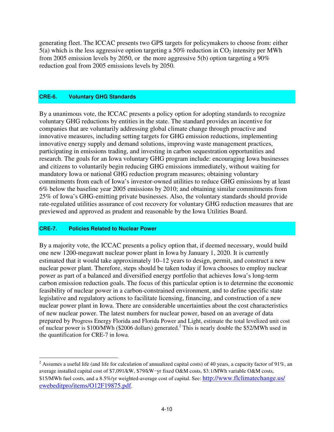generating fleet. The ICCAC presents two GPS targets for policymakers to choose from: either  $5(a)$  which is the less aggressive option targeting a  $50\%$  reduction in CO<sub>2</sub> intensity per MWh from 2005 emission levels by 2050, or the more aggressive 5(b) option targeting a 90% reduction goal from 2005 emissions levels by 2050.

### **CRE-6. Voluntary GHG Standards**

By a unanimous vote, the ICCAC presents a policy option for adopting standards to recognize voluntary GHG reductions by entities in the state. The standard provides an incentive for companies that are voluntarily addressing global climate change through proactive and innovative measures, including setting targets for GHG emission reductions, implementing innovative energy supply and demand solutions, improving waste management practices, participating in emissions trading, and investing in carbon sequestration opportunities and research. The goals for an Iowa voluntary GHG program include: encouraging Iowa businesses and citizens to voluntarily begin reducing GHG emissions immediately, without waiting for mandatory Iowa or national GHG reduction program measures; obtaining voluntary commitments from each of Iowa's investor-owned utilities to reduce GHG emissions by at least 6% below the baseline year 2005 emissions by 2010; and obtaining similar commitments from 25% of Iowa's GHG-emitting private businesses. Also, the voluntary standards should provide rate-regulated utilities assurance of cost recovery for voluntary GHG reduction measures that are previewed and approved as prudent and reasonable by the Iowa Utilities Board.

### **CRE-7. Policies Related to Nuclear Power**

By a majority vote, the ICCAC presents a policy option that, if deemed necessary, would build one new 1200-megawatt nuclear power plant in Iowa by January 1, 2020. It is currently estimated that it would take approximately 10–12 years to design, permit, and construct a new nuclear power plant. Therefore, steps should be taken today if Iowa chooses to employ nuclear power as part of a balanced and diversified energy portfolio that achieves Iowa's long-term carbon emission reduction goals. The focus of this particular option is to determine the economic feasibility of nuclear power in a carbon-constrained environment, and to define specific state legislative and regulatory actions to facilitate licensing, financing, and construction of a new nuclear power plant in Iowa. There are considerable uncertainties about the cost characteristics of new nuclear power. The latest numbers for nuclear power, based on an average of data prepared by Progress Energy Florida and Florida Power and Light, estimate the total levelized unit cost of nuclear power is \$100/MWh (\$2006 dollars) generated.<sup>2</sup> This is nearly double the \$52/MWh used in the quantification for CRE-7 in Iowa.

<sup>2&</sup>lt;br><sup>2</sup> Assumes a useful life (and life for calculation of annualized capital costs) of 40 years, a capacity factor of 91%, an average installed capital cost of \$7,091/kW, \$79/kW-yr fixed O&M costs, \$3.1/MWh variable O&M costs, \$15/MWh fuel costs, and a 8.5%/yr weighted-average cost of capital. See: http://www.flclimatechange.us/ ewebeditpro/items/O12F19875.pdf.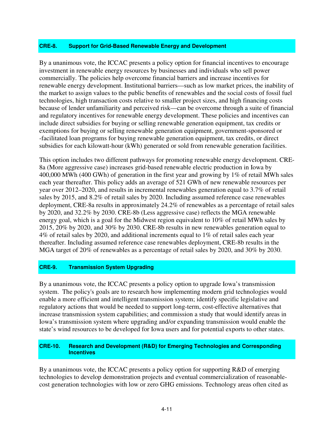### **CRE-8. Support for Grid-Based Renewable Energy and Development**

By a unanimous vote, the ICCAC presents a policy option for financial incentives to encourage investment in renewable energy resources by businesses and individuals who sell power commercially. The policies help overcome financial barriers and increase incentives for renewable energy development. Institutional barriers—such as low market prices, the inability of the market to assign values to the public benefits of renewables and the social costs of fossil fuel technologies, high transaction costs relative to smaller project sizes, and high financing costs because of lender unfamiliarity and perceived risk—can be overcome through a suite of financial and regulatory incentives for renewable energy development. These policies and incentives can include direct subsidies for buying or selling renewable generation equipment, tax credits or exemptions for buying or selling renewable generation equipment, government-sponsored or -facilitated loan programs for buying renewable generation equipment, tax credits, or direct subsidies for each kilowatt-hour (kWh) generated or sold from renewable generation facilities.

This option includes two different pathways for promoting renewable energy development. CRE-8a (More aggressive case) increases grid-based renewable electric production in Iowa by 400,000 MWh (400 GWh) of generation in the first year and growing by 1% of retail MWh sales each year thereafter. This policy adds an average of 521 GWh of new renewable resources per year over 2012–2020, and results in incremental renewables generation equal to 3.7% of retail sales by 2015, and 8.2% of retail sales by 2020. Including assumed reference case renewables deployment, CRE-8a results in approximately 24.2% of renewables as a percentage of retail sales by 2020, and 32.2% by 2030. CRE-8b (Less aggressive case) reflects the MGA renewable energy goal, which is a goal for the Midwest region equivalent to 10% of retail MWh sales by 2015, 20% by 2020, and 30% by 2030. CRE-8b results in new renewables generation equal to 4% of retail sales by 2020, and additional increments equal to 1% of retail sales each year thereafter. Including assumed reference case renewables deployment, CRE-8b results in the MGA target of 20% of renewables as a percentage of retail sales by 2020, and 30% by 2030.

### **CRE-9. Transmission System Upgrading**

By a unanimous vote, the ICCAC presents a policy option to upgrade Iowa's transmission system. The policy's goals are to research how implementing modern grid technologies would enable a more efficient and intelligent transmission system; identify specific legislative and regulatory actions that would be needed to support long-term, cost-effective alternatives that increase transmission system capabilities; and commission a study that would identify areas in Iowa's transmission system where upgrading and/or expanding transmission would enable the state's wind resources to be developed for Iowa users and for potential exports to other states.

### **CRE-10. Research and Development (R&D) for Emerging Technologies and Corresponding Incentives**

By a unanimous vote, the ICCAC presents a policy option for supporting R&D of emerging technologies to develop demonstration projects and eventual commercialization of reasonablecost generation technologies with low or zero GHG emissions. Technology areas often cited as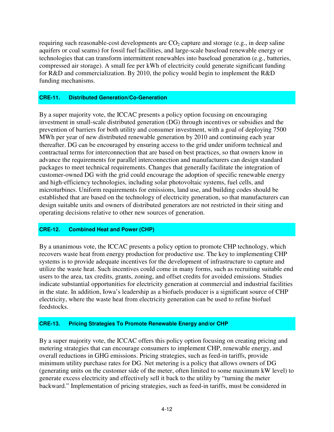requiring such reasonable-cost developments are  $CO<sub>2</sub>$  capture and storage (e.g., in deep saline aquifers or coal seams) for fossil fuel facilities, and large-scale baseload renewable energy or technologies that can transform intermittent renewables into baseload generation (e.g., batteries, compressed air storage). A small fee per kWh of electricity could generate significant funding for R&D and commercialization. By 2010, the policy would begin to implement the R&D funding mechanisms.

### **CRE-11. Distributed Generation/Co-Generation**

By a super majority vote, the ICCAC presents a policy option focusing on encouraging investment in small-scale distributed generation (DG) through incentives or subsidies and the prevention of barriers for both utility and consumer investment, with a goal of deploying 7500 MWh per year of new distributed renewable generation by 2010 and continuing each year thereafter. DG can be encouraged by ensuring access to the grid under uniform technical and contractual terms for interconnection that are based on best practices, so that owners know in advance the requirements for parallel interconnection and manufacturers can design standard packages to meet technical requirements. Changes that generally facilitate the integration of customer-owned DG with the grid could encourage the adoption of specific renewable energy and high-efficiency technologies, including solar photovoltaic systems, fuel cells, and microturbines. Uniform requirements for emissions, land use, and building codes should be established that are based on the technology of electricity generation, so that manufacturers can design suitable units and owners of distributed generators are not restricted in their siting and operating decisions relative to other new sources of generation.

### **CRE-12. Combined Heat and Power (CHP)**

By a unanimous vote, the ICCAC presents a policy option to promote CHP technology, which recovers waste heat from energy production for productive use. The key to implementing CHP systems is to provide adequate incentives for the development of infrastructure to capture and utilize the waste heat. Such incentives could come in many forms, such as recruiting suitable end users to the area, tax credits, grants, zoning, and offset credits for avoided emissions. Studies indicate substantial opportunities for electricity generation at commercial and industrial facilities in the state. In addition, Iowa's leadership as a biofuels producer is a significant source of CHP electricity, where the waste heat from electricity generation can be used to refine biofuel feedstocks.

### **CRE-13. Pricing Strategies To Promote Renewable Energy and/or CHP**

By a super majority vote, the ICCAC offers this policy option focusing on creating pricing and metering strategies that can encourage consumers to implement CHP, renewable energy, and overall reductions in GHG emissions. Pricing strategies, such as feed-in tariffs, provide minimum utility purchase rates for DG. Net metering is a policy that allows owners of DG (generating units on the customer side of the meter, often limited to some maximum kW level) to generate excess electricity and effectively sell it back to the utility by "turning the meter backward." Implementation of pricing strategies, such as feed-in tariffs, must be considered in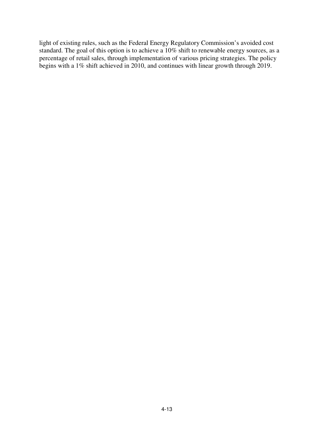light of existing rules, such as the Federal Energy Regulatory Commission's avoided cost standard. The goal of this option is to achieve a 10% shift to renewable energy sources, as a percentage of retail sales, through implementation of various pricing strategies. The policy begins with a 1% shift achieved in 2010, and continues with linear growth through 2019.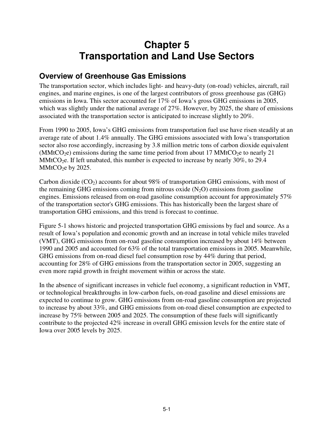# **Chapter 5 Transportation and Land Use Sectors**

## **Overview of Greenhouse Gas Emissions**

The transportation sector, which includes light- and heavy-duty (on-road) vehicles, aircraft, rail engines, and marine engines, is one of the largest contributors of gross greenhouse gas (GHG) emissions in Iowa. This sector accounted for 17% of Iowa's gross GHG emissions in 2005, which was slightly under the national average of 27%. However, by 2025, the share of emissions associated with the transportation sector is anticipated to increase slightly to 20%.

From 1990 to 2005, Iowa's GHG emissions from transportation fuel use have risen steadily at an average rate of about 1.4% annually. The GHG emissions associated with Iowa's transportation sector also rose accordingly, increasing by 3.8 million metric tons of carbon dioxide equivalent (MMtCO<sub>2</sub>e) emissions during the same time period from about 17 MMtCO<sub>2</sub>e to nearly 21 MMtCO<sub>2</sub>e. If left unabated, this number is expected to increase by nearly 30%, to 29.4  $MMtCO<sub>2</sub>e$  by 2025.

Carbon dioxide  $(CO_2)$  accounts for about 98% of transportation GHG emissions, with most of the remaining GHG emissions coming from nitrous oxide  $(N_2O)$  emissions from gasoline engines. Emissions released from on-road gasoline consumption account for approximately 57% of the transportation sector's GHG emissions. This has historically been the largest share of transportation GHG emissions, and this trend is forecast to continue.

Figure 5-1 shows historic and projected transportation GHG emissions by fuel and source. As a result of Iowa's population and economic growth and an increase in total vehicle miles traveled (VMT), GHG emissions from on-road gasoline consumption increased by about 14% between 1990 and 2005 and accounted for 63% of the total transportation emissions in 2005. Meanwhile, GHG emissions from on-road diesel fuel consumption rose by 44% during that period, accounting for 28% of GHG emissions from the transportation sector in 2005, suggesting an even more rapid growth in freight movement within or across the state.

In the absence of significant increases in vehicle fuel economy, a significant reduction in VMT, or technological breakthroughs in low-carbon fuels, on-road gasoline and diesel emissions are expected to continue to grow. GHG emissions from on-road gasoline consumption are projected to increase by about 33%, and GHG emissions from on-road diesel consumption are expected to increase by 75% between 2005 and 2025. The consumption of these fuels will significantly contribute to the projected 42% increase in overall GHG emission levels for the entire state of Iowa over 2005 levels by 2025.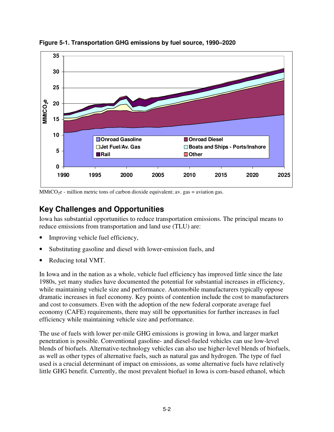

**Figure 5-1. Transportation GHG emissions by fuel source, 1990–2020** 

 $MMtCO<sub>2</sub>e$  - million metric tons of carbon dioxide equivalent; av. gas = aviation gas.

# **Key Challenges and Opportunities**

Iowa has substantial opportunities to reduce transportation emissions. The principal means to reduce emissions from transportation and land use (TLU) are:

- Improving vehicle fuel efficiency,
- Substituting gasoline and diesel with lower-emission fuels, and
- Reducing total VMT.

In Iowa and in the nation as a whole, vehicle fuel efficiency has improved little since the late 1980s, yet many studies have documented the potential for substantial increases in efficiency, while maintaining vehicle size and performance. Automobile manufacturers typically oppose dramatic increases in fuel economy. Key points of contention include the cost to manufacturers and cost to consumers. Even with the adoption of the new federal corporate average fuel economy (CAFE) requirements, there may still be opportunities for further increases in fuel efficiency while maintaining vehicle size and performance.

The use of fuels with lower per-mile GHG emissions is growing in Iowa, and larger market penetration is possible. Conventional gasoline- and diesel-fueled vehicles can use low-level blends of biofuels. Alternative-technology vehicles can also use higher-level blends of biofuels, as well as other types of alternative fuels, such as natural gas and hydrogen. The type of fuel used is a crucial determinant of impact on emissions, as some alternative fuels have relatively little GHG benefit. Currently, the most prevalent biofuel in Iowa is corn-based ethanol, which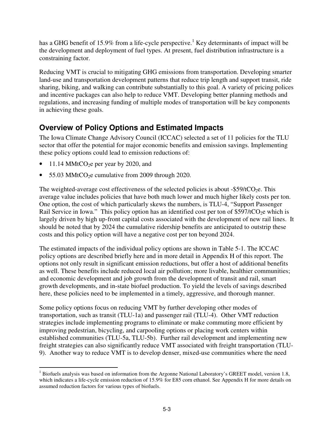has a GHG benefit of 15.9% from a life-cycle perspective.<sup>1</sup> Key determinants of impact will be the development and deployment of fuel types. At present, fuel distribution infrastructure is a constraining factor.

Reducing VMT is crucial to mitigating GHG emissions from transportation. Developing smarter land-use and transportation development patterns that reduce trip length and support transit, ride sharing, biking, and walking can contribute substantially to this goal. A variety of pricing polices and incentive packages can also help to reduce VMT. Developing better planning methods and regulations, and increasing funding of multiple modes of transportation will be key components in achieving these goals.

# **Overview of Policy Options and Estimated Impacts**

The Iowa Climate Change Advisory Council (ICCAC) selected a set of 11 policies for the TLU sector that offer the potential for major economic benefits and emission savings. Implementing these policy options could lead to emission reductions of:

- 11.14 MMtCO<sub>2</sub>e per year by 2020, and
- 55.03 MMtCO $20$ e cumulative from 2009 through 2020.

The weighted-average cost effectiveness of the selected policies is about  $-$ \$59/tCO<sub>2</sub>e. This average value includes policies that have both much lower and much higher likely costs per ton. One option, the cost of which particularly skews the numbers, is TLU-4, "Support Passenger Rail Service in Iowa." This policy option has an identified cost per ton of \$597/tCO<sub>2</sub>e which is largely driven by high up-front capital costs associated with the development of new rail lines. It should be noted that by 2024 the cumulative ridership benefits are anticipated to outstrip these costs and this policy option will have a negative cost per ton beyond 2024.

The estimated impacts of the individual policy options are shown in Table 5-1. The ICCAC policy options are described briefly here and in more detail in Appendix H of this report. The options not only result in significant emission reductions, but offer a host of additional benefits as well. These benefits include reduced local air pollution; more livable, healthier communities; and economic development and job growth from the development of transit and rail, smart growth developments, and in-state biofuel production. To yield the levels of savings described here, these policies need to be implemented in a timely, aggressive, and thorough manner.

Some policy options focus on reducing VMT by further developing other modes of transportation, such as transit (TLU-1a) and passenger rail (TLU-4). Other VMT reduction strategies include implementing programs to eliminate or make commuting more efficient by improving pedestrian, bicycling, and carpooling options or placing work centers within established communities (TLU-5a, TLU-5b). Further rail development and implementing new freight strategies can also significantly reduce VMT associated with freight transportation (TLU-9). Another way to reduce VMT is to develop denser, mixed-use communities where the need

<sup>&</sup>lt;u>.</u> <sup>1</sup> Biofuels analysis was based on information from the Argonne National Laboratory's GREET model, version 1.8, which indicates a life-cycle emission reduction of 15.9% for E85 corn ethanol. See Appendix H for more details on assumed reduction factors for various types of biofuels.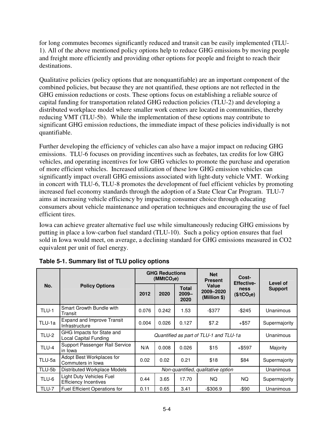for long commutes becomes significantly reduced and transit can be easily implemented (TLU-1). All of the above mentioned policy options help to reduce GHG emissions by moving people and freight more efficiently and providing other options for people and freight to reach their destinations.

Qualitative policies (policy options that are nonquantifiable) are an important component of the combined policies, but because they are not quantified, these options are not reflected in the GHG emission reductions or costs. These options focus on establishing a reliable source of capital funding for transportation related GHG reduction policies (TLU-2) and developing a distributed workplace model where smaller work centers are located in communities, thereby reducing VMT (TLU-5b). While the implementation of these options may contribute to significant GHG emission reductions, the immediate impact of these policies individually is not quantifiable.

Further developing the efficiency of vehicles can also have a major impact on reducing GHG emissions. TLU-6 focuses on providing incentives such as feebates, tax credits for low GHG vehicles, and operating incentives for low GHG vehicles to promote the purchase and operation of more efficient vehicles. Increased utilization of these low GHG emission vehicles can significantly impact overall GHG emissions associated with light-duty vehicle VMT. Working in concert with TLU-6, TLU-8 promotes the development of fuel efficient vehicles by promoting increased fuel economy standards through the adoption of a State Clear Car Program. TLU-7 aims at increasing vehicle efficiency by impacting consumer choice through educating consumers about vehicle maintenance and operation techniques and encouraging the use of fuel efficient tires.

Iowa can achieve greater alternative fuel use while simultaneously reducing GHG emissions by putting in place a low-carbon fuel standard (TLU-10). Such a policy option ensures that fuel sold in Iowa would meet, on average, a declining standard for GHG emissions measured in CO2 equivalent per unit of fuel energy.

|              | <b>Policy Options</b>                                     |                                        | <b>GHG Reductions</b><br>(MMtCO <sub>2</sub> e) |                           | <b>Net</b><br><b>Present</b>       | Cost-<br><b>Effective-</b>      | Level of<br><b>Support</b> |
|--------------|-----------------------------------------------------------|----------------------------------------|-------------------------------------------------|---------------------------|------------------------------------|---------------------------------|----------------------------|
| No.          |                                                           | 2012                                   | 2020                                            | Total<br>$2009 -$<br>2020 | Value<br>2009-2020<br>(Million \$) | ness<br>(\$/tCO <sub>2</sub> e) |                            |
| TLU-1        | Smart Growth Bundle with<br>Transit                       | 0.076                                  | 0.242                                           | 1.53                      | $-$ \$377                          | $-$ \$245                       | Unanimous                  |
| TLU-1a       | <b>Expand and Improve Transit</b><br>Infrastructure       | 0.004                                  | 0.026                                           | 0.127                     | \$7.2                              | $+$ \$57                        | Supermajority              |
| <b>TLU-2</b> | GHG Impacts for State and<br><b>Local Capital Funding</b> | Quantified as part of TLU-1 and TLU-1a | Unanimous                                       |                           |                                    |                                 |                            |
| TLU-4        | Support Passenger Rail Service<br>in Iowa                 | N/A                                    | 0.008                                           | 0.026                     | \$15                               | $+$ \$597                       | Majority                   |
| TLU-5a       | Adopt Best Workplaces for<br>Commuters in Iowa            | 0.02                                   | 0.02                                            | 0.21                      | \$18                               | \$84                            | Supermajority              |
| TLU-5b       | Distributed Workplace Models                              |                                        | Unanimous                                       |                           |                                    |                                 |                            |
| TLU-6        | Light Duty Vehicles Fuel<br><b>Efficiency Incentives</b>  | 0.44                                   | 3.65                                            | 17.70                     | NQ.                                | NQ.                             | Supermajority              |
| <b>TLU-7</b> | <b>Fuel Efficient Operations for</b>                      | 0.11                                   | 0.65                                            | 3.41                      | -\$306.9                           | -\$90                           | Unanimous                  |

**Table 5-1. Summary list of TLU policy options**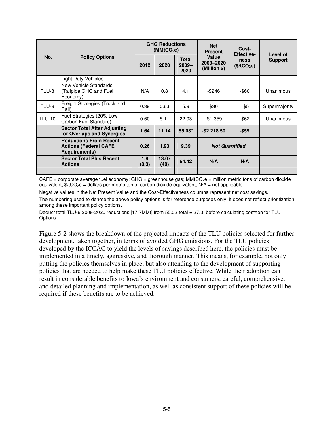| No.           | <b>Policy Options</b>                                                                 | <b>GHG Reductions</b><br>(MMtCO <sub>2</sub> e) |               |                                  | <b>Net</b><br><b>Present</b>       | Cost-<br><b>Effective-</b>      | Level of       |
|---------------|---------------------------------------------------------------------------------------|-------------------------------------------------|---------------|----------------------------------|------------------------------------|---------------------------------|----------------|
|               |                                                                                       | 2012                                            | 2020          | <b>Total</b><br>$2009 -$<br>2020 | Value<br>2009-2020<br>(Million \$) | ness<br>(\$/tCO <sub>2</sub> e) | <b>Support</b> |
|               | <b>Light Duty Vehicles</b>                                                            |                                                 |               |                                  |                                    |                                 |                |
| TLU-8         | New Vehicle Standards<br>(Tailpipe GHG and Fuel<br>Economy)                           | N/A                                             | 0.8           | 4.1                              | $-$ \$246                          | -\$60                           | Unanimous      |
| TLU-9         | Freight Strategies (Truck and<br>Rail)                                                | 0.39                                            | 0.63          | 5.9                              | \$30<br>$+$ \$5                    |                                 | Supermajority  |
| <b>TLU-10</b> | Fuel Strategies (20% Low<br>Carbon Fuel Standard)                                     | 0.60                                            | 5.11          | 22.03                            | $-$ \$62<br>$-$1,359$              |                                 | Unanimous      |
|               | <b>Sector Total After Adjusting</b><br>for Overlaps and Synergies                     | 1.64                                            | 11.14         | $55.03*$                         | $-$2,218.50$<br>$-$ \$59           |                                 |                |
|               | <b>Reductions From Recent</b><br><b>Actions (Federal CAFE</b><br><b>Requirements)</b> | 0.26                                            | 1.93          | 9.39                             | <b>Not Quantified</b>              |                                 |                |
|               | <b>Sector Total Plus Recent</b><br><b>Actions</b>                                     | 1.9<br>(8.3)                                    | 13.07<br>(48) | 64.42                            | N/A                                | N/A                             |                |
|               |                                                                                       |                                                 |               |                                  |                                    |                                 |                |

 $CAFE =$  corporate average fuel economy; GHG = greenhouse gas; MMtCO<sub>2</sub>e = million metric tons of carbon dioxide equivalent;  $\frac{4}{5}$ /tCO<sub>2</sub>e = dollars per metric ton of carbon dioxide equivalent; N/A = not applicable

Negative values in the Net Present Value and the Cost-Effectiveness columns represent net cost savings.

The numbering used to denote the above policy options is for reference purposes only; it does not reflect prioritization among these important policy options.

Deduct total TLU-6 2009-2020 reductions [17.7MMt] from 55.03 total = 37.3, before calculating cost/ton for TLU Options.

Figure 5-2 shows the breakdown of the projected impacts of the TLU policies selected for further development, taken together, in terms of avoided GHG emissions. For the TLU policies developed by the ICCAC to yield the levels of savings described here, the policies must be implemented in a timely, aggressive, and thorough manner. This means, for example, not only putting the policies themselves in place, but also attending to the development of supporting policies that are needed to help make these TLU policies effective. While their adoption can result in considerable benefits to Iowa's environment and consumers, careful, comprehensive, and detailed planning and implementation, as well as consistent support of these policies will be required if these benefits are to be achieved.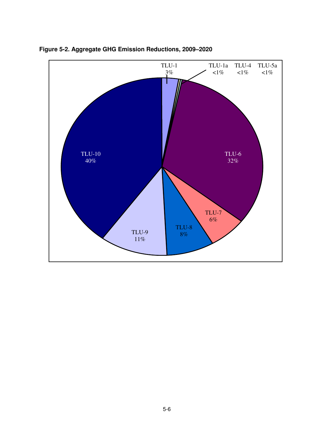

**Figure 5-2. Aggregate GHG Emission Reductions, 2009–2020**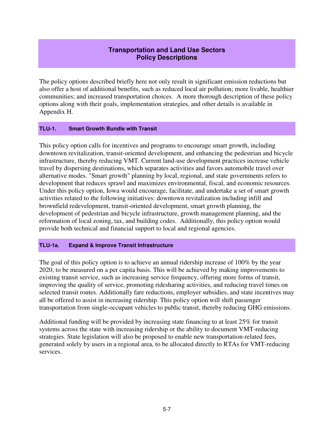### **Transportation and Land Use Sectors Policy Descriptions**

The policy options described briefly here not only result in significant emission reductions but also offer a host of additional benefits, such as reduced local air pollution; more livable, healthier communities; and increased transportation choices. A more thorough description of these policy options along with their goals, implementation strategies, and other details is available in Appendix H.

### **TLU-1. Smart Growth Bundle with Transit**

This policy option calls for incentives and programs to encourage smart growth, including downtown revitalization, transit-oriented development, and enhancing the pedestrian and bicycle infrastructure, thereby reducing VMT. Current land-use development practices increase vehicle travel by dispersing destinations, which separates activities and favors automobile travel over alternative modes. "Smart growth" planning by local, regional, and state governments refers to development that reduces sprawl and maximizes environmental, fiscal, and economic resources. Under this policy option, Iowa would encourage, facilitate, and undertake a set of smart growth activities related to the following initiatives: downtown revitalization including infill and brownfield redevelopment, transit-oriented development, smart growth planning, the development of pedestrian and bicycle infrastructure, growth management planning, and the reformation of local zoning, tax, and building codes. Additionally, this policy option would provide both technical and financial support to local and regional agencies.

### **TLU-1a. Expand & Improve Transit Infrastructure**

The goal of this policy option is to achieve an annual ridership increase of 100% by the year 2020, to be measured on a per capita basis. This will be achieved by making improvements to existing transit service, such as increasing service frequency, offering more forms of transit, improving the quality of service, promoting ridesharing activities, and reducing travel times on selected transit routes. Additionally fare reductions, employer subsidies, and state incentives may all be offered to assist in increasing ridership. This policy option will shift passenger transportation from single-occupant vehicles to public transit, thereby reducing GHG emissions.

Additional funding will be provided by increasing state financing to at least 25% for transit systems across the state with increasing ridership or the ability to document VMT-reducing strategies. State legislation will also be proposed to enable new transportation-related fees, generated solely by users in a regional area, to be allocated directly to RTAs for VMT-reducing services.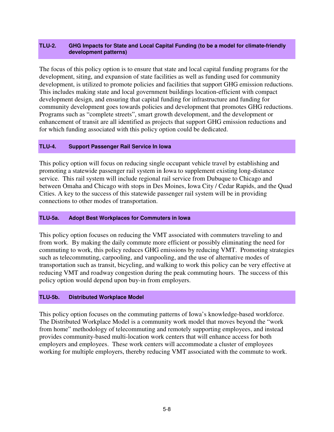### **TLU-2. GHG Impacts for State and Local Capital Funding (to be a model for climate-friendly development patterns)**

The focus of this policy option is to ensure that state and local capital funding programs for the development, siting, and expansion of state facilities as well as funding used for community development, is utilized to promote policies and facilities that support GHG emission reductions. This includes making state and local government buildings location-efficient with compact development design, and ensuring that capital funding for infrastructure and funding for community development goes towards policies and development that promotes GHG reductions. Programs such as "complete streets", smart growth development, and the development or enhancement of transit are all identified as projects that support GHG emission reductions and for which funding associated with this policy option could be dedicated.

### **TLU-4. Support Passenger Rail Service In Iowa**

This policy option will focus on reducing single occupant vehicle travel by establishing and promoting a statewide passenger rail system in Iowa to supplement existing long-distance service. This rail system will include regional rail service from Dubuque to Chicago and between Omaha and Chicago with stops in Des Moines, Iowa City / Cedar Rapids, and the Quad Cities. A key to the success of this statewide passenger rail system will be in providing connections to other modes of transportation.

#### **TLU-5a. Adopt Best Workplaces for Commuters in Iowa**

This policy option focuses on reducing the VMT associated with commuters traveling to and from work. By making the daily commute more efficient or possibly eliminating the need for commuting to work, this policy reduces GHG emissions by reducing VMT. Promoting strategies such as telecommuting, carpooling, and vanpooling, and the use of alternative modes of transportation such as transit, bicycling, and walking to work this policy can be very effective at reducing VMT and roadway congestion during the peak commuting hours. The success of this policy option would depend upon buy-in from employers.

### **TLU-5b. Distributed Workplace Model**

This policy option focuses on the commuting patterns of Iowa's knowledge-based workforce. The Distributed Workplace Model is a community work model that moves beyond the "work from home" methodology of telecommuting and remotely supporting employees, and instead provides community-based multi-location work centers that will enhance access for both employers and employees. These work centers will accommodate a cluster of employees working for multiple employers, thereby reducing VMT associated with the commute to work.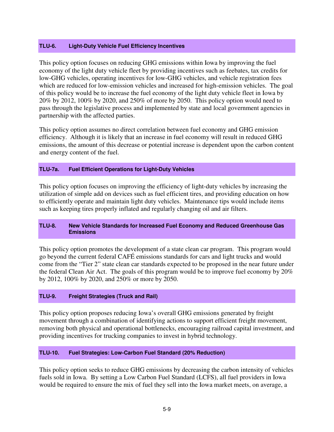### **TLU-6. Light-Duty Vehicle Fuel Efficiency Incentives**

This policy option focuses on reducing GHG emissions within Iowa by improving the fuel economy of the light duty vehicle fleet by providing incentives such as feebates, tax credits for low-GHG vehicles, operating incentives for low-GHG vehicles, and vehicle registration fees which are reduced for low-emission vehicles and increased for high-emission vehicles. The goal of this policy would be to increase the fuel economy of the light duty vehicle fleet in Iowa by 20% by 2012, 100% by 2020, and 250% of more by 2050. This policy option would need to pass through the legislative process and implemented by state and local government agencies in partnership with the affected parties.

This policy option assumes no direct correlation between fuel economy and GHG emission efficiency. Although it is likely that an increase in fuel economy will result in reduced GHG emissions, the amount of this decrease or potential increase is dependent upon the carbon content and energy content of the fuel.

### **TLU-7a. Fuel Efficient Operations for Light-Duty Vehicles**

This policy option focuses on improving the efficiency of light-duty vehicles by increasing the utilization of simple add on devices such as fuel efficient tires, and providing education on how to efficiently operate and maintain light duty vehicles. Maintenance tips would include items such as keeping tires properly inflated and regularly changing oil and air filters.

### **TLU-8. New Vehicle Standards for Increased Fuel Economy and Reduced Greenhouse Gas Emissions**

This policy option promotes the development of a state clean car program. This program would go beyond the current federal CAFÉ emissions standards for cars and light trucks and would come from the "Tier 2" state clean car standards expected to be proposed in the near future under the federal Clean Air Act. The goals of this program would be to improve fuel economy by 20% by 2012, 100% by 2020, and 250% or more by 2050.

### **TLU-9. Freight Strategies (Truck and Rail)**

This policy option proposes reducing Iowa's overall GHG emissions generated by freight movement through a combination of identifying actions to support efficient freight movement, removing both physical and operational bottlenecks, encouraging railroad capital investment, and providing incentives for trucking companies to invest in hybrid technology.

### **TLU-10. Fuel Strategies: Low-Carbon Fuel Standard (20% Reduction)**

This policy option seeks to reduce GHG emissions by decreasing the carbon intensity of vehicles fuels sold in Iowa. By setting a Low Carbon Fuel Standard (LCFS), all fuel providers in Iowa would be required to ensure the mix of fuel they sell into the Iowa market meets, on average, a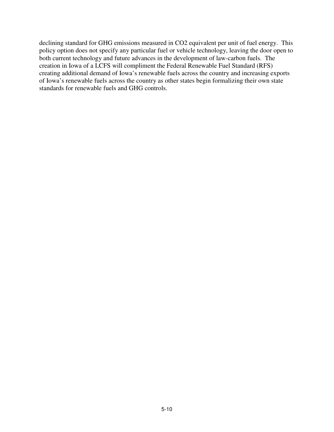declining standard for GHG emissions measured in CO2 equivalent per unit of fuel energy. This policy option does not specify any particular fuel or vehicle technology, leaving the door open to both current technology and future advances in the development of law-carbon fuels. The creation in Iowa of a LCFS will compliment the Federal Renewable Fuel Standard (RFS) creating additional demand of Iowa's renewable fuels across the country and increasing exports of Iowa's renewable fuels across the country as other states begin formalizing their own state standards for renewable fuels and GHG controls.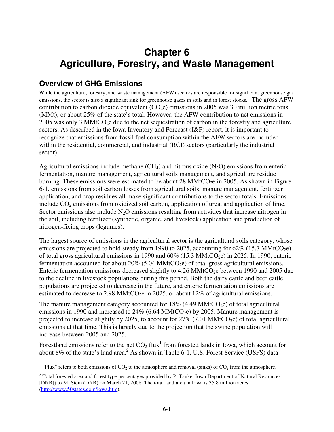# **Chapter 6 Agriculture, Forestry, and Waste Management**

# **Overview of GHG Emissions**

While the agriculture, forestry, and waste management (AFW) sectors are responsible for significant greenhouse gas emissions, the sector is also a significant sink for greenhouse gases in soils and in forest stocks. The gross AFW contribution to carbon dioxide equivalent  $(CO_2e)$  emissions in 2005 was 30 million metric tons (MMt), or about 25% of the state's total. However, the AFW contribution to net emissions in 2005 was only 3 MMtCO<sub>2</sub>e due to the net sequestration of carbon in the forestry and agriculture sectors. As described in the Iowa Inventory and Forecast (I&F) report, it is important to recognize that emissions from fossil fuel consumption within the AFW sectors are included within the residential, commercial, and industrial (RCI) sectors (particularly the industrial sector).

Agricultural emissions include methane  $(CH<sub>4</sub>)$  and nitrous oxide  $(N<sub>2</sub>O)$  emissions from enteric fermentation, manure management, agricultural soils management, and agriculture residue burning. These emissions were estimated to be about 28 MMtCO<sub>2</sub> in 2005. As shown in Figure 6-1, emissions from soil carbon losses from agricultural soils, manure management, fertilizer application, and crop residues all make significant contributions to the sector totals. Emissions include  $CO<sub>2</sub>$  emissions from oxidized soil carbon, application of urea, and application of lime. Sector emissions also include  $N<sub>2</sub>O$  emissions resulting from activities that increase nitrogen in the soil, including fertilizer (synthetic, organic, and livestock) application and production of nitrogen-fixing crops (legumes).

The largest source of emissions in the agricultural sector is the agricultural soils category, whose emissions are projected to hold steady from 1990 to 2025, accounting for  $62\%$  (15.7 MMtCO<sub>2</sub>e) of total gross agricultural emissions in 1990 and  $60\%$  (15.3 MMtCO<sub>2</sub>e) in 2025. In 1990, enteric fermentation accounted for about  $20\%$  (5.04 MMtCO<sub>2</sub>e) of total gross agricultural emissions. Enteric fermentation emissions decreased slightly to 4.26 MMtCO<sub>2</sub>e between 1990 and 2005 due to the decline in livestock populations during this period. Both the dairy cattle and beef cattle populations are projected to decrease in the future, and enteric fermentation emissions are estimated to decrease to 2.98 MMtCO<sub>2</sub>e in 2025, or about 12% of agricultural emissions.

The manure management category accounted for  $18\%$  (4.49 MMtCO<sub>2</sub>e) of total agricultural emissions in 1990 and increased to  $24\%$  (6.64 MMtCO<sub>2</sub>e) by 2005. Manure management is projected to increase slightly by 2025, to account for  $27\%$  (7.01 MMtCO<sub>2</sub>e) of total agricultural emissions at that time. This is largely due to the projection that the swine population will increase between 2005 and 2025.

Forestland emissions refer to the net  $CO_2$  flux<sup>1</sup> from forested lands in Iowa, which account for about 8% of the state's land area.<sup>2</sup> As shown in Table 6-1, U.S. Forest Service (USFS) data

<sup>&</sup>lt;sup>1</sup> "Flux" refers to both emissions of  $CO_2$  to the atmosphere and removal (sinks) of  $CO_2$  from the atmosphere.

<sup>&</sup>lt;sup>2</sup> Total forested area and forest type percentages provided by P. Tauke, Iowa Department of Natural Resources [DNR]) to M. Stein (DNR) on March 21, 2008. The total land area in Iowa is 35.8 million acres (http://www.50states.com/iowa.htm).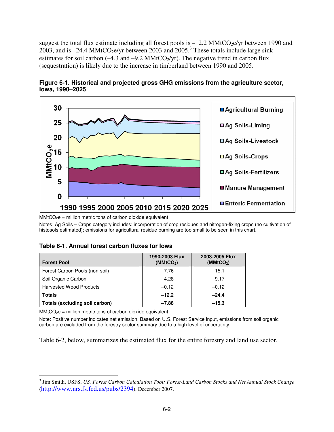suggest the total flux estimate including all forest pools is  $-12.2$  MMtCO<sub>2</sub>e/yr between 1990 and 2003, and is  $-24.4$  MMtCO<sub>2</sub>e/yr between 2003 and 2005.<sup>3</sup> These totals include large sink estimates for soil carbon ( $-4.3$  and  $-9.2$  MMtCO<sub>2</sub>/yr). The negative trend in carbon flux (sequestration) is likely due to the increase in timberland between 1990 and 2005.



**Figure 6-1. Historical and projected gross GHG emissions from the agriculture sector, Iowa, 1990–2025** 

 $MMtCO<sub>2</sub>e = million metric tons of carbon dioxide equivalent$ 

Notes: Ag Soils – Crops category includes: incorporation of crop residues and nitrogen-fixing crops (no cultivation of histosols estimated); emissions for agricultural residue burning are too small to be seen in this chart.

### **Table 6-1. Annual forest carbon fluxes for Iowa**

| <b>Forest Pool</b>             | 1990-2003 Flux<br>(MMtCO <sub>2</sub> ) | 2003-2005 Flux<br>(MMtCO <sub>2</sub> ) |
|--------------------------------|-----------------------------------------|-----------------------------------------|
| Forest Carbon Pools (non-soil) | $-7.76$                                 | $-15.1$                                 |
| Soil Organic Carbon            | $-4.28$                                 | $-9.17$                                 |
| <b>Harvested Wood Products</b> | $-0.12$                                 | $-0.12$                                 |
| <b>Totals</b>                  | $-12.2$                                 | $-24.4$                                 |
| Totals (excluding soil carbon) | $-7.88$                                 | $-15.3$                                 |

 $MMtCO<sub>2</sub>e = million metric tons of carbon dioxide equivalent$ 

Note: Positive number indicates net emission. Based on U.S. Forest Service input, emissions from soil organic carbon are excluded from the forestry sector summary due to a high level of uncertainty.

Table 6-2, below, summarizes the estimated flux for the entire forestry and land use sector.

<sup>-</sup>3 Jim Smith, USFS, *US. Forest Carbon Calculation Tool: Forest-Land Carbon Stocks and Net Annual Stock Change*  (http://www.nrs.fs.fed.us/pubs/2394), December 2007.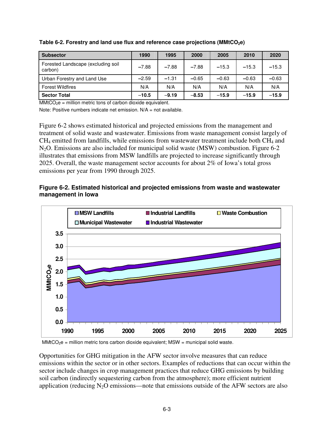| <b>Subsector</b>                              | 1990    | 1995    | 2000    | 2005    | 2010    | 2020    |
|-----------------------------------------------|---------|---------|---------|---------|---------|---------|
| Forested Landscape (excluding soil<br>carbon) | $-7.88$ | $-7.88$ | $-7.88$ | $-15.3$ | $-15.3$ | $-15.3$ |
| Urban Forestry and Land Use                   | $-2.59$ | $-1.31$ | $-0.65$ | $-0.63$ | $-0.63$ | $-0.63$ |
| <b>Forest Wildfires</b>                       | N/A     | N/A     | N/A     | N/A     | N/A     | N/A     |
| <b>Sector Total</b>                           | $-10.5$ | $-9.19$ | $-8.53$ | $-15.9$ | $-15.9$ | $-15.9$ |

**Table 6-2. Forestry and land use flux and reference case projections (MMtCO2e)** 

 $MMCO<sub>2</sub>e$  = million metric tons of carbon dioxide equivalent.

Note: Positive numbers indicate net emission.  $N/A = \text{not available}$ .

Figure 6-2 shows estimated historical and projected emissions from the management and treatment of solid waste and wastewater. Emissions from waste management consist largely of  $CH<sub>4</sub>$  emitted from landfills, while emissions from wastewater treatment include both  $CH<sub>4</sub>$  and N<sub>2</sub>O. Emissions are also included for municipal solid waste (MSW) combustion. Figure 6-2 illustrates that emissions from MSW landfills are projected to increase significantly through 2025. Overall, the waste management sector accounts for about 2% of Iowa's total gross emissions per year from 1990 through 2025.

### **Figure 6-2. Estimated historical and projected emissions from waste and wastewater management in Iowa**



 $MMtCO<sub>2</sub>e = million metric tons carbon dioxide equivalent; MSW = municipal solid waste.$ 

Opportunities for GHG mitigation in the AFW sector involve measures that can reduce emissions within the sector or in other sectors. Examples of reductions that can occur within the sector include changes in crop management practices that reduce GHG emissions by building soil carbon (indirectly sequestering carbon from the atmosphere); more efficient nutrient application (reducing  $N_2O$  emissions—note that emissions outside of the AFW sectors are also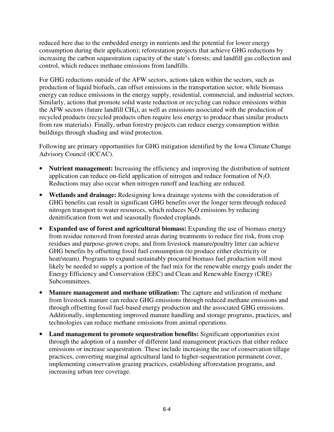reduced here due to the embedded energy in nutrients and the potential for lower energy consumption during their application); reforestation projects that achieve GHG reductions by increasing the carbon sequestration capacity of the state's forests; and landfill gas collection and control, which reduces methane emissions from landfills.

For GHG reductions outside of the AFW sectors, actions taken within the sectors, such as production of liquid biofuels, can offset emissions in the transportation sector, while biomass energy can reduce emissions in the energy supply, residential, commercial, and industrial sectors. Similarly, actions that promote solid waste reduction or recycling can reduce emissions within the AFW sectors (future landfill  $CH<sub>4</sub>$ ), as well as emissions associated with the production of recycled products (recycled products often require less energy to produce than similar products from raw materials). Finally, urban forestry projects can reduce energy consumption within buildings through shading and wind protection.

Following are primary opportunities for GHG mitigation identified by the Iowa Climate Change Advisory Council (ICCAC).

- **Nutrient management:** Increasing the efficiency and improving the distribution of nutrient application can reduce on-field application of nitrogen and reduce formation of  $N_2O$ . Reductions may also occur when nitrogen runoff and leaching are reduced.
- **Wetlands and drainage:** Redesigning Iowa drainage systems with the consideration of GHG benefits can result in significant GHG benefits over the longer term through reduced nitrogen transport to water resources, which reduces  $N_2O$  emissions by reducing denitrification from wet and seasonally flooded croplands.
- **Expanded use of forest and agricultural biomass:** Expanding the use of biomass energy from residue removed from forested areas during treatments to reduce fire risk, from crop residues and purpose-grown crops, and from livestock manure/poultry litter can achieve GHG benefits by offsetting fossil fuel consumption (to produce either electricity or heat/steam). Programs to expand sustainably procured biomass fuel production will most likely be needed to supply a portion of the fuel mix for the renewable energy goals under the Energy Efficiency and Conservation (EEC) and Clean and Renewable Energy (CRE) Subcommittees.
- **Manure management and methane utilization:** The capture and utilization of methane from livestock manure can reduce GHG emissions through reduced methane emissions and through offsetting fossil fuel-based energy production and the associated GHG emissions. Additionally, implementing improved manure handling and storage programs, practices, and technologies can reduce methane emissions from animal operations.
- **Land management to promote sequestration benefits:** Significant opportunities exist through the adoption of a number of different land management practices that either reduce emissions or increase sequestration. These include increasing the use of conservation tillage practices, converting marginal agricultural land to higher-sequestration permanent cover, implementing conservation grazing practices, establishing afforestation programs, and increasing urban tree coverage.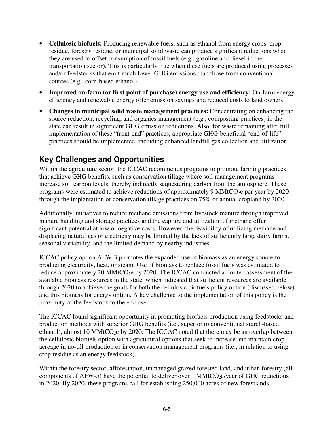- **Cellulosic biofuels:** Producing renewable fuels, such as ethanol from energy crops, crop residue, forestry residue, or municipal solid waste can produce significant reductions when they are used to offset consumption of fossil fuels (e.g., gasoline and diesel in the transportation sector). This is particularly true when these fuels are produced using processes and/or feedstocks that emit much lower GHG emissions than those from conventional sources (e.g., corn-based ethanol).
- **Improved on-farm (or first point of purchase) energy use and efficiency:** On-farm energy efficiency and renewable energy offer emission savings and reduced costs to land owners.
- **Changes in municipal solid waste management practices:** Concentrating on enhancing the source reduction, recycling, and organics management (e.g., composting practices) in the state can result in significant GHG emission reductions. Also, for waste remaining after full implementation of these "front-end" practices, appropriate GHG-beneficial "end-of-life" practices should be implemented, including enhanced landfill gas collection and utilization.

# **Key Challenges and Opportunities**

Within the agriculture sector, the ICCAC recommends programs to promote farming practices that achieve GHG benefits, such as conservation tillage where soil management programs increase soil carbon levels, thereby indirectly sequestering carbon from the atmosphere. These programs were estimated to achieve reductions of approximately 9  $MMLCO<sub>2</sub>e$  per year by 2020 through the implantation of conservation tillage practices on 75% of annual cropland by 2020.

Additionally, initiatives to reduce methane emissions from livestock manure through improved manure handling and storage practices and the capture and utilization of methane offer significant potential at low or negative costs. However, the feasibility of utilizing methane and displacing natural gas or electricity may be limited by the lack of sufficiently large dairy farms, seasonal variability, and the limited demand by nearby industries.

ICCAC policy option AFW-3 promotes the expanded use of biomass as an energy source for producing electricity, heat, or steam. Use of biomass to replace fossil fuels was estimated to reduce approximately 20 MMtCO<sub>2</sub>e by 2020. The ICCAC conducted a limited assessment of the available biomass resources in the state, which indicated that sufficient resources are available through 2020 to achieve the goals for both the cellulosic biofuels policy option (discussed below) and this biomass for energy option. A key challenge to the implementation of this policy is the proximity of the feedstock to the end user.

The ICCAC found significant opportunity in promoting biofuels production using feedstocks and production methods with superior GHG benefits (i.e., superior to conventional starch-based ethanol), almost 10 MMtCO<sub>2</sub>e by 2020. The ICCAC noted that there may be an overlap between the cellulosic biofuels option with agricultural options that seek to increase and maintain crop acreage in no-till production or in conservation management programs (i.e., in relation to using crop residue as an energy feedstock).

Within the forestry sector, afforestation, unmanaged grazed forested land, and urban forestry (all components of AFW-5) have the potential to deliver over 1 MMtCO<sub>2</sub>e/year of GHG reductions in 2020. By 2020, these programs call for establishing 250,000 acres of new forestlands,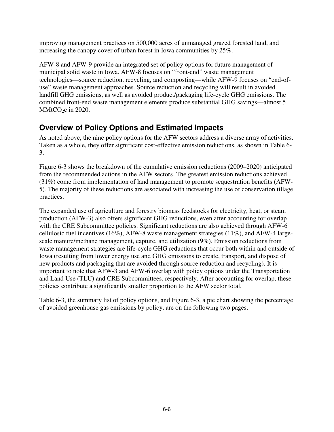improving management practices on 500,000 acres of unmanaged grazed forested land, and increasing the canopy cover of urban forest in Iowa communities by 25%.

AFW-8 and AFW-9 provide an integrated set of policy options for future management of municipal solid waste in Iowa. AFW-8 focuses on "front-end" waste management technologies—source reduction, recycling, and composting—while AFW-9 focuses on "end-ofuse" waste management approaches. Source reduction and recycling will result in avoided landfill GHG emissions, as well as avoided product/packaging life-cycle GHG emissions. The combined front-end waste management elements produce substantial GHG savings—almost 5  $MMtCO<sub>2</sub>e$  in 2020.

# **Overview of Policy Options and Estimated Impacts**

As noted above, the nine policy options for the AFW sectors address a diverse array of activities. Taken as a whole, they offer significant cost-effective emission reductions, as shown in Table 6- 3.

Figure 6-3 shows the breakdown of the cumulative emission reductions (2009–2020) anticipated from the recommended actions in the AFW sectors. The greatest emission reductions achieved (31%) come from implementation of land management to promote sequestration benefits (AFW-5). The majority of these reductions are associated with increasing the use of conservation tillage practices.

The expanded use of agriculture and forestry biomass feedstocks for electricity, heat, or steam production (AFW-3) also offers significant GHG reductions, even after accounting for overlap with the CRE Subcommittee policies. Significant reductions are also achieved through AFW-6 cellulosic fuel incentives (16%), AFW-8 waste management strategies (11%), and AFW-4 largescale manure/methane management, capture, and utilization (9%). Emission reductions from waste management strategies are life-cycle GHG reductions that occur both within and outside of Iowa (resulting from lower energy use and GHG emissions to create, transport, and dispose of new products and packaging that are avoided through source reduction and recycling). It is important to note that AFW-3 and AFW-6 overlap with policy options under the Transportation and Land Use (TLU) and CRE Subcommittees, respectively. After accounting for overlap, these policies contribute a significantly smaller proportion to the AFW sector total.

Table 6-3, the summary list of policy options, and Figure 6-3, a pie chart showing the percentage of avoided greenhouse gas emissions by policy, are on the following two pages.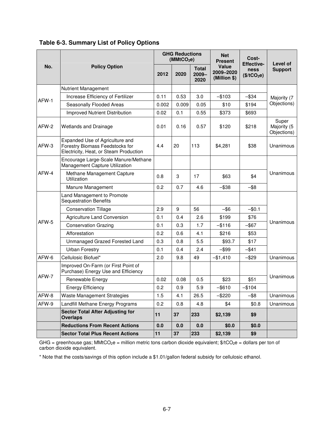|       |                                                                                                              | <b>GHG Reductions</b><br>(MMtCO <sub>2</sub> e) |       |                                  | <b>Net</b><br><b>Present</b>       | Cost-<br><b>Effective-</b>             | Level of                            |  |
|-------|--------------------------------------------------------------------------------------------------------------|-------------------------------------------------|-------|----------------------------------|------------------------------------|----------------------------------------|-------------------------------------|--|
| No.   | <b>Policy Option</b>                                                                                         | 2012                                            | 2020  | <b>Total</b><br>$2009 -$<br>2020 | Value<br>2009-2020<br>(Million \$) | <b>ness</b><br>(\$/tCO <sub>2</sub> e) | <b>Support</b>                      |  |
|       | Nutrient Management                                                                                          |                                                 |       |                                  |                                    |                                        |                                     |  |
| AFW-1 | Increase Efficiency of Fertilizer                                                                            | 0.11                                            | 0.53  | 3.0                              | -\$103                             | $-$ \$34                               | Majority (7<br>Objections)          |  |
|       | Seasonally Flooded Areas                                                                                     | 0.002                                           | 0.009 | 0.05                             | \$10                               | \$194                                  |                                     |  |
|       | Improved Nutrient Distribution                                                                               | 0.02                                            | 0.1   | 0.55                             | \$373                              | \$693                                  |                                     |  |
| AFW-2 | <b>Wetlands and Drainage</b>                                                                                 | 0.01                                            | 0.16  | 0.57                             | \$120                              | \$218                                  | Super<br>Majority (5<br>Objections) |  |
| AFW-3 | Expanded Use of Agriculture and<br>Forestry Biomass Feedstocks for<br>Electricity, Heat, or Steam Production | 4.4                                             | 20    | 113                              | \$4,281                            | \$38                                   | Unanimous                           |  |
|       | Encourage Large-Scale Manure/Methane<br>Management Capture Utilization                                       |                                                 |       |                                  |                                    |                                        | Unanimous                           |  |
| AFW-4 | Methane Management Capture<br>Utilization                                                                    | 0.8                                             | 3     | 17                               | \$63                               | \$4                                    |                                     |  |
|       | Manure Management                                                                                            | 0.2                                             | 0.7   | 4.6                              | $-$ \$38                           | -\$8                                   |                                     |  |
|       | Land Management to Promote<br><b>Sequestration Benefits</b>                                                  |                                                 |       |                                  |                                    |                                        |                                     |  |
|       | <b>Conservation Tillage</b>                                                                                  | 2.9                                             | 9     | 56                               | $-$ \$6                            | $-$0.1$                                | Unanimous                           |  |
|       | Agriculture Land Conversion                                                                                  | 0.1                                             | 0.4   | 2.6                              | \$199                              | \$76                                   |                                     |  |
| AFW-5 | <b>Conservation Grazing</b>                                                                                  | 0.1                                             | 0.3   | 1.7                              | $-$ \$116                          | $-$ \$67                               |                                     |  |
|       | Afforestation                                                                                                | 0.2                                             | 0.6   | 4.1                              | \$216                              | \$53                                   |                                     |  |
|       | Unmanaged Grazed Forested Land                                                                               | 0.3                                             | 0.8   | 5.5                              | \$93.7                             | \$17                                   |                                     |  |
|       | <b>Urban Forestry</b>                                                                                        | 0.1                                             | 0.4   | 2.4                              | $-$ \$99                           | $-$ \$41                               |                                     |  |
| AFW-6 | Cellulosic Biofuel*                                                                                          | 2.0                                             | 9.8   | 49                               | $-$1,410$                          | $-$ \$29                               | Unanimous                           |  |
| AFW-7 | Improved On-Farm (or First Point of<br>Purchase) Energy Use and Efficiency                                   |                                                 |       |                                  |                                    |                                        |                                     |  |
|       | Renewable Energy                                                                                             | 0.02                                            | 0.08  | 0.5                              | \$23                               | \$51                                   | Unanimous                           |  |
|       | <b>Energy Efficiency</b>                                                                                     | 0.2                                             | 0.9   | 5.9                              | $-$ \$610                          | $-$104$                                |                                     |  |
| AFW-8 | Waste Management Strategies                                                                                  | 1.5                                             | 4.1   | 26.5                             | -\$220                             | -\$8                                   | Unanimous                           |  |
| AFW-9 | Landfill Methane Energy Programs                                                                             | 0.2                                             | 0.8   | 4.8                              | \$4                                | \$0.8                                  | Unanimous                           |  |
|       | <b>Sector Total After Adjusting for</b><br><b>Overlaps</b>                                                   | 11                                              | 37    | 233                              | \$2,139                            | \$9                                    |                                     |  |
|       | <b>Reductions From Recent Actions</b>                                                                        | 0.0                                             | 0.0   | 0.0                              | \$0.0                              | \$0.0                                  |                                     |  |
|       | <b>Sector Total Plus Recent Actions</b>                                                                      | 11                                              | 37    | 233                              | \$2,139                            | \$9                                    |                                     |  |

**Table 6-3. Summary List of Policy Options** 

GHG = greenhouse gas; MMtCO<sub>2</sub>e = million metric tons carbon dioxide equivalent; \$/tCO<sub>2</sub>e = dollars per ton of carbon dioxide equivalent.

\* Note that the costs/savings of this option include a \$1.01/gallon federal subsidy for cellulosic ethanol.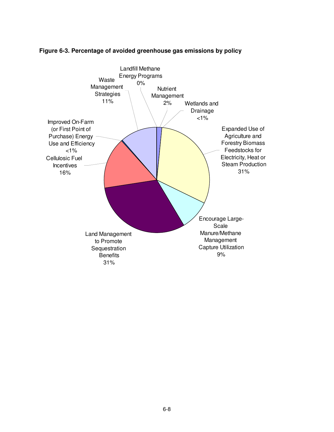

### **Figure 6-3. Percentage of avoided greenhouse gas emissions by policy**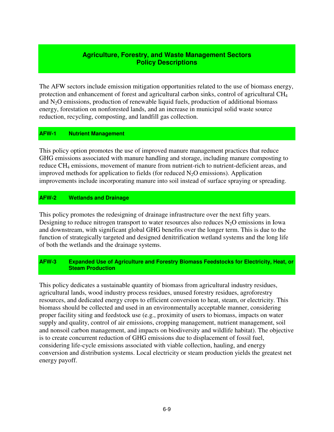### **Agriculture, Forestry, and Waste Management Sectors Policy Descriptions**

The AFW sectors include emission mitigation opportunities related to the use of biomass energy, protection and enhancement of forest and agricultural carbon sinks, control of agricultural CH<sup>4</sup> and  $N<sub>2</sub>O$  emissions, production of renewable liquid fuels, production of additional biomass energy, forestation on nonforested lands, and an increase in municipal solid waste source reduction, recycling, composting, and landfill gas collection.

### **AFW-1 Nutrient Management**

This policy option promotes the use of improved manure management practices that reduce GHG emissions associated with manure handling and storage, including manure composting to reduce CH<sub>4</sub> emissions, movement of manure from nutrient-rich to nutrient-deficient areas, and improved methods for application to fields (for reduced  $N_2O$  emissions). Application improvements include incorporating manure into soil instead of surface spraying or spreading.

### **AFW-2 Wetlands and Drainage**

This policy promotes the redesigning of drainage infrastructure over the next fifty years. Designing to reduce nitrogen transport to water resources also reduces  $N_2O$  emissions in Iowa and downstream, with significant global GHG benefits over the longer term. This is due to the function of strategically targeted and designed denitrification wetland systems and the long life of both the wetlands and the drainage systems.

### **AFW-3 Expanded Use of Agriculture and Forestry Biomass Feedstocks for Electricity, Heat, or Steam Production**

This policy dedicates a sustainable quantity of biomass from agricultural industry residues, agricultural lands, wood industry process residues, unused forestry residues, agroforestry resources, and dedicated energy crops to efficient conversion to heat, steam, or electricity. This biomass should be collected and used in an environmentally acceptable manner, considering proper facility siting and feedstock use (e.g., proximity of users to biomass, impacts on water supply and quality, control of air emissions, cropping management, nutrient management, soil and nonsoil carbon management, and impacts on biodiversity and wildlife habitat). The objective is to create concurrent reduction of GHG emissions due to displacement of fossil fuel, considering life-cycle emissions associated with viable collection, hauling, and energy conversion and distribution systems. Local electricity or steam production yields the greatest net energy payoff.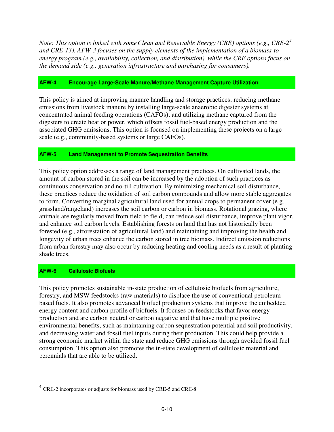*Note: This option is linked with someClean and Renewable Energy (CRE) options (e.g., CRE-2<sup>4</sup> and CRE-13). AFW-3 focuses on the supply elements of the implementation of a biomass-toenergy program (e.g., availability, collection, and distribution), while the CRE options focus on the demand side (e.g., generation infrastructure and purchasing for consumers).*

# **AFW-4 Encourage Large-Scale Manure/Methane Management Capture Utilization**

This policy is aimed at improving manure handling and storage practices; reducing methane emissions from livestock manure by installing large-scale anaerobic digester systems at concentrated animal feeding operations (CAFOs); and utilizing methane captured from the digesters to create heat or power, which offsets fossil fuel-based energy production and the associated GHG emissions. This option is focused on implementing these projects on a large scale (e.g., community-based systems or large CAFOs).

### **AFW-5 Land Management to Promote Sequestration Benefits**

This policy option addresses a range of land management practices. On cultivated lands, the amount of carbon stored in the soil can be increased by the adoption of such practices as continuous conservation and no-till cultivation. By minimizing mechanical soil disturbance, these practices reduce the oxidation of soil carbon compounds and allow more stable aggregates to form. Converting marginal agricultural land used for annual crops to permanent cover (e.g., grassland/rangeland) increases the soil carbon or carbon in biomass. Rotational grazing, where animals are regularly moved from field to field, can reduce soil disturbance, improve plant vigor, and enhance soil carbon levels. Establishing forests on land that has not historically been forested (e.g., afforestation of agricultural land) and maintaining and improving the health and longevity of urban trees enhance the carbon stored in tree biomass. Indirect emission reductions from urban forestry may also occur by reducing heating and cooling needs as a result of planting shade trees.

#### **AFW-6 Cellulosic Biofuels**

<u>.</u>

This policy promotes sustainable in-state production of cellulosic biofuels from agriculture, forestry, and MSW feedstocks (raw materials) to displace the use of conventional petroleumbased fuels. It also promotes advanced biofuel production systems that improve the embedded energy content and carbon profile of biofuels. It focuses on feedstocks that favor energy production and are carbon neutral or carbon negative and that have multiple positive environmental benefits, such as maintaining carbon sequestration potential and soil productivity, and decreasing water and fossil fuel inputs during their production. This could help provide a strong economic market within the state and reduce GHG emissions through avoided fossil fuel consumption. This option also promotes the in-state development of cellulosic material and perennials that are able to be utilized.

 $4$  CRE-2 incorporates or adjusts for biomass used by CRE-5 and CRE-8.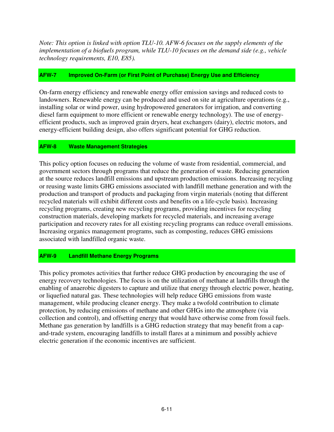*Note: This option is linked with option TLU-10. AFW-6 focuses on the supply elements of the implementation of a biofuels program, while TLU-10 focuses on the demand side (e.g., vehicle technology requirements, E10, E85).* 

#### **AFW-7 Improved On-Farm (or First Point of Purchase) Energy Use and Efficiency**

On-farm energy efficiency and renewable energy offer emission savings and reduced costs to landowners. Renewable energy can be produced and used on site at agriculture operations (e.g., installing solar or wind power, using hydropowered generators for irrigation, and converting diesel farm equipment to more efficient or renewable energy technology). The use of energyefficient products, such as improved grain dryers, heat exchangers (dairy), electric motors, and energy-efficient building design, also offers significant potential for GHG reduction.

#### **AFW-8 Waste Management Strategies**

This policy option focuses on reducing the volume of waste from residential, commercial, and government sectors through programs that reduce the generation of waste. Reducing generation at the source reduces landfill emissions and upstream production emissions. Increasing recycling or reusing waste limits GHG emissions associated with landfill methane generation and with the production and transport of products and packaging from virgin materials (noting that different recycled materials will exhibit different costs and benefits on a life-cycle basis). Increasing recycling programs, creating new recycling programs, providing incentives for recycling construction materials, developing markets for recycled materials, and increasing average participation and recovery rates for all existing recycling programs can reduce overall emissions. Increasing organics management programs, such as composting, reduces GHG emissions associated with landfilled organic waste.

# **AFW-9 Landfill Methane Energy Programs**

This policy promotes activities that further reduce GHG production by encouraging the use of energy recovery technologies. The focus is on the utilization of methane at landfills through the enabling of anaerobic digesters to capture and utilize that energy through electric power, heating, or liquefied natural gas. These technologies will help reduce GHG emissions from waste management, while producing cleaner energy. They make a twofold contribution to climate protection, by reducing emissions of methane and other GHGs into the atmosphere (via collection and control), and offsetting energy that would have otherwise come from fossil fuels. Methane gas generation by landfills is a GHG reduction strategy that may benefit from a capand-trade system, encouraging landfills to install flares at a minimum and possibly achieve electric generation if the economic incentives are sufficient.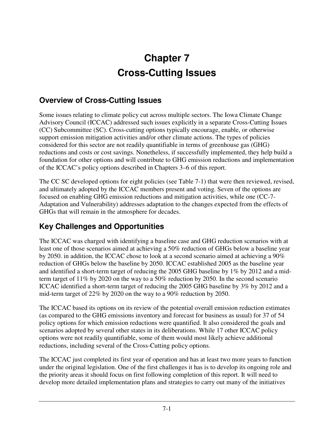# **Chapter 7 Cross-Cutting Issues**

# **Overview of Cross-Cutting Issues**

Some issues relating to climate policy cut across multiple sectors. The Iowa Climate Change Advisory Council (ICCAC) addressed such issues explicitly in a separate Cross-Cutting Issues (CC) Subcommittee (SC). Cross-cutting options typically encourage, enable, or otherwise support emission mitigation activities and/or other climate actions. The types of policies considered for this sector are not readily quantifiable in terms of greenhouse gas (GHG) reductions and costs or cost savings. Nonetheless, if successfully implemented, they help build a foundation for other options and will contribute to GHG emission reductions and implementation of the ICCAC's policy options described in Chapters 3–6 of this report.

The CC SC developed options for eight policies (see Table 7-1) that were then reviewed, revised, and ultimately adopted by the ICCAC members present and voting. Seven of the options are focused on enabling GHG emission reductions and mitigation activities, while one (CC-7- Adaptation and Vulnerability) addresses adaptation to the changes expected from the effects of GHGs that will remain in the atmosphere for decades.

# **Key Challenges and Opportunities**

The ICCAC was charged with identifying a baseline case and GHG reduction scenarios with at least one of those scenarios aimed at achieving a 50% reduction of GHGs below a baseline year by 2050. in addition, the ICCAC chose to look at a second scenario aimed at achieving a 90% reduction of GHGs below the baseline by 2050. ICCAC established 2005 as the baseline year and identified a short-term target of reducing the 2005 GHG baseline by 1% by 2012 and a midterm target of 11% by 2020 on the way to a 50% reduction by 2050. In the second scenario ICCAC identified a short-term target of reducing the 2005 GHG baseline by 3% by 2012 and a mid-term target of 22% by 2020 on the way to a 90% reduction by 2050.

The ICCAC based its options on its review of the potential overall emission reduction estimates (as compared to the GHG emissions inventory and forecast for business as usual) for 37 of 54 policy options for which emission reductions were quantified. It also considered the goals and scenarios adopted by several other states in its deliberations. While 17 other ICCAC policy options were not readily quantifiable, some of them would most likely achieve additional reductions, including several of the Cross-Cutting policy options.

The ICCAC just completed its first year of operation and has at least two more years to function under the original legislation. One of the first challenges it has is to develop its ongoing role and the priority areas it should focus on first following completion of this report. It will need to develop more detailed implementation plans and strategies to carry out many of the initiatives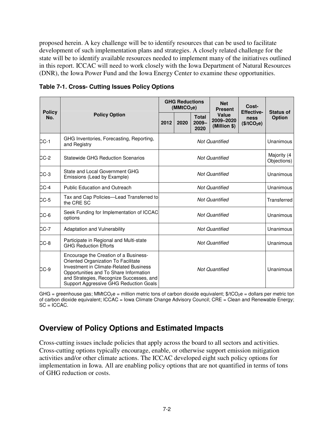proposed herein. A key challenge will be to identify resources that can be used to facilitate development of such implementation plans and strategies. A closely related challenge for the state will be to identify available resources needed to implement many of the initiatives outlined in this report. ICCAC will need to work closely with the Iowa Department of Natural Resources (DNR), the Iowa Power Fund and the Iowa Energy Center to examine these opportunities.

| <b>Policy</b><br>No. | <b>Policy Option</b>                                                                                                                                                                                                                                   | <b>GHG Reductions</b><br>(MMtCO <sub>2</sub> e) |      |                                  | <b>Net</b><br><b>Present</b>       | Cost-<br><b>Effective-</b>             | <b>Status of</b>           |
|----------------------|--------------------------------------------------------------------------------------------------------------------------------------------------------------------------------------------------------------------------------------------------------|-------------------------------------------------|------|----------------------------------|------------------------------------|----------------------------------------|----------------------------|
|                      |                                                                                                                                                                                                                                                        | 2012                                            | 2020 | <b>Total</b><br>$2009 -$<br>2020 | Value<br>2009-2020<br>(Million \$) | <b>ness</b><br>(\$/tCO <sub>2</sub> e) | <b>Option</b>              |
| $CC-1$               | GHG Inventories, Forecasting, Reporting,<br>and Registry                                                                                                                                                                                               | <b>Not Quantified</b>                           |      |                                  |                                    |                                        | Unanimous                  |
| $CC-2$               | <b>Statewide GHG Reduction Scenarios</b>                                                                                                                                                                                                               | <b>Not Quantified</b>                           |      |                                  |                                    |                                        | Majority (4<br>Objections) |
| $CC-3$               | State and Local Government GHG<br>Emissions (Lead by Example)                                                                                                                                                                                          | <b>Not Quantified</b>                           |      |                                  |                                    |                                        | Unanimous                  |
| $CC-4$               | <b>Public Education and Outreach</b>                                                                                                                                                                                                                   | <b>Not Quantified</b>                           |      |                                  |                                    |                                        | Unanimous                  |
| $CC-5$               | Tax and Cap Policies—Lead Transferred to<br>the CRE SC                                                                                                                                                                                                 | <b>Not Quantified</b>                           |      |                                  |                                    |                                        | Transferred                |
| $CC-6$               | Seek Funding for Implementation of ICCAC<br>options                                                                                                                                                                                                    | <b>Not Quantified</b>                           |      |                                  |                                    |                                        | Unanimous                  |
| $CC-7$               | <b>Adaptation and Vulnerability</b>                                                                                                                                                                                                                    | <b>Not Quantified</b>                           |      |                                  |                                    |                                        | Unanimous                  |
| $CC-8$               | Participate in Regional and Multi-state<br><b>GHG Reduction Efforts</b>                                                                                                                                                                                | <b>Not Quantified</b>                           |      |                                  |                                    |                                        | Unanimous                  |
| $CC-9$               | Encourage the Creation of a Business-<br>Oriented Organization To Facilitate<br>Investment in Climate-Related Business<br>Opportunities and To Share Information<br>and Strategies, Recognize Successes, and<br>Support Aggressive GHG Reduction Goals | <b>Not Quantified</b>                           |      |                                  |                                    |                                        | Unanimous                  |

**Table 7-1. Cross- Cutting Issues Policy Options** 

GHG = greenhouse gas; MMtCO<sub>2</sub>e = million metric tons of carbon dioxide equivalent;  $\frac{6}{2}$ c = dollars per metric ton of carbon dioxide equivalent; ICCAC = Iowa Climate Change Advisory Council; CRE = Clean and Renewable Energy;  $SC = ICCAC$ .

# **Overview of Policy Options and Estimated Impacts**

Cross-cutting issues include policies that apply across the board to all sectors and activities. Cross-cutting options typically encourage, enable, or otherwise support emission mitigation activities and/or other climate actions. The ICCAC developed eight such policy options for implementation in Iowa. All are enabling policy options that are not quantified in terms of tons of GHG reduction or costs.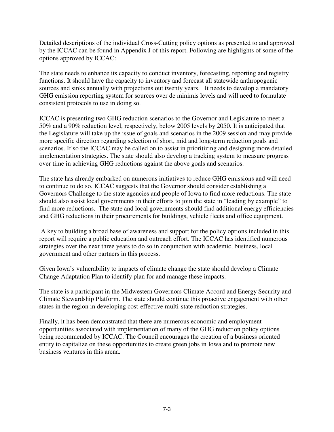Detailed descriptions of the individual Cross-Cutting policy options as presented to and approved by the ICCAC can be found in Appendix J of this report. Following are highlights of some of the options approved by ICCAC:

The state needs to enhance its capacity to conduct inventory, forecasting, reporting and registry functions. It should have the capacity to inventory and forecast all statewide anthropogenic sources and sinks annually with projections out twenty years. It needs to develop a mandatory GHG emission reporting system for sources over de minimis levels and will need to formulate consistent protocols to use in doing so.

ICCAC is presenting two GHG reduction scenarios to the Governor and Legislature to meet a 50% and a 90% reduction level, respectively, below 2005 levels by 2050. It is anticipated that the Legislature will take up the issue of goals and scenarios in the 2009 session and may provide more specific direction regarding selection of short, mid and long-term reduction goals and scenarios. If so the ICCAC may be called on to assist in prioritizing and designing more detailed implementation strategies. The state should also develop a tracking system to measure progress over time in achieving GHG reductions against the above goals and scenarios.

The state has already embarked on numerous initiatives to reduce GHG emissions and will need to continue to do so. ICCAC suggests that the Governor should consider establishing a Governors Challenge to the state agencies and people of Iowa to find more reductions. The state should also assist local governments in their efforts to join the state in "leading by example" to find more reductions. The state and local governments should find additional energy efficiencies and GHG reductions in their procurements for buildings, vehicle fleets and office equipment.

 A key to building a broad base of awareness and support for the policy options included in this report will require a public education and outreach effort. The ICCAC has identified numerous strategies over the next three years to do so in conjunction with academic, business, local government and other partners in this process.

Given Iowa's vulnerability to impacts of climate change the state should develop a Climate Change Adaptation Plan to identify plan for and manage these impacts.

The state is a participant in the Midwestern Governors Climate Accord and Energy Security and Climate Stewardship Platform. The state should continue this proactive engagement with other states in the region in developing cost-effective multi-state reduction strategies.

Finally, it has been demonstrated that there are numerous economic and employment opportunities associated with implementation of many of the GHG reduction policy options being recommended by ICCAC. The Council encourages the creation of a business oriented entity to capitalize on these opportunities to create green jobs in Iowa and to promote new business ventures in this arena.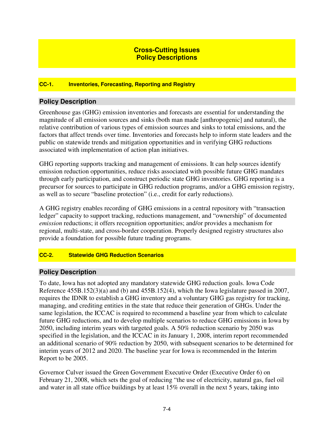# **Cross-Cutting Issues Policy Descriptions**

#### **CC-1. Inventories, Forecasting, Reporting and Registry**

### **Policy Description**

Greenhouse gas (GHG) emission inventories and forecasts are essential for understanding the magnitude of all emission sources and sinks (both man made [anthropogenic] and natural), the relative contribution of various types of emission sources and sinks to total emissions, and the factors that affect trends over time. Inventories and forecasts help to inform state leaders and the public on statewide trends and mitigation opportunities and in verifying GHG reductions associated with implementation of action plan initiatives.

GHG reporting supports tracking and management of emissions. It can help sources identify emission reduction opportunities, reduce risks associated with possible future GHG mandates through early participation, and construct periodic state GHG inventories. GHG reporting is a precursor for sources to participate in GHG reduction programs, and/or a GHG emission registry, as well as to secure "baseline protection" (i.e., credit for early reductions).

A GHG registry enables recording of GHG emissions in a central repository with "transaction ledger" capacity to support tracking, reductions management, and "ownership" of documented *emission* reductions; it offers recognition opportunities; and/or provides a mechanism for regional, multi-state, and cross-border cooperation. Properly designed registry structures also provide a foundation for possible future trading programs.

#### **CC-2. Statewide GHG Reduction Scenarios**

#### **Policy Description**

To date, Iowa has not adopted any mandatory statewide GHG reduction goals. Iowa Code Reference 455B.152(3)(a) and (b) and 455B.152(4), which the Iowa legislature passed in 2007, requires the IDNR to establish a GHG inventory and a voluntary GHG gas registry for tracking, managing, and crediting entities in the state that reduce their generation of GHGs. Under the same legislation, the ICCAC is required to recommend a baseline year from which to calculate future GHG reductions, and to develop multiple scenarios to reduce GHG emissions in Iowa by 2050, including interim years with targeted goals. A 50% reduction scenario by 2050 was specified in the legislation, and the ICCAC in its January 1, 2008, interim report recommended an additional scenario of 90% reduction by 2050, with subsequent scenarios to be determined for interim years of 2012 and 2020. The baseline year for Iowa is recommended in the Interim Report to be 2005.

Governor Culver issued the Green Government Executive Order (Executive Order 6) on February 21, 2008, which sets the goal of reducing "the use of electricity, natural gas, fuel oil and water in all state office buildings by at least 15% overall in the next 5 years, taking into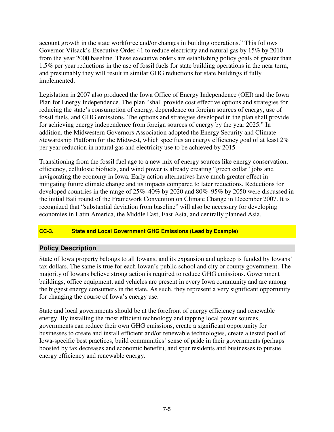account growth in the state workforce and/or changes in building operations." This follows Governor Vilsack's Executive Order 41 to reduce electricity and natural gas by 15% by 2010 from the year 2000 baseline. These executive orders are establishing policy goals of greater than 1.5% per year reductions in the use of fossil fuels for state building operations in the near term, and presumably they will result in similar GHG reductions for state buildings if fully implemented.

Legislation in 2007 also produced the Iowa Office of Energy Independence (OEI) and the Iowa Plan for Energy Independence. The plan "shall provide cost effective options and strategies for reducing the state's consumption of energy, dependence on foreign sources of energy, use of fossil fuels, and GHG emissions. The options and strategies developed in the plan shall provide for achieving energy independence from foreign sources of energy by the year 2025." In addition, the Midwestern Governors Association adopted the Energy Security and Climate Stewardship Platform for the Midwest, which specifies an energy efficiency goal of at least 2% per year reduction in natural gas and electricity use to be achieved by 2015.

Transitioning from the fossil fuel age to a new mix of energy sources like energy conservation, efficiency, cellulosic biofuels, and wind power is already creating "green collar" jobs and invigorating the economy in Iowa. Early action alternatives have much greater effect in mitigating future climate change and its impacts compared to later reductions. Reductions for developed countries in the range of 25%–40% by 2020 and 80%–95% by 2050 were discussed in the initial Bali round of the Framework Convention on Climate Change in December 2007. It is recognized that "substantial deviation from baseline" will also be necessary for developing economies in Latin America, the Middle East, East Asia, and centrally planned Asia.

# **CC-3. State and Local Government GHG Emissions (Lead by Example)**

# **Policy Description**

State of Iowa property belongs to all Iowans, and its expansion and upkeep is funded by Iowans' tax dollars. The same is true for each Iowan's public school and city or county government. The majority of Iowans believe strong action is required to reduce GHG emissions. Government buildings, office equipment, and vehicles are present in every Iowa community and are among the biggest energy consumers in the state. As such, they represent a very significant opportunity for changing the course of Iowa's energy use.

State and local governments should be at the forefront of energy efficiency and renewable energy. By installing the most efficient technology and tapping local power sources, governments can reduce their own GHG emissions, create a significant opportunity for businesses to create and install efficient and/or renewable technologies, create a tested pool of Iowa-specific best practices, build communities' sense of pride in their governments (perhaps boosted by tax decreases and economic benefit), and spur residents and businesses to pursue energy efficiency and renewable energy.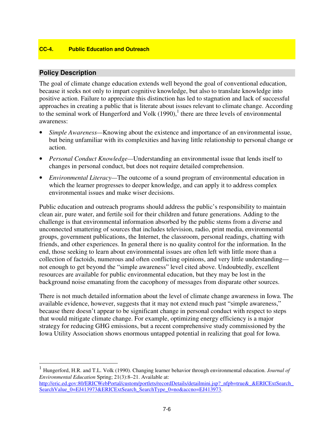#### **CC-4. Public Education and Outreach**

# **Policy Description**

 $\overline{a}$ 

The goal of climate change education extends well beyond the goal of conventional education, because it seeks not only to impart cognitive knowledge, but also to translate knowledge into positive action. Failure to appreciate this distinction has led to stagnation and lack of successful approaches in creating a public that is literate about issues relevant to climate change. According to the seminal work of Hungerford and Volk  $(1990)$ ,<sup>1</sup> there are three levels of environmental awareness:

- *Simple Awareness—*Knowing about the existence and importance of an environmental issue, but being unfamiliar with its complexities and having little relationship to personal change or action.
- *Personal Conduct Knowledge—*Understanding an environmental issue that lends itself to changes in personal conduct, but does not require detailed comprehension.
- *Environmental Literacy—*The outcome of a sound program of environmental education in which the learner progresses to deeper knowledge, and can apply it to address complex environmental issues and make wiser decisions.

Public education and outreach programs should address the public's responsibility to maintain clean air, pure water, and fertile soil for their children and future generations. Adding to the challenge is that environmental information absorbed by the public stems from a diverse and unconnected smattering of sources that includes television, radio, print media, environmental groups, government publications, the Internet, the classroom, personal readings, chatting with friends, and other experiences. In general there is no quality control for the information. In the end, those seeking to learn about environmental issues are often left with little more than a collection of factoids, numerous and often conflicting opinions, and very little understanding not enough to get beyond the "simple awareness" level cited above. Undoubtedly, excellent resources are available for public environmental education, but they may be lost in the background noise emanating from the cacophony of messages from disparate other sources.

There is not much detailed information about the level of climate change awareness in Iowa. The available evidence, however, suggests that it may not extend much past "simple awareness," because there doesn't appear to be significant change in personal conduct with respect to steps that would mitigate climate change. For example, optimizing energy efficiency is a major strategy for reducing GHG emissions, but a recent comprehensive study commissioned by the Iowa Utility Association shows enormous untapped potential in realizing that goal for Iowa.

<sup>1</sup> Hungerford, H.R. and T.L. Volk (1990). Changing learner behavior through environmental education. *Journal of Environmental Education* Spring; 21(3):8–21. Available at: http://eric.ed.gov:80/ERICWebPortal/custom/portlets/recordDetails/detailmini.jsp?\_nfpb=true&\_&ERICExtSearch SearchValue\_0=EJ413973&ERICExtSearch\_SearchType\_0=no&accno=EJ413973.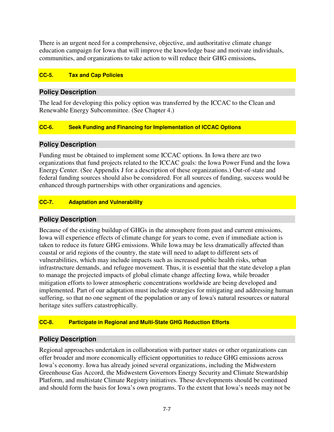There is an urgent need for a comprehensive, objective, and authoritative climate change education campaign for Iowa that will improve the knowledge base and motivate individuals, communities, and organizations to take action to will reduce their GHG emissions**.** 

#### **CC-5. Tax and Cap Policies**

# **Policy Description**

The lead for developing this policy option was transferred by the ICCAC to the Clean and Renewable Energy Subcommittee. (See Chapter 4.)

#### **CC-6. Seek Funding and Financing for Implementation of ICCAC Options**

### **Policy Description**

Funding must be obtained to implement some ICCAC options. In Iowa there are two organizations that fund projects related to the ICCAC goals: the Iowa Power Fund and the Iowa Energy Center. (See Appendix J for a description of these organizations.) Out-of-state and federal funding sources should also be considered. For all sources of funding, success would be enhanced through partnerships with other organizations and agencies.

### **CC-7. Adaptation and Vulnerability**

# **Policy Description**

Because of the existing buildup of GHGs in the atmosphere from past and current emissions, Iowa will experience effects of climate change for years to come, even if immediate action is taken to reduce its future GHG emissions. While Iowa may be less dramatically affected than coastal or arid regions of the country, the state will need to adapt to different sets of vulnerabilities, which may include impacts such as increased public health risks, urban infrastructure demands, and refugee movement. Thus, it is essential that the state develop a plan to manage the projected impacts of global climate change affecting Iowa, while broader mitigation efforts to lower atmospheric concentrations worldwide are being developed and implemented. Part of our adaptation must include strategies for mitigating and addressing human suffering, so that no one segment of the population or any of Iowa's natural resources or natural heritage sites suffers catastrophically.

#### **CC-8. Participate in Regional and Multi-State GHG Reduction Efforts**

# **Policy Description**

Regional approaches undertaken in collaboration with partner states or other organizations can offer broader and more economically efficient opportunities to reduce GHG emissions across Iowa's economy. Iowa has already joined several organizations, including the Midwestern Greenhouse Gas Accord, the Midwestern Governors Energy Security and Climate Stewardship Platform, and multistate Climate Registry initiatives. These developments should be continued and should form the basis for Iowa's own programs. To the extent that Iowa's needs may not be